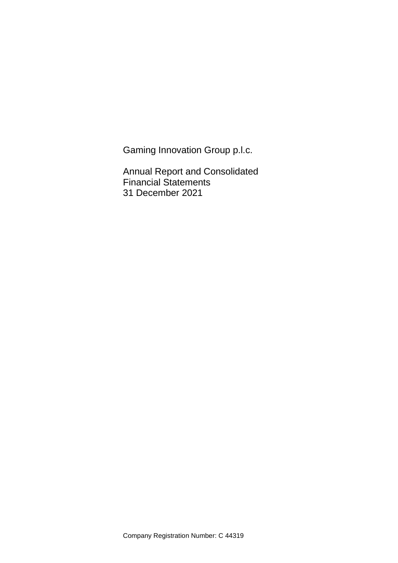Gaming Innovation Group p.l.c.

Annual Report and Consolidated Financial Statements 31 December 2021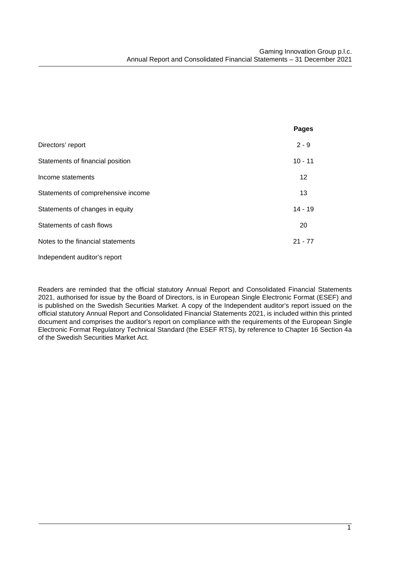|                                    | <b>Pages</b> |
|------------------------------------|--------------|
| Directors' report                  | $2 - 9$      |
| Statements of financial position   | $10 - 11$    |
| Income statements                  | $12 \,$      |
| Statements of comprehensive income | 13           |
| Statements of changes in equity    | $14 - 19$    |
| Statements of cash flows           | 20           |
| Notes to the financial statements  | $21 - 77$    |
|                                    |              |

Independent auditor's report

Readers are reminded that the official statutory Annual Report and Consolidated Financial Statements 2021, authorised for issue by the Board of Directors, is in European Single Electronic Format (ESEF) and is published on the Swedish Securities Market. A copy of the Independent auditor's report issued on the official statutory Annual Report and Consolidated Financial Statements 2021, is included within this printed document and comprises the auditor's report on compliance with the requirements of the European Single Electronic Format Regulatory Technical Standard (the ESEF RTS), by reference to Chapter 16 Section 4a of the Swedish Securities Market Act.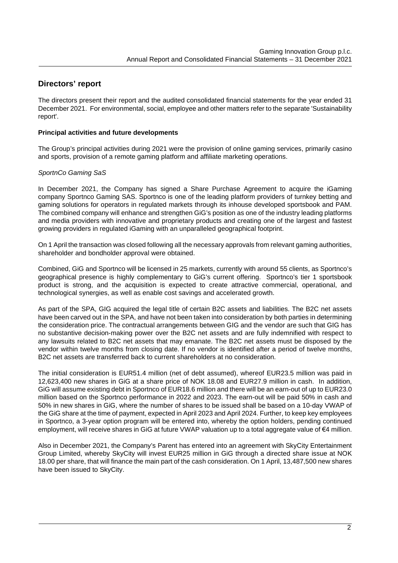# **Directors' report**

The directors present their report and the audited consolidated financial statements for the year ended 31 December 2021. For environmental, social, employee and other matters refer to the separate 'Sustainability report'.

# **Principal activities and future developments**

The Group's principal activities during 2021 were the provision of online gaming services, primarily casino and sports, provision of a remote gaming platform and affiliate marketing operations.

# *SportnCo Gaming SaS*

In December 2021, the Company has signed a Share Purchase Agreement to acquire the iGaming company Sportnco Gaming SAS. Sportnco is one of the leading platform providers of turnkey betting and gaming solutions for operators in regulated markets through its inhouse developed sportsbook and PAM. The combined company will enhance and strengthen GiG's position as one of the industry leading platforms and media providers with innovative and proprietary products and creating one of the largest and fastest growing providers in regulated iGaming with an unparalleled geographical footprint.

On 1 April the transaction was closed following all the necessary approvals from relevant gaming authorities, shareholder and bondholder approval were obtained.

Combined, GiG and Sportnco will be licensed in 25 markets, currently with around 55 clients, as Sportnco's geographical presence is highly complementary to GiG's current offering. Sportnco's tier 1 sportsbook product is strong, and the acquisition is expected to create attractive commercial, operational, and technological synergies, as well as enable cost savings and accelerated growth.

As part of the SPA, GIG acquired the legal title of certain B2C assets and liabilities. The B2C net assets have been carved out in the SPA, and have not been taken into consideration by both parties in determining the consideration price. The contractual arrangements between GIG and the vendor are such that GIG has no substantive decision-making power over the B2C net assets and are fully indemnified with respect to any lawsuits related to B2C net assets that may emanate. The B2C net assets must be disposed by the vendor within twelve months from closing date. If no vendor is identified after a period of twelve months, B2C net assets are transferred back to current shareholders at no consideration.

The initial consideration is EUR51.4 million (net of debt assumed), whereof EUR23.5 million was paid in 12,623,400 new shares in GiG at a share price of NOK 18.08 and EUR27.9 million in cash. In addition, GiG will assume existing debt in Sportnco of EUR18.6 million and there will be an earn-out of up to EUR23.0 million based on the Sportnco performance in 2022 and 2023. The earn-out will be paid 50% in cash and 50% in new shares in GiG, where the number of shares to be issued shall be based on a 10-day VWAP of the GiG share at the time of payment, expected in April 2023 and April 2024. Further, to keep key employees in Sportnco, a 3-year option program will be entered into, whereby the option holders, pending continued employment, will receive shares in GiG at future VWAP valuation up to a total aggregate value of €4 million.

Also in December 2021, the Company's Parent has entered into an agreement with SkyCity Entertainment Group Limited, whereby SkyCity will invest EUR25 million in GiG through a directed share issue at NOK 18.00 per share, that will finance the main part of the cash consideration. On 1 April, 13,487,500 new shares have been issued to SkyCity.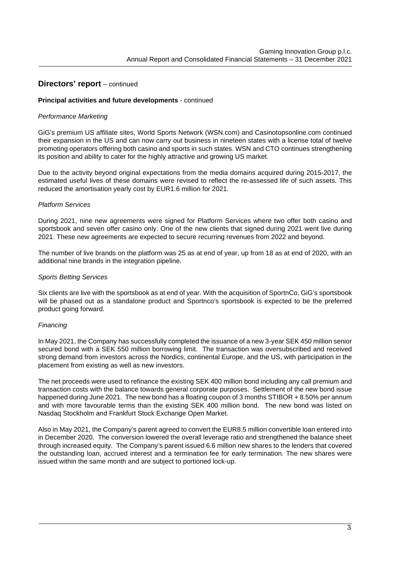## **Principal activities and future developments** - continued

## *Performance Marketing*

GiG's premium US affiliate sites, World Sports Network (WSN.com) and Casinotopsonline.com continued their expansion in the US and can now carry out business in nineteen states with a license total of twelve promoting operators offering both casino and sports in such states. WSN and CTO continues strengthening its position and ability to cater for the highly attractive and growing US market.

Due to the activity beyond original expectations from the media domains acquired during 2015-2017, the estimated useful lives of these domains were revised to reflect the re-assessed life of such assets. This reduced the amortisation yearly cost by EUR1.6 million for 2021.

## *Platform Services*

During 2021, nine new agreements were signed for Platform Services where two offer both casino and sportsbook and seven offer casino only. One of the new clients that signed during 2021 went live during 2021. These new agreements are expected to secure recurring revenues from 2022 and beyond.

The number of live brands on the platform was 25 as at end of year, up from 18 as at end of 2020, with an additional nine brands in the integration pipeline.

## *Sports Betting Services*

Six clients are live with the sportsbook as at end of year. With the acquisition of SportnCo, GiG's sportsbook will be phased out as a standalone product and Sportnco's sportsbook is expected to be the preferred product going forward.

# *Financing*

In May 2021, the Company has successfully completed the issuance of a new 3-year SEK 450 million senior secured bond with a SEK 550 million borrowing limit. The transaction was oversubscribed and received strong demand from investors across the Nordics, continental Europe, and the US, with participation in the placement from existing as well as new investors.

The net proceeds were used to refinance the existing SEK 400 million bond including any call premium and transaction costs with the balance towards general corporate purposes. Settlement of the new bond issue happened during June 2021. The new bond has a floating coupon of 3 months STIBOR + 8.50% per annum and with more favourable terms than the existing SEK 400 million bond. The new bond was listed on Nasdaq Stockholm and Frankfurt Stock Exchange Open Market.

Also in May 2021, the Company's parent agreed to convert the EUR8.5 million convertible loan entered into in December 2020. The conversion lowered the overall leverage ratio and strengthened the balance sheet through increased equity. The Company's parent issued 6.6 million new shares to the lenders that covered the outstanding loan, accrued interest and a termination fee for early termination. The new shares were issued within the same month and are subject to portioned lock-up.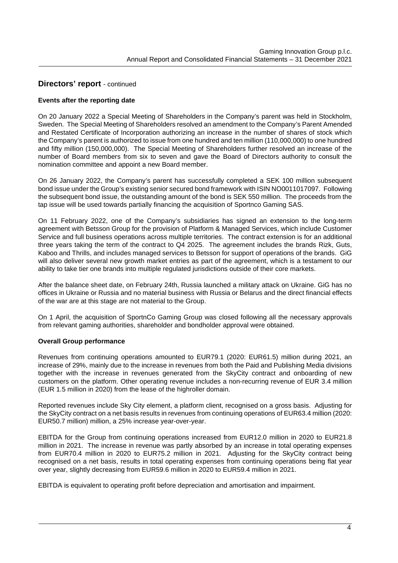# **Events after the reporting date**

On 20 January 2022 a Special Meeting of Shareholders in the Company's parent was held in Stockholm, Sweden. The Special Meeting of Shareholders resolved an amendment to the Company's Parent Amended and Restated Certificate of Incorporation authorizing an increase in the number of shares of stock which the Company's parent is authorized to issue from one hundred and ten million (110,000,000) to one hundred and fifty million (150,000,000). The Special Meeting of Shareholders further resolved an increase of the number of Board members from six to seven and gave the Board of Directors authority to consult the nomination committee and appoint a new Board member.

On 26 January 2022, the Company's parent has successfully completed a SEK 100 million subsequent bond issue under the Group's existing senior secured bond framework with ISIN NO0011017097. Following the subsequent bond issue, the outstanding amount of the bond is SEK 550 million. The proceeds from the tap issue will be used towards partially financing the acquisition of Sportnco Gaming SAS.

On 11 February 2022, one of the Company's subsidiaries has signed an extension to the long-term agreement with Betsson Group for the provision of Platform & Managed Services, which include Customer Service and full business operations across multiple territories. The contract extension is for an additional three years taking the term of the contract to Q4 2025. The agreement includes the brands Rizk, Guts, Kaboo and Thrills, and includes managed services to Betsson for support of operations of the brands. GiG will also deliver several new growth market entries as part of the agreement, which is a testament to our ability to take tier one brands into multiple regulated jurisdictions outside of their core markets.

After the balance sheet date, on February 24th, Russia launched a military attack on Ukraine. GiG has no offices in Ukraine or Russia and no material business with Russia or Belarus and the direct financial effects of the war are at this stage are not material to the Group.

On 1 April, the acquisition of SportnCo Gaming Group was closed following all the necessary approvals from relevant gaming authorities, shareholder and bondholder approval were obtained.

# **Overall Group performance**

Revenues from continuing operations amounted to EUR79.1 (2020: EUR61.5) million during 2021, an increase of 29%, mainly due to the increase in revenues from both the Paid and Publishing Media divisions together with the increase in revenues generated from the SkyCity contract and onboarding of new customers on the platform. Other operating revenue includes a non-recurring revenue of EUR 3.4 million (EUR 1.5 million in 2020) from the lease of the highroller domain.

Reported revenues include Sky City element, a platform client, recognised on a gross basis. Adjusting for the SkyCity contract on a net basis results in revenues from continuing operations of EUR63.4 million (2020: EUR50.7 million) million, a 25% increase year-over-year.

EBITDA for the Group from continuing operations increased from EUR12.0 million in 2020 to EUR21.8 million in 2021. The increase in revenue was partly absorbed by an increase in total operating expenses from EUR70.4 million in 2020 to EUR75.2 million in 2021. Adjusting for the SkyCity contract being recognised on a net basis, results in total operating expenses from continuing operations being flat year over year, slightly decreasing from EUR59.6 million in 2020 to EUR59.4 million in 2021.

EBITDA is equivalent to operating profit before depreciation and amortisation and impairment.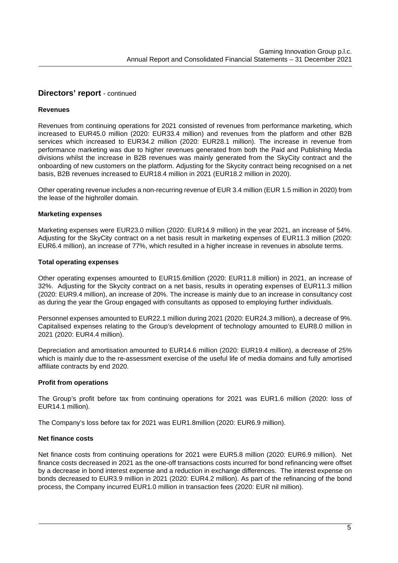# **Revenues**

Revenues from continuing operations for 2021 consisted of revenues from performance marketing, which increased to EUR45.0 million (2020: EUR33.4 million) and revenues from the platform and other B2B services which increased to EUR34.2 million (2020: EUR28.1 million). The increase in revenue from performance marketing was due to higher revenues generated from both the Paid and Publishing Media divisions whilst the increase in B2B revenues was mainly generated from the SkyCity contract and the onboarding of new customers on the platform. Adjusting for the Skycity contract being recognised on a net basis, B2B revenues increased to EUR18.4 million in 2021 (EUR18.2 million in 2020).

Other operating revenue includes a non-recurring revenue of EUR 3.4 million (EUR 1.5 million in 2020) from the lease of the highroller domain.

#### **Marketing expenses**

Marketing expenses were EUR23.0 million (2020: EUR14.9 million) in the year 2021, an increase of 54%. Adjusting for the SkyCity contract on a net basis result in marketing expenses of EUR11.3 million (2020: EUR6.4 million), an increase of 77%, which resulted in a higher increase in revenues in absolute terms.

#### **Total operating expenses**

Other operating expenses amounted to EUR15.6million (2020: EUR11.8 million) in 2021, an increase of 32%. Adjusting for the Skycity contract on a net basis, results in operating expenses of EUR11.3 million (2020: EUR9.4 million), an increase of 20%. The increase is mainly due to an increase in consultancy cost as during the year the Group engaged with consultants as opposed to employing further individuals.

Personnel expenses amounted to EUR22.1 million during 2021 (2020: EUR24.3 million), a decrease of 9%. Capitalised expenses relating to the Group's development of technology amounted to EUR8.0 million in 2021 (2020: EUR4.4 million).

Depreciation and amortisation amounted to EUR14.6 million (2020: EUR19.4 million), a decrease of 25% which is mainly due to the re-assessment exercise of the useful life of media domains and fully amortised affiliate contracts by end 2020.

#### **Profit from operations**

The Group's profit before tax from continuing operations for 2021 was EUR1.6 million (2020: loss of EUR14.1 million).

The Company's loss before tax for 2021 was EUR1.8million (2020: EUR6.9 million).

#### **Net finance costs**

Net finance costs from continuing operations for 2021 were EUR5.8 million (2020: EUR6.9 million). Net finance costs decreased in 2021 as the one-off transactions costs incurred for bond refinancing were offset by a decrease in bond interest expense and a reduction in exchange differences. The interest expense on bonds decreased to EUR3.9 million in 2021 (2020: EUR4.2 million). As part of the refinancing of the bond process, the Company incurred EUR1.0 million in transaction fees (2020: EUR nil million).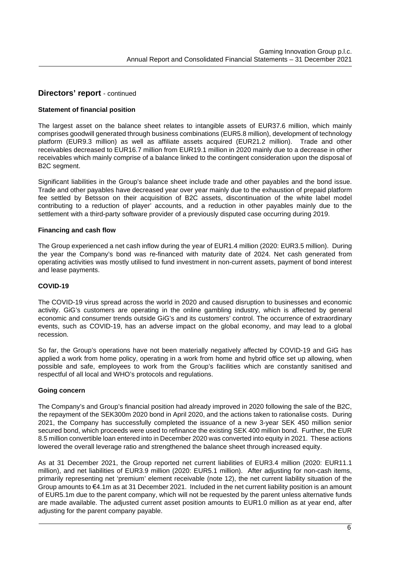# **Statement of financial position**

The largest asset on the balance sheet relates to intangible assets of EUR37.6 million, which mainly comprises goodwill generated through business combinations (EUR5.8 million), development of technology platform (EUR9.3 million) as well as affiliate assets acquired (EUR21.2 million). Trade and other receivables decreased to EUR16.7 million from EUR19.1 million in 2020 mainly due to a decrease in other receivables which mainly comprise of a balance linked to the contingent consideration upon the disposal of B2C segment.

Significant liabilities in the Group's balance sheet include trade and other payables and the bond issue. Trade and other payables have decreased year over year mainly due to the exhaustion of prepaid platform fee settled by Betsson on their acquisition of B2C assets, discontinuation of the white label model contributing to a reduction of player' accounts, and a reduction in other payables mainly due to the settlement with a third-party software provider of a previously disputed case occurring during 2019.

# **Financing and cash flow**

The Group experienced a net cash inflow during the year of EUR1.4 million (2020: EUR3.5 million). During the year the Company's bond was re-financed with maturity date of 2024. Net cash generated from operating activities was mostly utilised to fund investment in non-current assets, payment of bond interest and lease payments.

# **COVID-19**

The COVID-19 virus spread across the world in 2020 and caused disruption to businesses and economic activity. GiG's customers are operating in the online gambling industry, which is affected by general economic and consumer trends outside GiG's and its customers' control. The occurrence of extraordinary events, such as COVID-19, has an adverse impact on the global economy, and may lead to a global recession.

So far, the Group's operations have not been materially negatively affected by COVID-19 and GiG has applied a work from home policy, operating in a work from home and hybrid office set up allowing, when possible and safe, employees to work from the Group's facilities which are constantly sanitised and respectful of all local and WHO's protocols and regulations.

#### **Going concern**

The Company's and Group's financial position had already improved in 2020 following the sale of the B2C, the repayment of the SEK300m 2020 bond in April 2020, and the actions taken to rationalise costs. During 2021, the Company has successfully completed the issuance of a new 3-year SEK 450 million senior secured bond, which proceeds were used to refinance the existing SEK 400 million bond. Further, the EUR 8.5 million convertible loan entered into in December 2020 was converted into equity in 2021. These actions lowered the overall leverage ratio and strengthened the balance sheet through increased equity.

As at 31 December 2021, the Group reported net current liabilities of EUR3.4 million (2020: EUR11.1 million), and net liabilities of EUR3.9 million (2020: EUR5.1 million). After adjusting for non-cash items, primarily representing net 'premium' element receivable (note 12), the net current liability situation of the Group amounts to €4.1m as at 31 December 2021. Included in the net current liability position is an amount of EUR5.1m due to the parent company, which will not be requested by the parent unless alternative funds are made available. The adjusted current asset position amounts to EUR1.0 million as at year end, after adjusting for the parent company payable.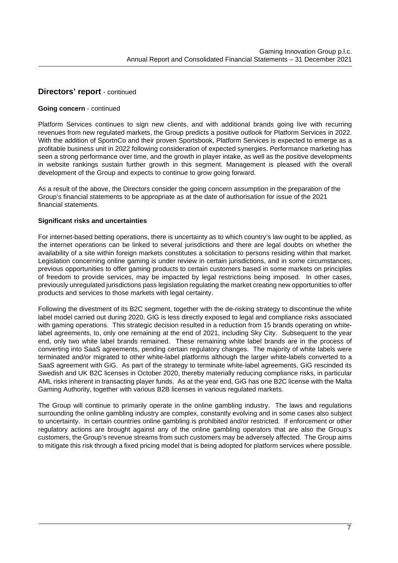### **Going concern** - continued

Platform Services continues to sign new clients, and with additional brands going live with recurring revenues from new regulated markets, the Group predicts a positive outlook for Platform Services in 2022. With the addition of SportnCo and their proven Sportsbook, Platform Services is expected to emerge as a profitable business unit in 2022 following consideration of expected synergies. Performance marketing has seen a strong performance over time, and the growth in player intake, as well as the positive developments in website rankings sustain further growth in this segment. Management is pleased with the overall development of the Group and expects to continue to grow going forward.

As a result of the above, the Directors consider the going concern assumption in the preparation of the Group's financial statements to be appropriate as at the date of authorisation for issue of the 2021 financial statements.

# **Significant risks and uncertainties**

For internet-based betting operations, there is uncertainty as to which country's law ought to be applied, as the internet operations can be linked to several jurisdictions and there are legal doubts on whether the availability of a site within foreign markets constitutes a solicitation to persons residing within that market. Legislation concerning online gaming is under review in certain jurisdictions, and in some circumstances, previous opportunities to offer gaming products to certain customers based in some markets on principles of freedom to provide services, may be impacted by legal restrictions being imposed. In other cases, previously unregulated jurisdictions pass legislation regulating the market creating new opportunities to offer products and services to those markets with legal certainty.

Following the divestment of its B2C segment, together with the de-risking strategy to discontinue the white label model carried out during 2020, GIG is less directly exposed to legal and compliance risks associated with gaming operations. This strategic decision resulted in a reduction from 15 brands operating on whitelabel agreements, to, only one remaining at the end of 2021, including Sky City. Subsequent to the year end, only two white label brands remained. These remaining white label brands are in the process of converting into SaaS agreements, pending certain regulatory changes. The majority of white labels were terminated and/or migrated to other white-label platforms although the larger white-labels converted to a SaaS agreement with GiG. As part of the strategy to terminate white-label agreements, GiG rescinded its Swedish and UK B2C licenses in October 2020, thereby materially reducing compliance risks, in particular AML risks inherent in transacting player funds. As at the year end, GiG has one B2C license with the Malta Gaming Authority, together with various B2B licenses in various regulated markets.

The Group will continue to primarily operate in the online gambling industry. The laws and regulations surrounding the online gambling industry are complex, constantly evolving and in some cases also subject to uncertainty. In certain countries online gambling is prohibited and/or restricted. If enforcement or other regulatory actions are brought against any of the online gambling operators that are also the Group's customers, the Group's revenue streams from such customers may be adversely affected. The Group aims to mitigate this risk through a fixed pricing model that is being adopted for platform services where possible.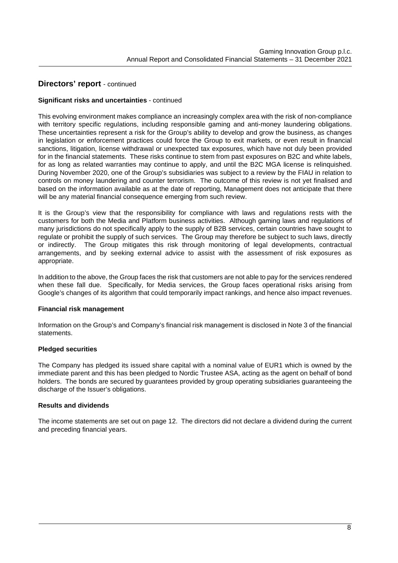# **Significant risks and uncertainties** - continued

This evolving environment makes compliance an increasingly complex area with the risk of non-compliance with territory specific regulations, including responsible gaming and anti-money laundering obligations. These uncertainties represent a risk for the Group's ability to develop and grow the business, as changes in legislation or enforcement practices could force the Group to exit markets, or even result in financial sanctions, litigation, license withdrawal or unexpected tax exposures, which have not duly been provided for in the financial statements. These risks continue to stem from past exposures on B2C and white labels, for as long as related warranties may continue to apply, and until the B2C MGA license is relinquished. During November 2020, one of the Group's subsidiaries was subject to a review by the FIAU in relation to controls on money laundering and counter terrorism. The outcome of this review is not yet finalised and based on the information available as at the date of reporting, Management does not anticipate that there will be any material financial consequence emerging from such review.

It is the Group's view that the responsibility for compliance with laws and regulations rests with the customers for both the Media and Platform business activities. Although gaming laws and regulations of many jurisdictions do not specifically apply to the supply of B2B services, certain countries have sought to regulate or prohibit the supply of such services. The Group may therefore be subject to such laws, directly or indirectly. The Group mitigates this risk through monitoring of legal developments, contractual arrangements, and by seeking external advice to assist with the assessment of risk exposures as appropriate.

In addition to the above, the Group faces the risk that customers are not able to pay for the services rendered when these fall due. Specifically, for Media services, the Group faces operational risks arising from Google's changes of its algorithm that could temporarily impact rankings, and hence also impact revenues.

#### **Financial risk management**

Information on the Group's and Company's financial risk management is disclosed in Note 3 of the financial statements.

# **Pledged securities**

The Company has pledged its issued share capital with a nominal value of EUR1 which is owned by the immediate parent and this has been pledged to Nordic Trustee ASA, acting as the agent on behalf of bond holders. The bonds are secured by guarantees provided by group operating subsidiaries guaranteeing the discharge of the Issuer's obligations.

#### **Results and dividends**

The income statements are set out on page 12. The directors did not declare a dividend during the current and preceding financial years.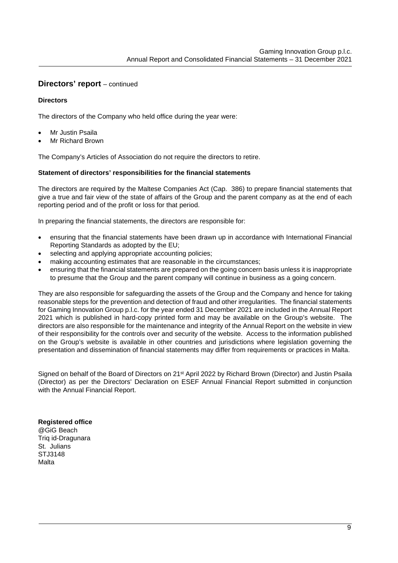# **Directors**

The directors of the Company who held office during the year were:

- Mr Justin Psaila
- Mr Richard Brown

The Company's Articles of Association do not require the directors to retire.

#### **Statement of directors' responsibilities for the financial statements**

The directors are required by the Maltese Companies Act (Cap. 386) to prepare financial statements that give a true and fair view of the state of affairs of the Group and the parent company as at the end of each reporting period and of the profit or loss for that period.

In preparing the financial statements, the directors are responsible for:

- ensuring that the financial statements have been drawn up in accordance with International Financial Reporting Standards as adopted by the EU;
- selecting and applying appropriate accounting policies;
- making accounting estimates that are reasonable in the circumstances;
- ensuring that the financial statements are prepared on the going concern basis unless it is inappropriate to presume that the Group and the parent company will continue in business as a going concern.

They are also responsible for safeguarding the assets of the Group and the Company and hence for taking reasonable steps for the prevention and detection of fraud and other irregularities. The financial statements for Gaming Innovation Group p.l.c. for the year ended 31 December 2021 are included in the Annual Report 2021 which is published in hard-copy printed form and may be available on the Group's website. The directors are also responsible for the maintenance and integrity of the Annual Report on the website in view of their responsibility for the controls over and security of the website. Access to the information published on the Group's website is available in other countries and jurisdictions where legislation governing the presentation and dissemination of financial statements may differ from requirements or practices in Malta.

Signed on behalf of the Board of Directors on 21st April 2022 by Richard Brown (Director) and Justin Psaila (Director) as per the Directors' Declaration on ESEF Annual Financial Report submitted in conjunction with the Annual Financial Report.

**Registered office** @GiG Beach Triq id-Dragunara St. Julians STJ3148 **Malta**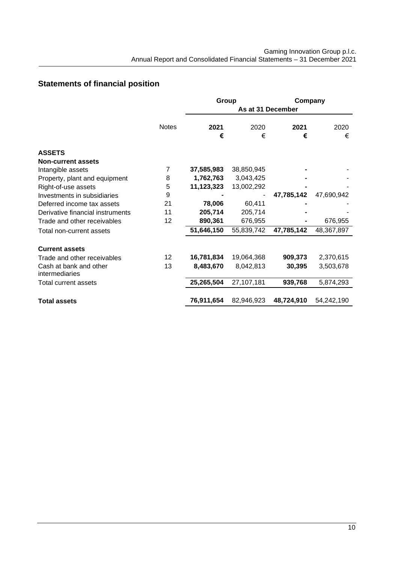# **Statements of financial position**

|                                          |              | Group      |                   | Company    |            |  |
|------------------------------------------|--------------|------------|-------------------|------------|------------|--|
|                                          |              |            | As at 31 December |            |            |  |
|                                          | <b>Notes</b> | 2021       | 2020              | 2021       | 2020       |  |
|                                          |              | €          | €                 | €          | €          |  |
| <b>ASSETS</b>                            |              |            |                   |            |            |  |
| <b>Non-current assets</b>                |              |            |                   |            |            |  |
| Intangible assets                        | 7            | 37,585,983 | 38,850,945        |            |            |  |
| Property, plant and equipment            | 8            | 1,762,763  | 3,043,425         |            |            |  |
| Right-of-use assets                      | 5            | 11,123,323 | 13,002,292        |            |            |  |
| Investments in subsidiaries              | 9            |            |                   | 47,785,142 | 47,690,942 |  |
| Deferred income tax assets               | 21           | 78,006     | 60,411            |            |            |  |
| Derivative financial instruments         | 11           | 205,714    | 205,714           |            |            |  |
| Trade and other receivables              | 12           | 890,361    | 676,955           |            | 676,955    |  |
| Total non-current assets                 |              | 51,646,150 | 55,839,742        | 47,785,142 | 48,367,897 |  |
| <b>Current assets</b>                    |              |            |                   |            |            |  |
| Trade and other receivables              | 12           | 16,781,834 | 19,064,368        | 909,373    | 2,370,615  |  |
| Cash at bank and other<br>intermediaries | 13           | 8,483,670  | 8,042,813         | 30,395     | 3,503,678  |  |
| Total current assets                     |              | 25,265,504 | 27,107,181        | 939,768    | 5,874,293  |  |
| <b>Total assets</b>                      |              | 76,911,654 | 82,946,923        | 48,724,910 | 54,242,190 |  |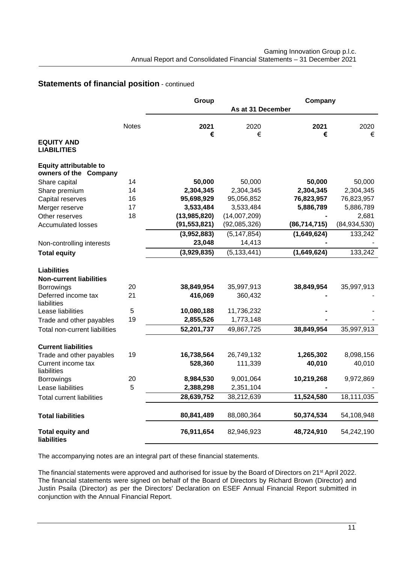# **Statements of financial position** - continued

|                                                        |              | Group          | Company           |              |                |
|--------------------------------------------------------|--------------|----------------|-------------------|--------------|----------------|
|                                                        |              |                | As at 31 December |              |                |
|                                                        | <b>Notes</b> | 2021           | 2020              | 2021         | 2020           |
| <b>EQUITY AND</b><br><b>LIABILITIES</b>                |              | €              | €                 | €            | €              |
| <b>Equity attributable to</b><br>owners of the Company |              |                |                   |              |                |
| Share capital                                          | 14           | 50,000         | 50,000            | 50,000       | 50,000         |
| Share premium                                          | 14           | 2,304,345      | 2,304,345         | 2,304,345    | 2,304,345      |
| Capital reserves                                       | 16           | 95,698,929     | 95,056,852        | 76,823,957   | 76,823,957     |
| Merger reserve                                         | 17           | 3,533,484      | 3,533,484         | 5,886,789    | 5,886,789      |
| Other reserves                                         | 18           | (13,985,820)   | (14,007,209)      |              | 2,681          |
| <b>Accumulated losses</b>                              |              | (91, 553, 821) | (92,085,326)      | (86,714,715) | (84, 934, 530) |
|                                                        |              | (3,952,883)    | (5, 147, 854)     | (1,649,624)  | 133,242        |
| Non-controlling interests                              |              | 23,048         | 14,413            |              |                |
| <b>Total equity</b>                                    |              | (3,929,835)    | (5, 133, 441)     | (1,649,624)  | 133,242        |
|                                                        |              |                |                   |              |                |
| Liabilities                                            |              |                |                   |              |                |
| <b>Non-current liabilities</b>                         | 20           | 38,849,954     | 35,997,913        | 38,849,954   | 35,997,913     |
| Borrowings<br>Deferred income tax                      | 21           | 416,069        | 360,432           |              |                |
| liabilities                                            |              |                |                   |              |                |
| Lease liabilities                                      | 5            | 10,080,188     | 11,736,232        |              |                |
| Trade and other payables                               | 19           | 2,855,526      | 1,773,148         |              |                |
| Total non-current liabilities                          |              | 52,201,737     | 49,867,725        | 38,849,954   | 35,997,913     |
| <b>Current liabilities</b>                             |              |                |                   |              |                |
| Trade and other payables                               | 19           | 16,738,564     | 26,749,132        | 1,265,302    | 8,098,156      |
| Current income tax                                     |              | 528,360        | 111,339           | 40,010       | 40,010         |
| liabilities                                            |              |                |                   |              |                |
| Borrowings                                             | 20           | 8,984,530      | 9,001,064         | 10,219,268   | 9,972,869      |
| Lease liabilities                                      | 5            | 2,388,298      | 2,351,104         |              |                |
| <b>Total current liabilities</b>                       |              | 28,639,752     | 38,212,639        | 11,524,580   | 18,111,035     |
| <b>Total liabilities</b>                               |              | 80,841,489     | 88,080,364        | 50,374,534   | 54,108,948     |
| <b>Total equity and</b><br>liabilities                 |              | 76,911,654     | 82,946,923        | 48,724,910   | 54,242,190     |

The accompanying notes are an integral part of these financial statements.

The financial statements were approved and authorised for issue by the Board of Directors on 21st April 2022. The financial statements were signed on behalf of the Board of Directors by Richard Brown (Director) and Justin Psaila (Director) as per the Directors' Declaration on ESEF Annual Financial Report submitted in conjunction with the Annual Financial Report.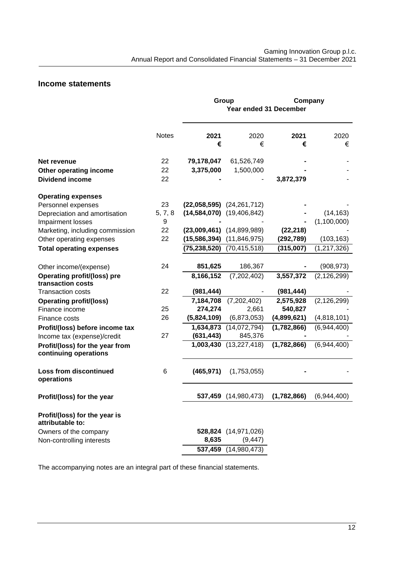# **Income statements**

|                                                          |              |                               | Group                         |             | Company       |  |  |  |  |
|----------------------------------------------------------|--------------|-------------------------------|-------------------------------|-------------|---------------|--|--|--|--|
|                                                          |              | <b>Year ended 31 December</b> |                               |             |               |  |  |  |  |
|                                                          | <b>Notes</b> | 2021                          | 2020                          | 2021        | 2020          |  |  |  |  |
|                                                          |              | €                             | €                             | €           | €             |  |  |  |  |
| Net revenue                                              | 22           | 79,178,047                    | 61,526,749                    |             |               |  |  |  |  |
| Other operating income                                   | 22           | 3,375,000                     | 1,500,000                     |             |               |  |  |  |  |
| <b>Dividend income</b>                                   | 22           |                               |                               | 3,872,379   |               |  |  |  |  |
| <b>Operating expenses</b>                                |              |                               |                               |             |               |  |  |  |  |
| Personnel expenses                                       | 23           |                               | $(22,058,595)$ $(24,261,712)$ |             |               |  |  |  |  |
| Depreciation and amortisation                            | 5, 7, 8      |                               | $(14,584,070)$ $(19,406,842)$ |             | (14, 163)     |  |  |  |  |
| Impairment losses                                        | 9            |                               |                               |             | (1,100,000)   |  |  |  |  |
| Marketing, including commission                          | 22           |                               | $(23,009,461)$ $(14,899,989)$ | (22, 218)   |               |  |  |  |  |
| Other operating expenses                                 | 22           | (15, 586, 394)                | (11,846,975)                  | (292, 789)  | (103, 163)    |  |  |  |  |
| <b>Total operating expenses</b>                          |              | (75, 238, 520)                | (70, 415, 518)                | (315,007)   | (1, 217, 326) |  |  |  |  |
| Other income/(expense)                                   | 24           | 851,625                       | 186,367                       |             | (908, 973)    |  |  |  |  |
| <b>Operating profit/(loss) pre</b><br>transaction costs  |              | 8,166,152                     | (7,202,402)                   | 3,557,372   | (2, 126, 299) |  |  |  |  |
| <b>Transaction costs</b>                                 | 22           | (981, 444)                    |                               | (981, 444)  |               |  |  |  |  |
| <b>Operating profit/(loss)</b>                           |              | 7,184,708                     | (7,202,402)                   | 2,575,928   | (2, 126, 299) |  |  |  |  |
| Finance income                                           | 25           | 274,274                       | 2,661                         | 540,827     |               |  |  |  |  |
| Finance costs                                            | 26           | (5,824,109)                   | (6,873,053)                   | (4,899,621) | (4,818,101)   |  |  |  |  |
| Profit/(loss) before income tax                          |              | 1,634,873                     | (14,072,794)                  | (1,782,866) | (6,944,400)   |  |  |  |  |
| Income tax (expense)/credit                              | 27           | (631, 443)                    | 845,376                       |             |               |  |  |  |  |
| Profit/(loss) for the year from<br>continuing operations |              | $\overline{1,003,430}$        | (13, 227, 418)                | (1,782,866) | (6,944,400)   |  |  |  |  |
| <b>Loss from discontinued</b><br>operations              | 6            | (465, 971)                    | (1,753,055)                   |             |               |  |  |  |  |
| Profit/(loss) for the year                               |              |                               | 537,459 (14,980,473)          | (1,782,866) | (6,944,400)   |  |  |  |  |
| Profit/(loss) for the year is<br>attributable to:        |              |                               |                               |             |               |  |  |  |  |
| Owners of the company                                    |              |                               | 528,824 (14,971,026)          |             |               |  |  |  |  |
| Non-controlling interests                                |              | 8,635                         | (9, 447)                      |             |               |  |  |  |  |
|                                                          |              |                               | 537,459 (14,980,473)          |             |               |  |  |  |  |
|                                                          |              |                               |                               |             |               |  |  |  |  |

The accompanying notes are an integral part of these financial statements.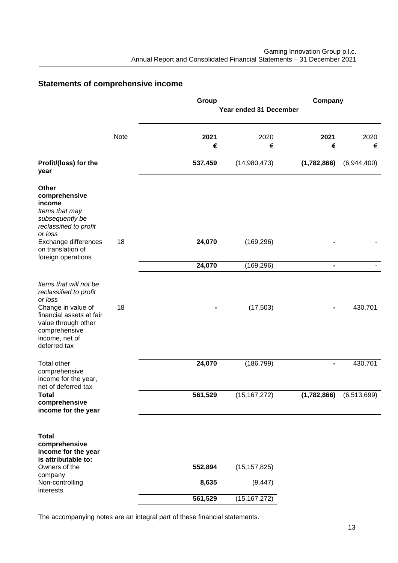# **Statements of comprehensive income**

|                                                                                                                                                                                         |      | Group     |                        | Company        |                             |  |  |  |
|-----------------------------------------------------------------------------------------------------------------------------------------------------------------------------------------|------|-----------|------------------------|----------------|-----------------------------|--|--|--|
|                                                                                                                                                                                         |      |           | Year ended 31 December |                |                             |  |  |  |
|                                                                                                                                                                                         | Note | 2021<br>€ | 2020<br>€              | 2021<br>€      | 2020<br>€                   |  |  |  |
| Profit/(loss) for the<br>year                                                                                                                                                           |      | 537,459   | (14,980,473)           | (1,782,866)    | (6,944,400)                 |  |  |  |
| Other<br>comprehensive<br>income<br>Items that may<br>subsequently be<br>reclassified to profit<br>or loss                                                                              |      |           |                        |                |                             |  |  |  |
| Exchange differences<br>on translation of<br>foreign operations                                                                                                                         | 18   | 24,070    | (169, 296)             |                |                             |  |  |  |
|                                                                                                                                                                                         |      | 24,070    | (169, 296)             | $\blacksquare$ |                             |  |  |  |
| Items that will not be<br>reclassified to profit<br>or loss<br>Change in value of<br>financial assets at fair<br>value through other<br>comprehensive<br>income, net of<br>deferred tax | 18   |           | (17, 503)              |                | 430,701                     |  |  |  |
| <b>Total other</b><br>comprehensive<br>income for the year,<br>net of deferred tax                                                                                                      |      | 24,070    | (186, 799)             |                | 430,701                     |  |  |  |
| <b>Total</b><br>comprehensive<br>income for the year                                                                                                                                    |      | 561,529   | (15, 167, 272)         |                | $(1,782,866)$ $(6,513,699)$ |  |  |  |
| <b>Total</b><br>comprehensive<br>income for the year<br>is attributable to:<br>Owners of the                                                                                            |      | 552,894   |                        |                |                             |  |  |  |
| company                                                                                                                                                                                 |      |           | (15, 157, 825)         |                |                             |  |  |  |
| Non-controlling<br>interests                                                                                                                                                            |      | 8,635     | (9, 447)               |                |                             |  |  |  |
|                                                                                                                                                                                         |      | 561,529   | (15, 167, 272)         |                |                             |  |  |  |

The accompanying notes are an integral part of these financial statements.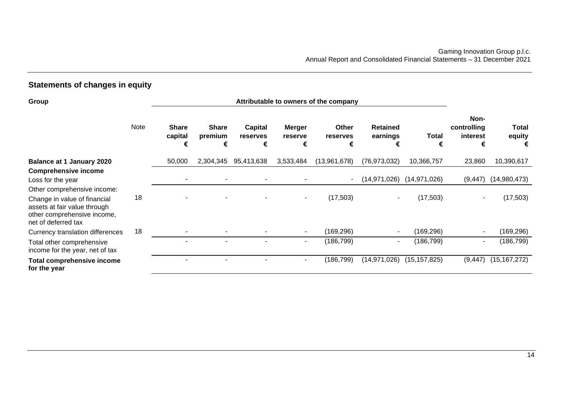# **Statements of changes in equity**

| Group                                                                                                              |      | Attributable to owners of the company |                              |                                 |                               |                        |                                  |                |                                      |                             |
|--------------------------------------------------------------------------------------------------------------------|------|---------------------------------------|------------------------------|---------------------------------|-------------------------------|------------------------|----------------------------------|----------------|--------------------------------------|-----------------------------|
|                                                                                                                    | Note | <b>Share</b><br>capital<br>€          | <b>Share</b><br>premium<br>€ | <b>Capital</b><br>reserves<br>€ | <b>Merger</b><br>reserve<br>€ | Other<br>reserves<br>€ | <b>Retained</b><br>earnings<br>€ | Total<br>€     | Non-<br>controlling<br>interest<br>€ | <b>Total</b><br>equity<br>€ |
| <b>Balance at 1 January 2020</b>                                                                                   |      | 50,000                                | 2,304,345                    | 95,413,638                      | 3,533,484                     | (13,961,678)           | (76,973,032)                     | 10,366,757     | 23,860                               | 10,390,617                  |
| <b>Comprehensive income</b><br>Loss for the year<br>Other comprehensive income:                                    |      |                                       |                              |                                 |                               |                        | (14, 971, 026)                   | (14, 971, 026) | (9, 447)                             | (14,980,473)                |
| Change in value of financial<br>assets at fair value through<br>other comprehensive income,<br>net of deferred tax | 18   |                                       |                              |                                 |                               | (17, 503)              |                                  | (17, 503)      |                                      | (17, 503)                   |
| Currency translation differences                                                                                   | 18   |                                       |                              |                                 |                               | (169, 296)             |                                  | (169, 296)     |                                      | (169, 296)                  |
| Total other comprehensive<br>income for the year, net of tax                                                       |      |                                       | $\blacksquare$               | $\overline{\phantom{0}}$        | $\overline{\phantom{a}}$      | (186, 799)             | ۰                                | (186,799)      | $\overline{\phantom{a}}$             | (186, 799)                  |
| <b>Total comprehensive income</b><br>for the year                                                                  |      |                                       |                              |                                 | $\blacksquare$                | (186, 799)             | (14,971,026)                     | (15, 157, 825) | (9, 447)                             | (15, 167, 272)              |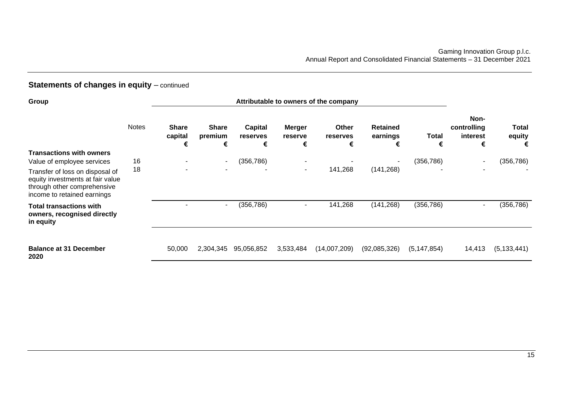| Group                                                                                                                             |              |                              |                              |                          |                               |                               |                                  |               |                                      |                      |
|-----------------------------------------------------------------------------------------------------------------------------------|--------------|------------------------------|------------------------------|--------------------------|-------------------------------|-------------------------------|----------------------------------|---------------|--------------------------------------|----------------------|
|                                                                                                                                   | <b>Notes</b> | <b>Share</b><br>capital<br>€ | <b>Share</b><br>premium<br>€ | Capital<br>reserves<br>€ | <b>Merger</b><br>reserve<br>€ | Other<br><b>reserves</b><br>€ | <b>Retained</b><br>earnings<br>€ | Total<br>€    | Non-<br>controlling<br>interest<br>€ | Total<br>equity<br>€ |
| <b>Transactions with owners</b>                                                                                                   |              |                              |                              |                          |                               |                               |                                  |               |                                      |                      |
| Value of employee services                                                                                                        | 16           |                              | $\overline{\phantom{a}}$     | (356, 786)               | $\blacksquare$                |                               | ٠                                | (356, 786)    |                                      | (356, 786)           |
| Transfer of loss on disposal of<br>equity investments at fair value<br>through other comprehensive<br>income to retained earnings | 18           |                              |                              |                          | $\blacksquare$                | 141,268                       | (141, 268)                       |               |                                      |                      |
| <b>Total transactions with</b><br>owners, recognised directly<br>in equity                                                        |              |                              | $\overline{\phantom{a}}$     | (356, 786)               | $\overline{\phantom{a}}$      | 141,268                       | (141, 268)                       | (356, 786)    | ۰.                                   | (356, 786)           |
| <b>Balance at 31 December</b><br>2020                                                                                             |              | 50,000                       | 2,304,345                    | 95,056,852               | 3,533,484                     | (14,007,209)                  | (92,085,326)                     | (5, 147, 854) | 14,413                               | (5, 133, 441)        |

# **Statements of changes in equity** – continued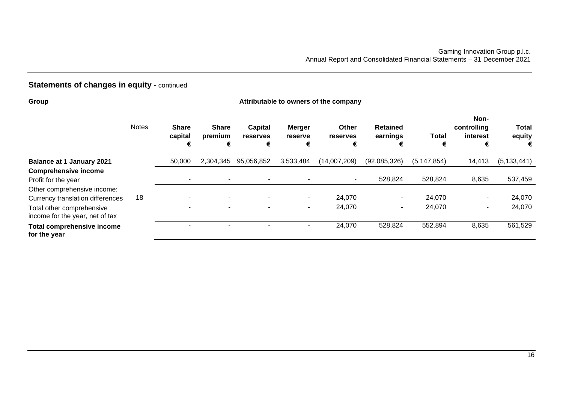# **Statements of changes in equity - continued**

| Group                                                           |              | Attributable to owners of the company |                              |                          |                                      |                               |                                  |               |                                      |                             |
|-----------------------------------------------------------------|--------------|---------------------------------------|------------------------------|--------------------------|--------------------------------------|-------------------------------|----------------------------------|---------------|--------------------------------------|-----------------------------|
|                                                                 | <b>Notes</b> | <b>Share</b><br>capital<br>€          | <b>Share</b><br>premium<br>€ | Capital<br>reserves<br>€ | <b>Merger</b><br><b>reserve</b><br>€ | Other<br><b>reserves</b><br>€ | <b>Retained</b><br>earnings<br>€ | Total<br>€    | Non-<br>controlling<br>interest<br>€ | <b>Total</b><br>equity<br>€ |
| <b>Balance at 1 January 2021</b>                                |              | 50,000                                | 2,304,345                    | 95,056,852               | 3,533,484                            | (14,007,209)                  | (92,085,326)                     | (5, 147, 854) | 14,413                               | (5, 133, 441)               |
| <b>Comprehensive income</b><br>Profit for the year              |              |                                       |                              |                          |                                      | $\sim$                        | 528,824                          | 528,824       | 8,635                                | 537,459                     |
| Other comprehensive income:<br>Currency translation differences | 18           | ٠                                     |                              |                          | $\blacksquare$                       | 24,070                        | $\tilde{\phantom{a}}$            | 24,070        | $\overline{\phantom{a}}$             | 24,070                      |
| Total other comprehensive<br>income for the year, net of tax    |              |                                       |                              |                          | $\blacksquare$                       | 24,070                        | ۰                                | 24,070        | н.                                   | 24,070                      |
| <b>Total comprehensive income</b><br>for the year               |              |                                       |                              |                          | $\blacksquare$                       | 24,070                        | 528,824                          | 552,894       | 8,635                                | 561,529                     |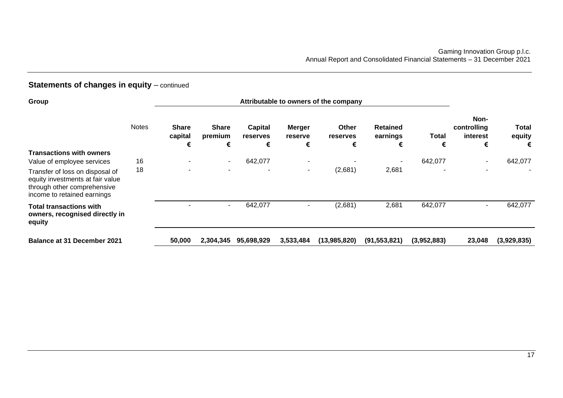| Group                                                                                            |              |                                            |                                    |                                        |                                                      |                                      |                                  |                                     |                                      |                             |
|--------------------------------------------------------------------------------------------------|--------------|--------------------------------------------|------------------------------------|----------------------------------------|------------------------------------------------------|--------------------------------------|----------------------------------|-------------------------------------|--------------------------------------|-----------------------------|
|                                                                                                  | <b>Notes</b> | <b>Share</b><br>capital<br>€               | <b>Share</b><br>premium<br>€       | <b>Capital</b><br><b>reserves</b><br>€ | <b>Merger</b><br>reserve<br>€                        | <b>Other</b><br><b>reserves</b><br>€ | <b>Retained</b><br>earnings<br>€ | Total<br>€                          | Non-<br>controlling<br>interest<br>€ | <b>Total</b><br>equity<br>€ |
| <b>Transactions with owners</b><br>Value of employee services<br>Transfer of loss on disposal of | 16<br>18     | $\blacksquare$<br>$\overline{\phantom{0}}$ | $\sim$<br>$\overline{\phantom{0}}$ | 642,077<br>$\overline{\phantom{a}}$    | $\overline{\phantom{a}}$<br>$\overline{\phantom{a}}$ | (2,681)                              | 2,681                            | 642,077<br>$\overline{\phantom{0}}$ | ۰<br>$\overline{\phantom{a}}$        | 642,077                     |
| equity investments at fair value<br>through other comprehensive<br>income to retained earnings   |              |                                            |                                    |                                        |                                                      |                                      |                                  |                                     |                                      |                             |
| <b>Total transactions with</b><br>owners, recognised directly in<br>equity                       |              |                                            | $\sim$                             | 642,077                                | ٠                                                    | (2,681)                              | 2,681                            | 642,077                             | ٠                                    | 642,077                     |
| <b>Balance at 31 December 2021</b>                                                               |              | 50,000                                     | 2,304,345                          | 95,698,929                             | 3,533,484                                            | (13,985,820)                         | (91, 553, 821)                   | (3,952,883)                         | 23,048                               | (3,929,835)                 |

# **Statements of changes in equity** – continued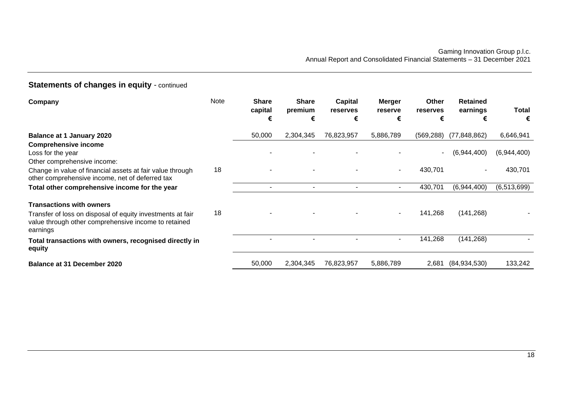| <b>Statements of changes in equity - continued</b> |
|----------------------------------------------------|
|                                                    |

| Company                                                                                                                                               | <b>Note</b> | <b>Share</b><br>capital<br>€ | <b>Share</b><br>premium<br>€ | <b>Capital</b><br>reserves<br>€ | <b>Merger</b><br>reserve<br>€ | <b>Other</b><br><b>reserves</b><br>€ | <b>Retained</b><br>earnings<br>€ | <b>Total</b><br>€ |
|-------------------------------------------------------------------------------------------------------------------------------------------------------|-------------|------------------------------|------------------------------|---------------------------------|-------------------------------|--------------------------------------|----------------------------------|-------------------|
| <b>Balance at 1 January 2020</b>                                                                                                                      |             | 50,000                       | 2,304,345                    | 76,823,957                      | 5,886,789                     | (569, 288)                           | (77,848,862)                     | 6,646,941         |
| <b>Comprehensive income</b><br>Loss for the year<br>Other comprehensive income:                                                                       |             |                              |                              |                                 |                               | $\sim$                               | (6,944,400)                      | (6,944,400)       |
| Change in value of financial assets at fair value through<br>other comprehensive income, net of deferred tax                                          | 18          |                              |                              |                                 |                               | 430,701                              |                                  | 430,701           |
| Total other comprehensive income for the year                                                                                                         |             |                              |                              |                                 |                               | 430,701                              | (6,944,400)                      | (6,513,699)       |
| <b>Transactions with owners</b><br>Transfer of loss on disposal of equity investments at fair<br>value through other comprehensive income to retained | 18          |                              |                              |                                 |                               | 141,268                              | (141, 268)                       |                   |
| earnings<br>Total transactions with owners, recognised directly in<br>equity                                                                          |             |                              |                              |                                 | ۰                             | 141,268                              | (141, 268)                       |                   |
| <b>Balance at 31 December 2020</b>                                                                                                                    |             | 50,000                       | 2,304,345                    | 76,823,957                      | 5,886,789                     | 2,681                                | (84, 934, 530)                   | 133,242           |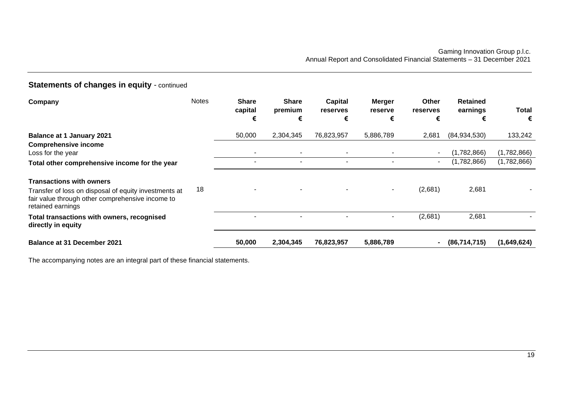# **Statements of changes in equity - continued**

| Company                                                                                                                                                           | <b>Notes</b> | <b>Share</b><br>capital<br>€ | <b>Share</b><br>premium<br>€ | <b>Capital</b><br>reserves<br>€ | <b>Merger</b><br><b>reserve</b><br>€ | Other<br><b>reserves</b><br>€ | <b>Retained</b><br>earnings<br>€ | <b>Total</b><br>€ |
|-------------------------------------------------------------------------------------------------------------------------------------------------------------------|--------------|------------------------------|------------------------------|---------------------------------|--------------------------------------|-------------------------------|----------------------------------|-------------------|
| <b>Balance at 1 January 2021</b>                                                                                                                                  |              | 50,000                       | 2,304,345                    | 76,823,957                      | 5,886,789                            | 2,681                         | (84, 934, 530)                   | 133,242           |
| <b>Comprehensive income</b><br>Loss for the year                                                                                                                  |              | ٠                            | ٠                            |                                 |                                      | $\overline{\phantom{a}}$      | (1,782,866)                      | (1,782,866)       |
| Total other comprehensive income for the year                                                                                                                     |              | ٠                            |                              | ٠                               |                                      | $\blacksquare$                | (1,782,866)                      | (1,782,866)       |
| <b>Transactions with owners</b><br>Transfer of loss on disposal of equity investments at<br>fair value through other comprehensive income to<br>retained earnings | 18           |                              |                              |                                 | н.                                   | (2,681)                       | 2,681                            |                   |
| Total transactions with owners, recognised<br>directly in equity                                                                                                  |              |                              |                              |                                 |                                      | (2,681)                       | 2,681                            |                   |
| <b>Balance at 31 December 2021</b>                                                                                                                                |              | 50,000                       | 2,304,345                    | 76,823,957                      | 5,886,789                            | $\blacksquare$                | (86, 714, 715)                   | (1,649,624)       |

The accompanying notes are an integral part of these financial statements.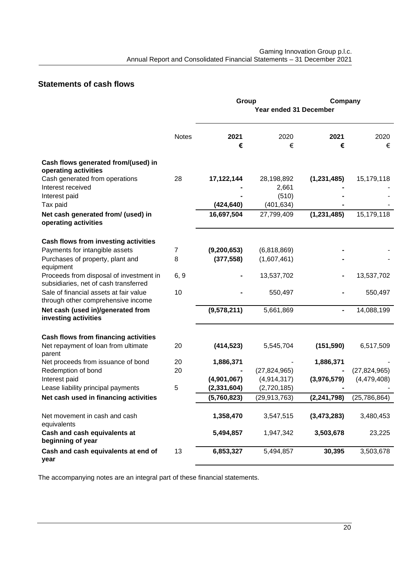# **Statements of cash flows**

|                                                                                  |                | Group<br>Company       |                |                          |                |
|----------------------------------------------------------------------------------|----------------|------------------------|----------------|--------------------------|----------------|
|                                                                                  |                | Year ended 31 December |                |                          |                |
|                                                                                  | <b>Notes</b>   | 2021                   | 2020           | 2021                     | 2020           |
|                                                                                  |                | €                      | €              | €                        | €              |
| Cash flows generated from/(used) in<br>operating activities                      |                |                        |                |                          |                |
| Cash generated from operations                                                   | 28             | 17,122,144             | 28,198,892     | (1, 231, 485)            | 15,179,118     |
| Interest received                                                                |                |                        | 2,661          |                          |                |
| Interest paid                                                                    |                |                        | (510)          |                          |                |
| Tax paid                                                                         |                | (424, 640)             | (401, 634)     |                          |                |
| Net cash generated from/ (used) in<br>operating activities                       |                | 16,697,504             | 27,799,409     | (1, 231, 485)            | 15,179,118     |
| Cash flows from investing activities                                             |                |                        |                |                          |                |
| Payments for intangible assets                                                   | $\overline{7}$ | (9,200,653)            | (6,818,869)    |                          |                |
| Purchases of property, plant and<br>equipment                                    | 8              | (377, 558)             | (1,607,461)    |                          |                |
| Proceeds from disposal of investment in<br>subsidiaries, net of cash transferred | 6, 9           |                        | 13,537,702     |                          | 13,537,702     |
| Sale of financial assets at fair value<br>through other comprehensive income     | 10             |                        | 550,497        |                          | 550,497        |
| Net cash (used in)/generated from<br>investing activities                        |                | (9,578,211)            | 5,661,869      | $\overline{\phantom{0}}$ | 14,088,199     |
| Cash flows from financing activities                                             |                |                        |                |                          |                |
| Net repayment of loan from ultimate<br>parent                                    | 20             | (414, 523)             | 5,545,704      | (151, 590)               | 6,517,509      |
| Net proceeds from issuance of bond                                               | 20             | 1,886,371              |                | 1,886,371                |                |
| Redemption of bond                                                               | 20             |                        | (27, 824, 965) |                          | (27, 824, 965) |
| Interest paid                                                                    |                | (4,901,067)            | (4,914,317)    | (3,976,579)              | (4,479,408)    |
| Lease liability principal payments                                               | 5              | (2, 331, 604)          | (2,720,185)    |                          |                |
| Net cash used in financing activities                                            |                | (5,760,823)            | (29, 913, 763) | (2, 241, 798)            | (25, 786, 864) |
| Net movement in cash and cash<br>equivalents                                     |                | 1,358,470              | 3,547,515      | (3,473,283)              | 3,480,453      |
| Cash and cash equivalents at<br>beginning of year                                |                | 5,494,857              | 1,947,342      | 3,503,678                | 23,225         |
| Cash and cash equivalents at end of<br>year                                      | 13             | 6,853,327              | 5,494,857      | 30,395                   | 3,503,678      |

The accompanying notes are an integral part of these financial statements.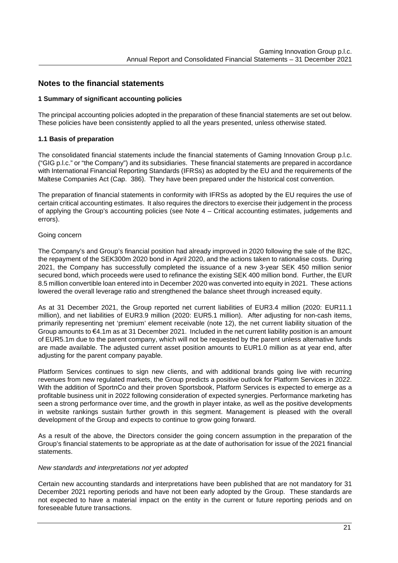# **Notes to the financial statements**

## **1 Summary of significant accounting policies**

The principal accounting policies adopted in the preparation of these financial statements are set out below. These policies have been consistently applied to all the years presented, unless otherwise stated.

## **1.1 Basis of preparation**

The consolidated financial statements include the financial statements of Gaming Innovation Group p.l.c. ("GIG p.l.c." or "the Company") and its subsidiaries. These financial statements are prepared in accordance with International Financial Reporting Standards (IFRSs) as adopted by the EU and the requirements of the Maltese Companies Act (Cap. 386). They have been prepared under the historical cost convention.

The preparation of financial statements in conformity with IFRSs as adopted by the EU requires the use of certain critical accounting estimates. It also requires the directors to exercise their judgement in the process of applying the Group's accounting policies (see Note 4 – Critical accounting estimates, judgements and errors).

#### Going concern

The Company's and Group's financial position had already improved in 2020 following the sale of the B2C, the repayment of the SEK300m 2020 bond in April 2020, and the actions taken to rationalise costs. During 2021, the Company has successfully completed the issuance of a new 3-year SEK 450 million senior secured bond, which proceeds were used to refinance the existing SEK 400 million bond. Further, the EUR 8.5 million convertible loan entered into in December 2020 was converted into equity in 2021. These actions lowered the overall leverage ratio and strengthened the balance sheet through increased equity.

As at 31 December 2021, the Group reported net current liabilities of EUR3.4 million (2020: EUR11.1 million), and net liabilities of EUR3.9 million (2020: EUR5.1 million). After adjusting for non-cash items, primarily representing net 'premium' element receivable (note 12), the net current liability situation of the Group amounts to €4.1m as at 31 December 2021. Included in the net current liability position is an amount of EUR5.1m due to the parent company, which will not be requested by the parent unless alternative funds are made available. The adjusted current asset position amounts to EUR1.0 million as at year end, after adjusting for the parent company payable.

Platform Services continues to sign new clients, and with additional brands going live with recurring revenues from new regulated markets, the Group predicts a positive outlook for Platform Services in 2022. With the addition of SportnCo and their proven Sportsbook, Platform Services is expected to emerge as a profitable business unit in 2022 following consideration of expected synergies. Performance marketing has seen a strong performance over time, and the growth in player intake, as well as the positive developments in website rankings sustain further growth in this segment. Management is pleased with the overall development of the Group and expects to continue to grow going forward.

As a result of the above, the Directors consider the going concern assumption in the preparation of the Group's financial statements to be appropriate as at the date of authorisation for issue of the 2021 financial statements.

#### *New standards and interpretations not yet adopted*

Certain new accounting standards and interpretations have been published that are not mandatory for 31 December 2021 reporting periods and have not been early adopted by the Group. These standards are not expected to have a material impact on the entity in the current or future reporting periods and on foreseeable future transactions.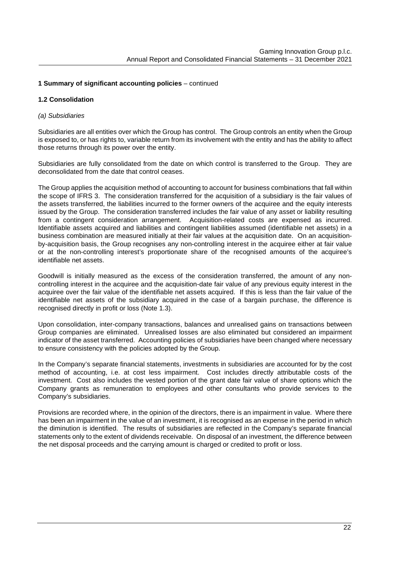## **1.2 Consolidation**

## *(a) Subsidiaries*

Subsidiaries are all entities over which the Group has control. The Group controls an entity when the Group is exposed to, or has rights to, variable return from its involvement with the entity and has the ability to affect those returns through its power over the entity.

Subsidiaries are fully consolidated from the date on which control is transferred to the Group. They are deconsolidated from the date that control ceases.

The Group applies the acquisition method of accounting to account for business combinations that fall within the scope of IFRS 3. The consideration transferred for the acquisition of a subsidiary is the fair values of the assets transferred, the liabilities incurred to the former owners of the acquiree and the equity interests issued by the Group. The consideration transferred includes the fair value of any asset or liability resulting from a contingent consideration arrangement. Acquisition-related costs are expensed as incurred. Identifiable assets acquired and liabilities and contingent liabilities assumed (identifiable net assets) in a business combination are measured initially at their fair values at the acquisition date. On an acquisitionby-acquisition basis, the Group recognises any non-controlling interest in the acquiree either at fair value or at the non-controlling interest's proportionate share of the recognised amounts of the acquiree's identifiable net assets.

Goodwill is initially measured as the excess of the consideration transferred, the amount of any noncontrolling interest in the acquiree and the acquisition-date fair value of any previous equity interest in the acquiree over the fair value of the identifiable net assets acquired. If this is less than the fair value of the identifiable net assets of the subsidiary acquired in the case of a bargain purchase, the difference is recognised directly in profit or loss (Note 1.3).

Upon consolidation, inter-company transactions, balances and unrealised gains on transactions between Group companies are eliminated. Unrealised losses are also eliminated but considered an impairment indicator of the asset transferred. Accounting policies of subsidiaries have been changed where necessary to ensure consistency with the policies adopted by the Group.

In the Company's separate financial statements, investments in subsidiaries are accounted for by the cost method of accounting, i.e. at cost less impairment. Cost includes directly attributable costs of the investment. Cost also includes the vested portion of the grant date fair value of share options which the Company grants as remuneration to employees and other consultants who provide services to the Company's subsidiaries.

Provisions are recorded where, in the opinion of the directors, there is an impairment in value. Where there has been an impairment in the value of an investment, it is recognised as an expense in the period in which the diminution is identified. The results of subsidiaries are reflected in the Company's separate financial statements only to the extent of dividends receivable. On disposal of an investment, the difference between the net disposal proceeds and the carrying amount is charged or credited to profit or loss.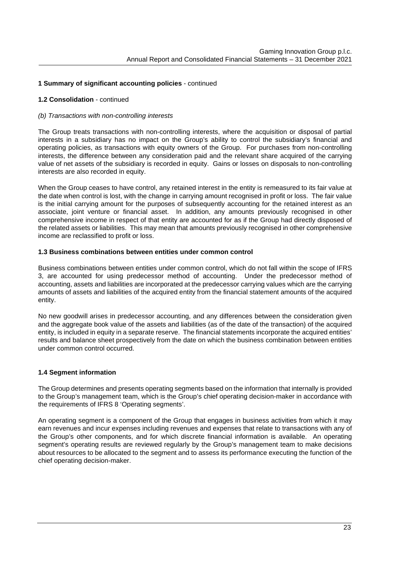#### **1.2 Consolidation** - continued

#### *(b) Transactions with non-controlling interests*

The Group treats transactions with non-controlling interests, where the acquisition or disposal of partial interests in a subsidiary has no impact on the Group's ability to control the subsidiary's financial and operating policies, as transactions with equity owners of the Group. For purchases from non-controlling interests, the difference between any consideration paid and the relevant share acquired of the carrying value of net assets of the subsidiary is recorded in equity. Gains or losses on disposals to non-controlling interests are also recorded in equity.

When the Group ceases to have control, any retained interest in the entity is remeasured to its fair value at the date when control is lost, with the change in carrying amount recognised in profit or loss. The fair value is the initial carrying amount for the purposes of subsequently accounting for the retained interest as an associate, joint venture or financial asset. In addition, any amounts previously recognised in other comprehensive income in respect of that entity are accounted for as if the Group had directly disposed of the related assets or liabilities. This may mean that amounts previously recognised in other comprehensive income are reclassified to profit or loss.

#### **1.3 Business combinations between entities under common control**

Business combinations between entities under common control, which do not fall within the scope of IFRS 3, are accounted for using predecessor method of accounting. Under the predecessor method of accounting, assets and liabilities are incorporated at the predecessor carrying values which are the carrying amounts of assets and liabilities of the acquired entity from the financial statement amounts of the acquired entity.

No new goodwill arises in predecessor accounting, and any differences between the consideration given and the aggregate book value of the assets and liabilities (as of the date of the transaction) of the acquired entity, is included in equity in a separate reserve. The financial statements incorporate the acquired entities' results and balance sheet prospectively from the date on which the business combination between entities under common control occurred.

#### **1.4 Segment information**

The Group determines and presents operating segments based on the information that internally is provided to the Group's management team, which is the Group's chief operating decision-maker in accordance with the requirements of IFRS 8 'Operating segments'.

An operating segment is a component of the Group that engages in business activities from which it may earn revenues and incur expenses including revenues and expenses that relate to transactions with any of the Group's other components, and for which discrete financial information is available. An operating segment's operating results are reviewed regularly by the Group's management team to make decisions about resources to be allocated to the segment and to assess its performance executing the function of the chief operating decision-maker.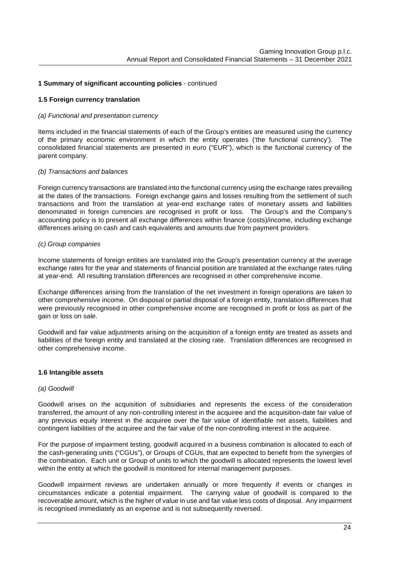#### **1.5 Foreign currency translation**

#### *(a) Functional and presentation currency*

Items included in the financial statements of each of the Group's entities are measured using the currency of the primary economic environment in which the entity operates ('the functional currency'). The consolidated financial statements are presented in euro ("EUR"), which is the functional currency of the parent company.

#### *(b) Transactions and balances*

Foreign currency transactions are translated into the functional currency using the exchange rates prevailing at the dates of the transactions. Foreign exchange gains and losses resulting from the settlement of such transactions and from the translation at year-end exchange rates of monetary assets and liabilities denominated in foreign currencies are recognised in profit or loss. The Group's and the Company's accounting policy is to present all exchange differences within finance (costs)/income, including exchange differences arising on cash and cash equivalents and amounts due from payment providers.

#### *(c) Group companies*

Income statements of foreign entities are translated into the Group's presentation currency at the average exchange rates for the year and statements of financial position are translated at the exchange rates ruling at year-end. All resulting translation differences are recognised in other comprehensive income.

Exchange differences arising from the translation of the net investment in foreign operations are taken to other comprehensive income. On disposal or partial disposal of a foreign entity, translation differences that were previously recognised in other comprehensive income are recognised in profit or loss as part of the gain or loss on sale.

Goodwill and fair value adjustments arising on the acquisition of a foreign entity are treated as assets and liabilities of the foreign entity and translated at the closing rate. Translation differences are recognised in other comprehensive income.

#### **1.6 Intangible assets**

#### *(a) Goodwill*

Goodwill arises on the acquisition of subsidiaries and represents the excess of the consideration transferred, the amount of any non-controlling interest in the acquiree and the acquisition-date fair value of any previous equity interest in the acquiree over the fair value of identifiable net assets, liabilities and contingent liabilities of the acquiree and the fair value of the non-controlling interest in the acquiree.

For the purpose of impairment testing, goodwill acquired in a business combination is allocated to each of the cash-generating units ("CGUs"), or Groups of CGUs, that are expected to benefit from the synergies of the combination. Each unit or Group of units to which the goodwill is allocated represents the lowest level within the entity at which the goodwill is monitored for internal management purposes.

Goodwill impairment reviews are undertaken annually or more frequently if events or changes in circumstances indicate a potential impairment. The carrying value of goodwill is compared to the recoverable amount, which is the higher of value in use and fair value less costs of disposal. Any impairment is recognised immediately as an expense and is not subsequently reversed.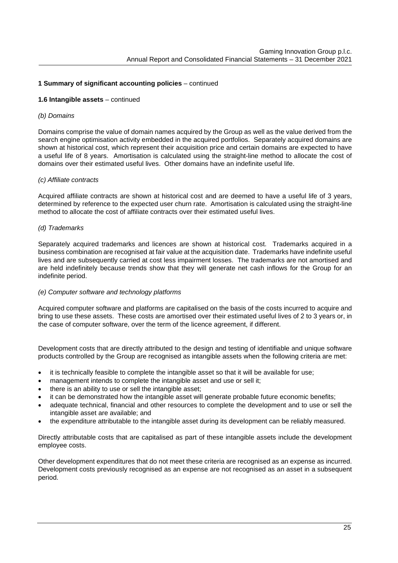### **1.6 Intangible assets** – continued

### *(b) Domains*

Domains comprise the value of domain names acquired by the Group as well as the value derived from the search engine optimisation activity embedded in the acquired portfolios. Separately acquired domains are shown at historical cost, which represent their acquisition price and certain domains are expected to have a useful life of 8 years. Amortisation is calculated using the straight-line method to allocate the cost of domains over their estimated useful lives. Other domains have an indefinite useful life.

#### *(c) Affiliate contracts*

Acquired affiliate contracts are shown at historical cost and are deemed to have a useful life of 3 years, determined by reference to the expected user churn rate. Amortisation is calculated using the straight-line method to allocate the cost of affiliate contracts over their estimated useful lives.

#### *(d) Trademarks*

Separately acquired trademarks and licences are shown at historical cost. Trademarks acquired in a business combination are recognised at fair value at the acquisition date. Trademarks have indefinite useful lives and are subsequently carried at cost less impairment losses. The trademarks are not amortised and are held indefinitely because trends show that they will generate net cash inflows for the Group for an indefinite period.

#### *(e) Computer software and technology platforms*

Acquired computer software and platforms are capitalised on the basis of the costs incurred to acquire and bring to use these assets. These costs are amortised over their estimated useful lives of 2 to 3 years or, in the case of computer software, over the term of the licence agreement, if different.

Development costs that are directly attributed to the design and testing of identifiable and unique software products controlled by the Group are recognised as intangible assets when the following criteria are met:

- it is technically feasible to complete the intangible asset so that it will be available for use;
- management intends to complete the intangible asset and use or sell it;
- there is an ability to use or sell the intangible asset;
- it can be demonstrated how the intangible asset will generate probable future economic benefits;
- adequate technical, financial and other resources to complete the development and to use or sell the intangible asset are available; and
- the expenditure attributable to the intangible asset during its development can be reliably measured.

Directly attributable costs that are capitalised as part of these intangible assets include the development employee costs.

Other development expenditures that do not meet these criteria are recognised as an expense as incurred. Development costs previously recognised as an expense are not recognised as an asset in a subsequent period.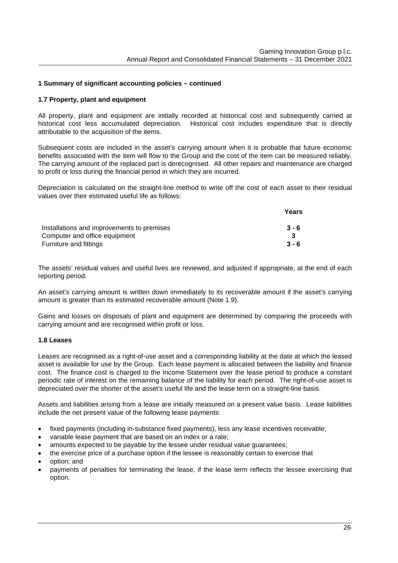#### **1.7 Property, plant and equipment**

All property, plant and equipment are initially recorded at historical cost and subsequently carried at historical cost less accumulated depreciation. Historical cost includes expenditure that is directly attributable to the acquisition of the items.

Subsequent costs are included in the asset's carrying amount when it is probable that future economic benefits associated with the item will flow to the Group and the cost of the item can be measured reliably. The carrying amount of the replaced part is derecognised. All other repairs and maintenance are charged to profit or loss during the financial period in which they are incurred.

Depreciation is calculated on the straight-line method to write off the cost of each asset to their residual values over their estimated useful life as follows:

|                                            | Years   |
|--------------------------------------------|---------|
| Installations and improvements to premises | $3 - 6$ |
| Computer and office equipment              |         |
| Furniture and fittings                     | $3 - 6$ |

The assets' residual values and useful lives are reviewed, and adjusted if appropriate, at the end of each reporting period.

An asset's carrying amount is written down immediately to its recoverable amount if the asset's carrying amount is greater than its estimated recoverable amount (Note 1.9).

Gains and losses on disposals of plant and equipment are determined by comparing the proceeds with carrying amount and are recognised within profit or loss.

#### **1.8 Leases**

Leases are recognised as a right-of-use asset and a corresponding liability at the date at which the leased asset is available for use by the Group. Each lease payment is allocated between the liability and finance cost. The finance cost is charged to the Income Statement over the lease period to produce a constant periodic rate of interest on the remaining balance of the liability for each period. The right-of-use asset is depreciated over the shorter of the asset's useful life and the lease term on a straight-line basis.

Assets and liabilities arising from a lease are initially measured on a present value basis. Lease liabilities include the net present value of the following lease payments:

- fixed payments (including in-substance fixed payments), less any lease incentives receivable;
- variable lease payment that are based on an index or a rate;
- amounts expected to be payable by the lessee under residual value guarantees;
- the exercise price of a purchase option if the lessee is reasonably certain to exercise that
- option; and
- payments of penalties for terminating the lease, if the lease term reflects the lessee exercising that option.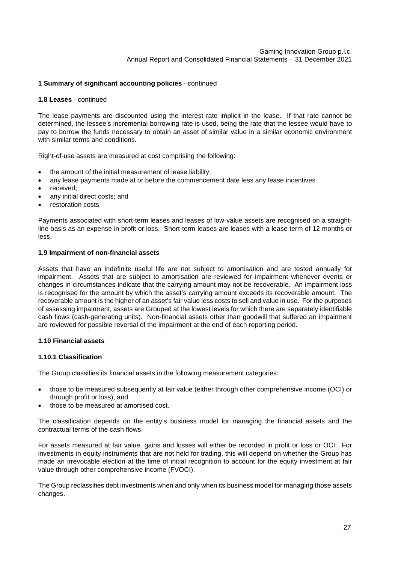#### **1.8 Leases** - continued

The lease payments are discounted using the interest rate implicit in the lease. If that rate cannot be determined, the lessee's incremental borrowing rate is used, being the rate that the lessee would have to pay to borrow the funds necessary to obtain an asset of similar value in a similar economic environment with similar terms and conditions.

Right-of-use assets are measured at cost comprising the following:

- the amount of the initial measurement of lease liability;
- any lease payments made at or before the commencement date less any lease incentives
- received:
- any initial direct costs: and
- restoration costs.

Payments associated with short-term leases and leases of low-value assets are recognised on a straightline basis as an expense in profit or loss. Short-term leases are leases with a lease term of 12 months or less.

#### **1.9 Impairment of non-financial assets**

Assets that have an indefinite useful life are not subject to amortisation and are tested annually for impairment. Assets that are subject to amortisation are reviewed for impairment whenever events or changes in circumstances indicate that the carrying amount may not be recoverable. An impairment loss is recognised for the amount by which the asset's carrying amount exceeds its recoverable amount. The recoverable amount is the higher of an asset's fair value less costs to sell and value in use. For the purposes of assessing impairment, assets are Grouped at the lowest levels for which there are separately identifiable cash flows (cash-generating units). Non-financial assets other than goodwill that suffered an impairment are reviewed for possible reversal of the impairment at the end of each reporting period.

### **1.10 Financial assets**

#### **1.10.1 Classification**

The Group classifies its financial assets in the following measurement categories:

- those to be measured subsequently at fair value (either through other comprehensive income (OCI) or through profit or loss), and
- those to be measured at amortised cost.

The classification depends on the entity's business model for managing the financial assets and the contractual terms of the cash flows.

For assets measured at fair value, gains and losses will either be recorded in profit or loss or OCI. For investments in equity instruments that are not held for trading, this will depend on whether the Group has made an irrevocable election at the time of initial recognition to account for the equity investment at fair value through other comprehensive income (FVOCI).

The Group reclassifies debt investments when and only when its business model for managing those assets changes.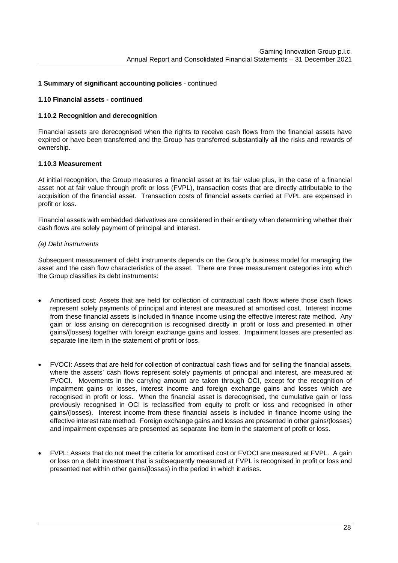#### **1.10 Financial assets - continued**

#### **1.10.2 Recognition and derecognition**

Financial assets are derecognised when the rights to receive cash flows from the financial assets have expired or have been transferred and the Group has transferred substantially all the risks and rewards of ownership.

#### **1.10.3 Measurement**

At initial recognition, the Group measures a financial asset at its fair value plus, in the case of a financial asset not at fair value through profit or loss (FVPL), transaction costs that are directly attributable to the acquisition of the financial asset. Transaction costs of financial assets carried at FVPL are expensed in profit or loss.

Financial assets with embedded derivatives are considered in their entirety when determining whether their cash flows are solely payment of principal and interest.

#### *(a) Debt instruments*

Subsequent measurement of debt instruments depends on the Group's business model for managing the asset and the cash flow characteristics of the asset. There are three measurement categories into which the Group classifies its debt instruments:

- Amortised cost: Assets that are held for collection of contractual cash flows where those cash flows represent solely payments of principal and interest are measured at amortised cost. Interest income from these financial assets is included in finance income using the effective interest rate method. Any gain or loss arising on derecognition is recognised directly in profit or loss and presented in other gains/(losses) together with foreign exchange gains and losses. Impairment losses are presented as separate line item in the statement of profit or loss.
- FVOCI: Assets that are held for collection of contractual cash flows and for selling the financial assets, where the assets' cash flows represent solely payments of principal and interest, are measured at FVOCI. Movements in the carrying amount are taken through OCI, except for the recognition of impairment gains or losses, interest income and foreign exchange gains and losses which are recognised in profit or loss. When the financial asset is derecognised, the cumulative gain or loss previously recognised in OCI is reclassified from equity to profit or loss and recognised in other gains/(losses). Interest income from these financial assets is included in finance income using the effective interest rate method. Foreign exchange gains and losses are presented in other gains/(losses) and impairment expenses are presented as separate line item in the statement of profit or loss.
- FVPL: Assets that do not meet the criteria for amortised cost or FVOCI are measured at FVPL. A gain or loss on a debt investment that is subsequently measured at FVPL is recognised in profit or loss and presented net within other gains/(losses) in the period in which it arises.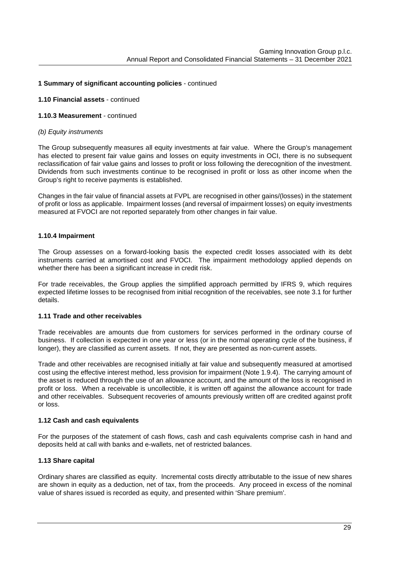#### **1.10 Financial assets** - continued

#### **1.10.3 Measurement** - continued

#### *(b) Equity instruments*

The Group subsequently measures all equity investments at fair value. Where the Group's management has elected to present fair value gains and losses on equity investments in OCI, there is no subsequent reclassification of fair value gains and losses to profit or loss following the derecognition of the investment. Dividends from such investments continue to be recognised in profit or loss as other income when the Group's right to receive payments is established.

Changes in the fair value of financial assets at FVPL are recognised in other gains/(losses) in the statement of profit or loss as applicable. Impairment losses (and reversal of impairment losses) on equity investments measured at FVOCI are not reported separately from other changes in fair value.

#### **1.10.4 Impairment**

The Group assesses on a forward-looking basis the expected credit losses associated with its debt instruments carried at amortised cost and FVOCI. The impairment methodology applied depends on whether there has been a significant increase in credit risk.

For trade receivables, the Group applies the simplified approach permitted by IFRS 9, which requires expected lifetime losses to be recognised from initial recognition of the receivables, see note 3.1 for further details.

#### **1.11 Trade and other receivables**

Trade receivables are amounts due from customers for services performed in the ordinary course of business. If collection is expected in one year or less (or in the normal operating cycle of the business, if longer), they are classified as current assets. If not, they are presented as non-current assets.

Trade and other receivables are recognised initially at fair value and subsequently measured at amortised cost using the effective interest method, less provision for impairment (Note 1.9.4). The carrying amount of the asset is reduced through the use of an allowance account, and the amount of the loss is recognised in profit or loss. When a receivable is uncollectible, it is written off against the allowance account for trade and other receivables. Subsequent recoveries of amounts previously written off are credited against profit or loss.

#### **1.12 Cash and cash equivalents**

For the purposes of the statement of cash flows, cash and cash equivalents comprise cash in hand and deposits held at call with banks and e-wallets, net of restricted balances.

#### **1.13 Share capital**

Ordinary shares are classified as equity. Incremental costs directly attributable to the issue of new shares are shown in equity as a deduction, net of tax, from the proceeds. Any proceed in excess of the nominal value of shares issued is recorded as equity, and presented within 'Share premium'.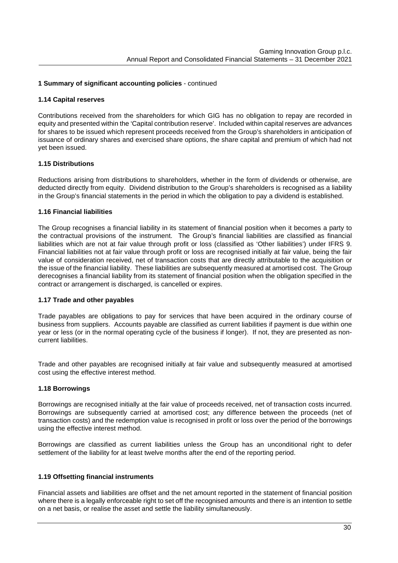#### **1.14 Capital reserves**

Contributions received from the shareholders for which GIG has no obligation to repay are recorded in equity and presented within the 'Capital contribution reserve'. Included within capital reserves are advances for shares to be issued which represent proceeds received from the Group's shareholders in anticipation of issuance of ordinary shares and exercised share options, the share capital and premium of which had not yet been issued.

#### **1.15 Distributions**

Reductions arising from distributions to shareholders, whether in the form of dividends or otherwise, are deducted directly from equity. Dividend distribution to the Group's shareholders is recognised as a liability in the Group's financial statements in the period in which the obligation to pay a dividend is established.

#### **1.16 Financial liabilities**

The Group recognises a financial liability in its statement of financial position when it becomes a party to the contractual provisions of the instrument. The Group's financial liabilities are classified as financial liabilities which are not at fair value through profit or loss (classified as 'Other liabilities') under IFRS 9. Financial liabilities not at fair value through profit or loss are recognised initially at fair value, being the fair value of consideration received, net of transaction costs that are directly attributable to the acquisition or the issue of the financial liability. These liabilities are subsequently measured at amortised cost. The Group derecognises a financial liability from its statement of financial position when the obligation specified in the contract or arrangement is discharged, is cancelled or expires.

#### **1.17 Trade and other payables**

Trade payables are obligations to pay for services that have been acquired in the ordinary course of business from suppliers. Accounts payable are classified as current liabilities if payment is due within one year or less (or in the normal operating cycle of the business if longer). If not, they are presented as noncurrent liabilities.

Trade and other payables are recognised initially at fair value and subsequently measured at amortised cost using the effective interest method.

#### **1.18 Borrowings**

Borrowings are recognised initially at the fair value of proceeds received, net of transaction costs incurred. Borrowings are subsequently carried at amortised cost; any difference between the proceeds (net of transaction costs) and the redemption value is recognised in profit or loss over the period of the borrowings using the effective interest method.

Borrowings are classified as current liabilities unless the Group has an unconditional right to defer settlement of the liability for at least twelve months after the end of the reporting period.

#### **1.19 Offsetting financial instruments**

Financial assets and liabilities are offset and the net amount reported in the statement of financial position where there is a legally enforceable right to set off the recognised amounts and there is an intention to settle on a net basis, or realise the asset and settle the liability simultaneously.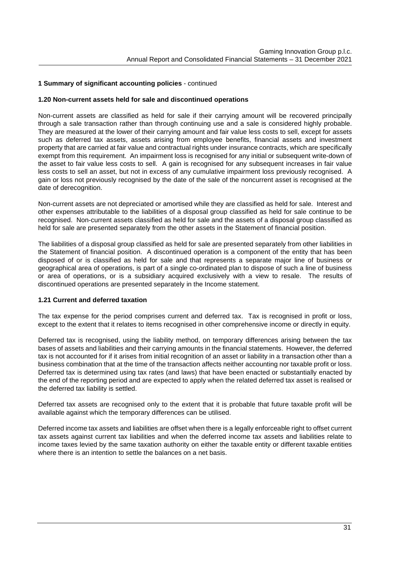#### **1.20 Non-current assets held for sale and discontinued operations**

Non-current assets are classified as held for sale if their carrying amount will be recovered principally through a sale transaction rather than through continuing use and a sale is considered highly probable. They are measured at the lower of their carrying amount and fair value less costs to sell, except for assets such as deferred tax assets, assets arising from employee benefits, financial assets and investment property that are carried at fair value and contractual rights under insurance contracts, which are specifically exempt from this requirement. An impairment loss is recognised for any initial or subsequent write-down of the asset to fair value less costs to sell. A gain is recognised for any subsequent increases in fair value less costs to sell an asset, but not in excess of any cumulative impairment loss previously recognised. A gain or loss not previously recognised by the date of the sale of the noncurrent asset is recognised at the date of derecognition.

Non-current assets are not depreciated or amortised while they are classified as held for sale. Interest and other expenses attributable to the liabilities of a disposal group classified as held for sale continue to be recognised. Non-current assets classified as held for sale and the assets of a disposal group classified as held for sale are presented separately from the other assets in the Statement of financial position.

The liabilities of a disposal group classified as held for sale are presented separately from other liabilities in the Statement of financial position. A discontinued operation is a component of the entity that has been disposed of or is classified as held for sale and that represents a separate major line of business or geographical area of operations, is part of a single co-ordinated plan to dispose of such a line of business or area of operations, or is a subsidiary acquired exclusively with a view to resale. The results of discontinued operations are presented separately in the Income statement.

#### **1.21 Current and deferred taxation**

The tax expense for the period comprises current and deferred tax. Tax is recognised in profit or loss, except to the extent that it relates to items recognised in other comprehensive income or directly in equity.

Deferred tax is recognised, using the liability method, on temporary differences arising between the tax bases of assets and liabilities and their carrying amounts in the financial statements. However, the deferred tax is not accounted for if it arises from initial recognition of an asset or liability in a transaction other than a business combination that at the time of the transaction affects neither accounting nor taxable profit or loss. Deferred tax is determined using tax rates (and laws) that have been enacted or substantially enacted by the end of the reporting period and are expected to apply when the related deferred tax asset is realised or the deferred tax liability is settled.

Deferred tax assets are recognised only to the extent that it is probable that future taxable profit will be available against which the temporary differences can be utilised.

Deferred income tax assets and liabilities are offset when there is a legally enforceable right to offset current tax assets against current tax liabilities and when the deferred income tax assets and liabilities relate to income taxes levied by the same taxation authority on either the taxable entity or different taxable entities where there is an intention to settle the balances on a net basis.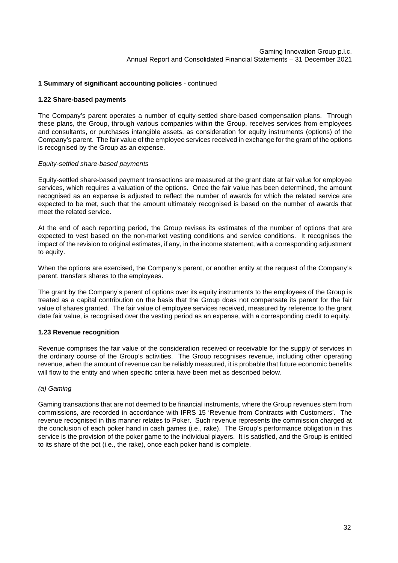#### **1.22 Share-based payments**

The Company's parent operates a number of equity-settled share-based compensation plans. Through these plans, the Group, through various companies within the Group, receives services from employees and consultants, or purchases intangible assets, as consideration for equity instruments (options) of the Company's parent. The fair value of the employee services received in exchange for the grant of the options is recognised by the Group as an expense.

#### *Equity-settled share-based payments*

Equity-settled share-based payment transactions are measured at the grant date at fair value for employee services, which requires a valuation of the options. Once the fair value has been determined, the amount recognised as an expense is adjusted to reflect the number of awards for which the related service are expected to be met, such that the amount ultimately recognised is based on the number of awards that meet the related service.

At the end of each reporting period, the Group revises its estimates of the number of options that are expected to vest based on the non-market vesting conditions and service conditions. It recognises the impact of the revision to original estimates, if any, in the income statement, with a corresponding adjustment to equity.

When the options are exercised, the Company's parent, or another entity at the request of the Company's parent, transfers shares to the employees.

The grant by the Company's parent of options over its equity instruments to the employees of the Group is treated as a capital contribution on the basis that the Group does not compensate its parent for the fair value of shares granted. The fair value of employee services received, measured by reference to the grant date fair value, is recognised over the vesting period as an expense, with a corresponding credit to equity.

#### **1.23 Revenue recognition**

Revenue comprises the fair value of the consideration received or receivable for the supply of services in the ordinary course of the Group's activities. The Group recognises revenue, including other operating revenue, when the amount of revenue can be reliably measured, it is probable that future economic benefits will flow to the entity and when specific criteria have been met as described below.

#### *(a) Gaming*

Gaming transactions that are not deemed to be financial instruments, where the Group revenues stem from commissions, are recorded in accordance with IFRS 15 'Revenue from Contracts with Customers'. The revenue recognised in this manner relates to Poker. Such revenue represents the commission charged at the conclusion of each poker hand in cash games (i.e., rake). The Group's performance obligation in this service is the provision of the poker game to the individual players. It is satisfied, and the Group is entitled to its share of the pot (i.e., the rake), once each poker hand is complete.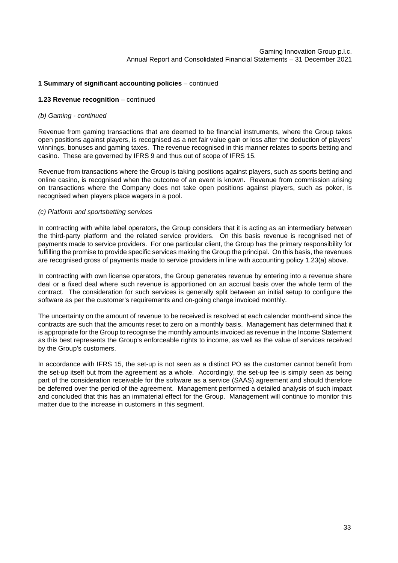#### **1.23 Revenue recognition** – continued

### *(b) Gaming - continued*

Revenue from gaming transactions that are deemed to be financial instruments, where the Group takes open positions against players, is recognised as a net fair value gain or loss after the deduction of players' winnings, bonuses and gaming taxes. The revenue recognised in this manner relates to sports betting and casino. These are governed by IFRS 9 and thus out of scope of IFRS 15.

Revenue from transactions where the Group is taking positions against players, such as sports betting and online casino, is recognised when the outcome of an event is known. Revenue from commission arising on transactions where the Company does not take open positions against players, such as poker, is recognised when players place wagers in a pool.

#### *(c) Platform and sportsbetting services*

In contracting with white label operators, the Group considers that it is acting as an intermediary between the third-party platform and the related service providers. On this basis revenue is recognised net of payments made to service providers. For one particular client, the Group has the primary responsibility for fulfilling the promise to provide specific services making the Group the principal. On this basis, the revenues are recognised gross of payments made to service providers in line with accounting policy 1.23(a) above.

In contracting with own license operators, the Group generates revenue by entering into a revenue share deal or a fixed deal where such revenue is apportioned on an accrual basis over the whole term of the contract. The consideration for such services is generally split between an initial setup to configure the software as per the customer's requirements and on-going charge invoiced monthly.

The uncertainty on the amount of revenue to be received is resolved at each calendar month-end since the contracts are such that the amounts reset to zero on a monthly basis. Management has determined that it is appropriate for the Group to recognise the monthly amounts invoiced as revenue in the Income Statement as this best represents the Group's enforceable rights to income, as well as the value of services received by the Group's customers.

In accordance with IFRS 15, the set-up is not seen as a distinct PO as the customer cannot benefit from the set-up itself but from the agreement as a whole. Accordingly, the set-up fee is simply seen as being part of the consideration receivable for the software as a service (SAAS) agreement and should therefore be deferred over the period of the agreement. Management performed a detailed analysis of such impact and concluded that this has an immaterial effect for the Group. Management will continue to monitor this matter due to the increase in customers in this segment.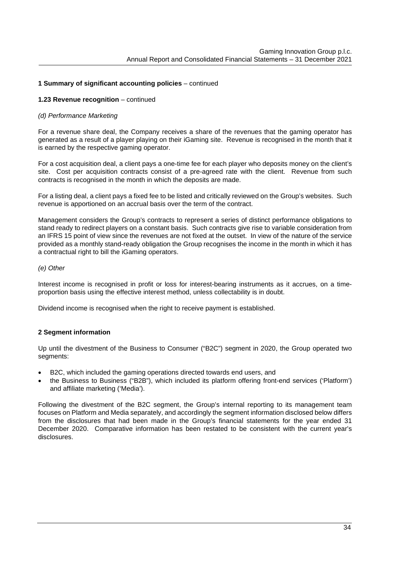#### **1.23 Revenue recognition** – continued

#### *(d) Performance Marketing*

For a revenue share deal, the Company receives a share of the revenues that the gaming operator has generated as a result of a player playing on their iGaming site. Revenue is recognised in the month that it is earned by the respective gaming operator.

For a cost acquisition deal, a client pays a one-time fee for each player who deposits money on the client's site. Cost per acquisition contracts consist of a pre-agreed rate with the client. Revenue from such contracts is recognised in the month in which the deposits are made.

For a listing deal, a client pays a fixed fee to be listed and critically reviewed on the Group's websites. Such revenue is apportioned on an accrual basis over the term of the contract.

Management considers the Group's contracts to represent a series of distinct performance obligations to stand ready to redirect players on a constant basis. Such contracts give rise to variable consideration from an IFRS 15 point of view since the revenues are not fixed at the outset. In view of the nature of the service provided as a monthly stand-ready obligation the Group recognises the income in the month in which it has a contractual right to bill the iGaming operators.

#### *(e) Other*

Interest income is recognised in profit or loss for interest-bearing instruments as it accrues, on a timeproportion basis using the effective interest method, unless collectability is in doubt.

Dividend income is recognised when the right to receive payment is established.

#### **2 Segment information**

Up until the divestment of the Business to Consumer ("B2C") segment in 2020, the Group operated two segments:

- B2C, which included the gaming operations directed towards end users, and
- the Business to Business ("B2B"), which included its platform offering front-end services ('Platform') and affiliate marketing ('Media').

Following the divestment of the B2C segment, the Group's internal reporting to its management team focuses on Platform and Media separately, and accordingly the segment information disclosed below differs from the disclosures that had been made in the Group's financial statements for the year ended 31 December 2020. Comparative information has been restated to be consistent with the current year's disclosures.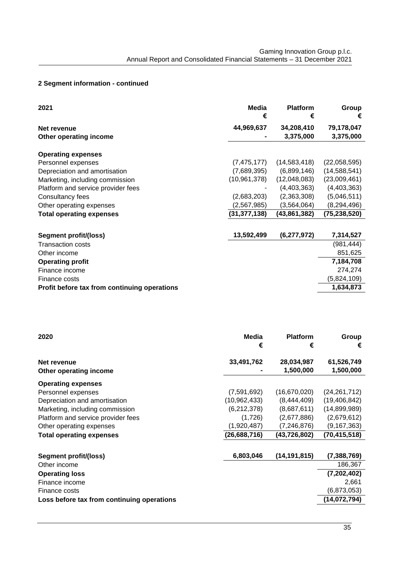# **2 Segment information - continued**

| 2021                                                                  | Media<br>€                 | <b>Platform</b><br>€                        | Group<br>€                   |
|-----------------------------------------------------------------------|----------------------------|---------------------------------------------|------------------------------|
| Net revenue<br>Other operating income                                 | 44,969,637                 | 34,208,410<br>3,375,000                     | 79,178,047<br>3,375,000      |
| <b>Operating expenses</b>                                             |                            |                                             |                              |
| Personnel expenses<br>Depreciation and amortisation                   | (7, 475, 177)              | (14,583,418)<br>$(7,689,395)$ $(6,899,146)$ | (22,058,595)<br>(14,588,541) |
| Marketing, including commission<br>Platform and service provider fees | (10,961,378)               | (12,048,083)<br>(4, 403, 363)               | (23,009,461)<br>(4,403,363)  |
| Consultancy fees<br>Other operating expenses                          | (2,683,203)<br>(2,567,985) | (2,363,308)<br>(3,564,064)                  | (5,046,511)<br>(8, 294, 496) |
| <b>Total operating expenses</b>                                       | (31, 377, 138)             | (43,861,382)                                | (75, 238, 520)               |
| Segment profit/(loss)                                                 | 13,592,499                 | (6,277,972)                                 | 7,314,527                    |
| <b>Transaction costs</b><br>Other income                              |                            |                                             | (981, 444)<br>851,625        |
| <b>Operating profit</b>                                               |                            |                                             | 7,184,708                    |
| Finance income<br>Finance costs                                       |                            |                                             | 274,274<br>(5,824,109)       |
| Profit before tax from continuing operations                          |                            |                                             | 1,634,873                    |

| 2020                                       | <b>Media</b><br>€ | <b>Platform</b><br>€    | Group<br>€              |
|--------------------------------------------|-------------------|-------------------------|-------------------------|
| Net revenue<br>Other operating income      | 33,491,762        | 28,034,987<br>1,500,000 | 61,526,749<br>1,500,000 |
| <b>Operating expenses</b>                  |                   |                         |                         |
| Personnel expenses                         | (7,591,692)       | (16,670,020)            | (24, 261, 712)          |
| Depreciation and amortisation              | (10, 962, 433)    | (8,444,409)             | (19, 406, 842)          |
| Marketing, including commission            | (6,212,378)       | (8,687,611)             | (14,899,989)            |
| Platform and service provider fees         | (1,726)           | (2,677,886)             | (2,679,612)             |
| Other operating expenses                   | (1,920,487)       | (7, 246, 876)           | (9, 167, 363)           |
| <b>Total operating expenses</b>            | (26,688,716)      | (43,726,802)            | (70, 415, 518)          |
| Segment profit/(loss)                      | 6,803,046         | (14, 191, 815)          | (7, 388, 769)           |
| Other income                               |                   |                         | 186,367                 |
| <b>Operating loss</b>                      |                   |                         | (7,202,402)             |
| Finance income                             |                   |                         | 2,661                   |
| Finance costs                              |                   |                         | (6,873,053)             |
| Loss before tax from continuing operations |                   |                         | (14,072,794)            |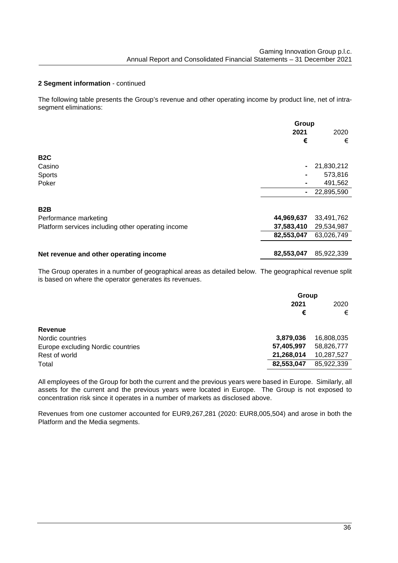# **2 Segment information** - continued

The following table presents the Group's revenue and other operating income by product line, net of intrasegment eliminations:

|                                                    | Group      |            |  |
|----------------------------------------------------|------------|------------|--|
|                                                    | 2021       | 2020       |  |
|                                                    | €          | €          |  |
| B <sub>2</sub> C                                   |            |            |  |
| Casino                                             |            | 21,830,212 |  |
| Sports                                             |            | 573,816    |  |
| Poker                                              |            | 491,562    |  |
|                                                    |            | 22,895,590 |  |
| B <sub>2</sub> B                                   |            |            |  |
| Performance marketing                              | 44,969,637 | 33,491,762 |  |
| Platform services including other operating income | 37,583,410 | 29,534,987 |  |
|                                                    | 82,553,047 | 63,026,749 |  |
|                                                    |            |            |  |
| Net revenue and other operating income             | 82,553,047 | 85,922,339 |  |

The Group operates in a number of geographical areas as detailed below. The geographical revenue split is based on where the operator generates its revenues.

|                                   | Group      |            |  |
|-----------------------------------|------------|------------|--|
|                                   | 2021       |            |  |
|                                   | €          | €          |  |
| <b>Revenue</b>                    |            |            |  |
| Nordic countries                  | 3,879,036  | 16,808,035 |  |
| Europe excluding Nordic countries | 57,405,997 | 58,826,777 |  |
| Rest of world                     | 21,268,014 | 10,287,527 |  |
| Total                             | 82,553,047 | 85,922,339 |  |

All employees of the Group for both the current and the previous years were based in Europe. Similarly, all assets for the current and the previous years were located in Europe. The Group is not exposed to concentration risk since it operates in a number of markets as disclosed above.

Revenues from one customer accounted for EUR9,267,281 (2020: EUR8,005,504) and arose in both the Platform and the Media segments.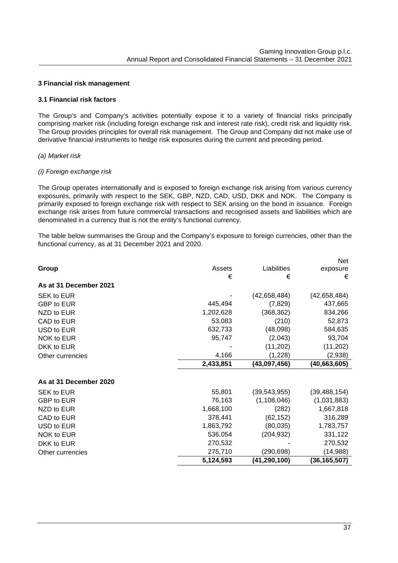# **3 Financial risk management**

### **3.1 Financial risk factors**

The Group's and Company's activities potentially expose it to a variety of financial risks principally comprising market risk (including foreign exchange risk and interest rate risk), credit risk and liquidity risk. The Group provides principles for overall risk management. The Group and Company did not make use of derivative financial instruments to hedge risk exposures during the current and preceding period.

#### *(a) Market risk*

# *(i) Foreign exchange risk*

The Group operates internationally and is exposed to foreign exchange risk arising from various currency exposures, primarily with respect to the SEK, GBP, NZD, CAD, USD, DKK and NOK. The Company is primarily exposed to foreign exchange risk with respect to SEK arising on the bond in issuance. Foreign exchange risk arises from future commercial transactions and recognised assets and liabilities which are denominated in a currency that is not the entity's functional currency.

The table below summarises the Group and the Company's exposure to foreign currencies, other than the functional currency, as at 31 December 2021 and 2020.

|                        |           |                | <b>Net</b>     |
|------------------------|-----------|----------------|----------------|
| Group                  | Assets    | Liabilities    | exposure       |
|                        | €         | €              | €              |
| As at 31 December 2021 |           |                |                |
| SEK to EUR             |           | (42,658,484)   | (42, 658, 484) |
| GBP to EUR             | 445,494   | (7, 829)       | 437,665        |
| NZD to EUR             | 1,202,628 | (368, 362)     | 834,266        |
| CAD to EUR             | 53,083    | (210)          | 52,873         |
| USD to EUR             | 632,733   | (48,098)       | 584,635        |
| NOK to EUR             | 95,747    | (2,043)        | 93,704         |
| DKK to EUR             |           | (11,202)       | (11,202)       |
| Other currencies       | 4,166     | (1,228)        | (2,938)        |
|                        | 2,433,851 | (43,097,456)   | (40, 663, 605) |
|                        |           |                |                |
| As at 31 December 2020 |           |                |                |
| SEK to EUR             | 55,801    | (39, 543, 955) | (39, 488, 154) |
| GBP to EUR             | 76,163    | (1, 108, 046)  | (1,031,883)    |
| NZD to EUR             | 1,668,100 | (282)          | 1,667,818      |
| CAD to EUR             | 378,441   | (62, 152)      | 316,289        |
| USD to EUR             | 1,863,792 | (80,035)       | 1,783,757      |
| NOK to EUR             | 536,054   | (204, 932)     | 331,122        |
| DKK to EUR             | 270,532   |                | 270,532        |
| Other currencies       | 275,710   | (290, 698)     | (14,988)       |
|                        | 5,124,593 | (41,290,100)   | (36, 165, 507) |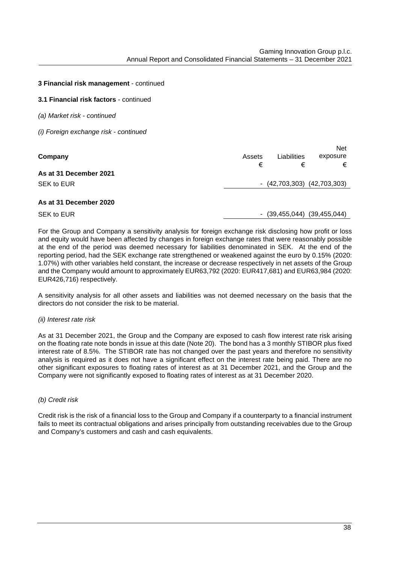**3.1 Financial risk factors** - continued

*(a) Market risk - continued*

*(i) Foreign exchange risk - continued*

| Company                | Assets | Liabilities                   | <b>Net</b><br>exposure |
|------------------------|--------|-------------------------------|------------------------|
| As at 31 December 2021 | €      | €                             | €                      |
| SEK to EUR             |        | $-$ (42,703,303) (42,703,303) |                        |

### **As at 31 December 2020**

| - (39,455,044) (39,455,044) |  |
|-----------------------------|--|
|                             |  |

For the Group and Company a sensitivity analysis for foreign exchange risk disclosing how profit or loss and equity would have been affected by changes in foreign exchange rates that were reasonably possible at the end of the period was deemed necessary for liabilities denominated in SEK. At the end of the reporting period, had the SEK exchange rate strengthened or weakened against the euro by 0.15% (2020: 1.07%) with other variables held constant, the increase or decrease respectively in net assets of the Group and the Company would amount to approximately EUR63,792 (2020: EUR417,681) and EUR63,984 (2020: EUR426,716) respectively.

A sensitivity analysis for all other assets and liabilities was not deemed necessary on the basis that the directors do not consider the risk to be material.

#### *(ii) Interest rate risk*

As at 31 December 2021, the Group and the Company are exposed to cash flow interest rate risk arising on the floating rate note bonds in issue at this date (Note 20). The bond has a 3 monthly STIBOR plus fixed interest rate of 8.5%. The STIBOR rate has not changed over the past years and therefore no sensitivity analysis is required as it does not have a significant effect on the interest rate being paid. There are no other significant exposures to floating rates of interest as at 31 December 2021, and the Group and the Company were not significantly exposed to floating rates of interest as at 31 December 2020.

#### *(b) Credit risk*

Credit risk is the risk of a financial loss to the Group and Company if a counterparty to a financial instrument fails to meet its contractual obligations and arises principally from outstanding receivables due to the Group and Company's customers and cash and cash equivalents.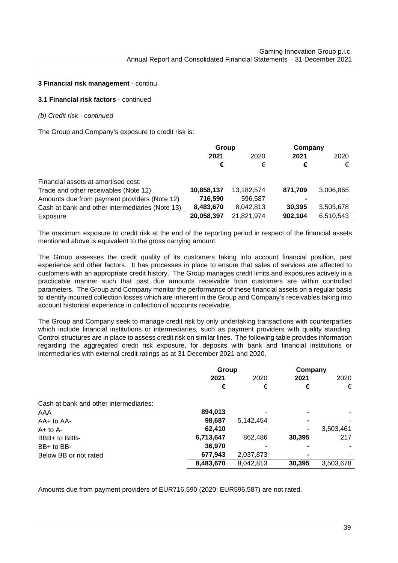#### **3.1 Financial risk factors** - continued

# *(b) Credit risk - continued*

The Group and Company's exposure to credit risk is:

|                                                 | Group      |            | Company |           |  |
|-------------------------------------------------|------------|------------|---------|-----------|--|
|                                                 | 2021       | 2020       | 2021    | 2020      |  |
|                                                 | €          | €          | €       | €         |  |
| Financial assets at amortised cost:             |            |            |         |           |  |
| Trade and other receivables (Note 12)           | 10,858,137 | 13,182,574 | 871.709 | 3,006,865 |  |
| Amounts due from payment providers (Note 12)    | 716,590    | 596.587    |         |           |  |
| Cash at bank and other intermediaries (Note 13) | 8,483,670  | 8,042,813  | 30,395  | 3,503,678 |  |
| Exposure                                        | 20,058,397 | 21.821.974 | 902,104 | 6,510,543 |  |

The maximum exposure to credit risk at the end of the reporting period in respect of the financial assets mentioned above is equivalent to the gross carrying amount.

The Group assesses the credit quality of its customers taking into account financial position, past experience and other factors. It has processes in place to ensure that sales of services are affected to customers with an appropriate credit history. The Group manages credit limits and exposures actively in a practicable manner such that past due amounts receivable from customers are within controlled parameters. The Group and Company monitor the performance of these financial assets on a regular basis to identify incurred collection losses which are inherent in the Group and Company's receivables taking into account historical experience in collection of accounts receivable.

The Group and Company seek to manage credit risk by only undertaking transactions with counterparties which include financial institutions or intermediaries, such as payment providers with quality standing. Control structures are in place to assess credit risk on similar lines. The following table provides information regarding the aggregated credit risk exposure, for deposits with bank and financial institutions or intermediaries with external credit ratings as at 31 December 2021 and 2020.

|                                        | Group     |           | Company |           |  |
|----------------------------------------|-----------|-----------|---------|-----------|--|
|                                        | 2021      | 2020      | 2021    | 2020      |  |
|                                        | €         | €         | €       | €         |  |
| Cash at bank and other intermediaries: |           |           |         |           |  |
| AAA                                    | 894,013   |           |         |           |  |
| $AA+$ to $AA-$                         | 98,687    | 5,142,454 |         |           |  |
| $A+$ to $A-$                           | 62,410    |           |         | 3,503,461 |  |
| BBB+ to BBB-                           | 6,713,647 | 862,486   | 30,395  | 217       |  |
| BB+ to BB-                             | 36,970    |           |         |           |  |
| Below BB or not rated                  | 677,943   | 2,037,873 |         |           |  |
|                                        | 8,483,670 | 8,042,813 | 30.395  | 3,503,678 |  |

Amounts due from payment providers of EUR716,590 (2020: EUR596,587) are not rated.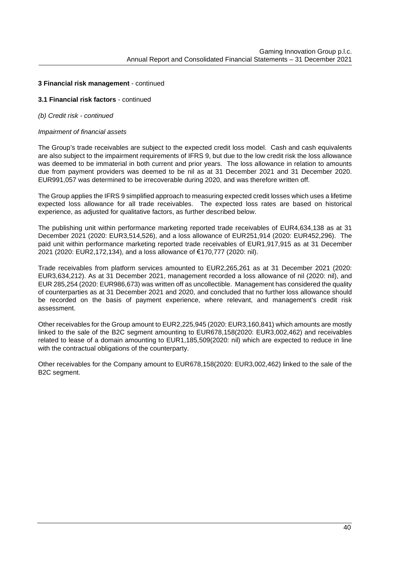#### **3.1 Financial risk factors** - continued

#### *(b) Credit risk - continued*

#### *Impairment of financial assets*

The Group's trade receivables are subject to the expected credit loss model. Cash and cash equivalents are also subject to the impairment requirements of IFRS 9, but due to the low credit risk the loss allowance was deemed to be immaterial in both current and prior years. The loss allowance in relation to amounts due from payment providers was deemed to be nil as at 31 December 2021 and 31 December 2020. EUR991,057 was determined to be irrecoverable during 2020, and was therefore written off.

The Group applies the IFRS 9 simplified approach to measuring expected credit losses which uses a lifetime expected loss allowance for all trade receivables. The expected loss rates are based on historical experience, as adjusted for qualitative factors, as further described below.

The publishing unit within performance marketing reported trade receivables of EUR4,634,138 as at 31 December 2021 (2020: EUR3,514,526), and a loss allowance of EUR251,914 (2020: EUR452,296). The paid unit within performance marketing reported trade receivables of EUR1,917,915 as at 31 December 2021 (2020: EUR2,172,134), and a loss allowance of €170,777 (2020: nil).

Trade receivables from platform services amounted to EUR2,265,261 as at 31 December 2021 (2020: EUR3,634,212). As at 31 December 2021, management recorded a loss allowance of nil (2020: nil), and EUR 285,254 (2020: EUR986,673) was written off as uncollectible. Management has considered the quality of counterparties as at 31 December 2021 and 2020, and concluded that no further loss allowance should be recorded on the basis of payment experience, where relevant, and management's credit risk assessment.

Other receivables for the Group amount to EUR2,225,945 (2020: EUR3,160,841) which amounts are mostly linked to the sale of the B2C segment amounting to EUR678,158(2020: EUR3,002,462) and receivables related to lease of a domain amounting to EUR1,185,509(2020: nil) which are expected to reduce in line with the contractual obligations of the counterparty.

Other receivables for the Company amount to EUR678,158(2020: EUR3,002,462) linked to the sale of the B2C segment.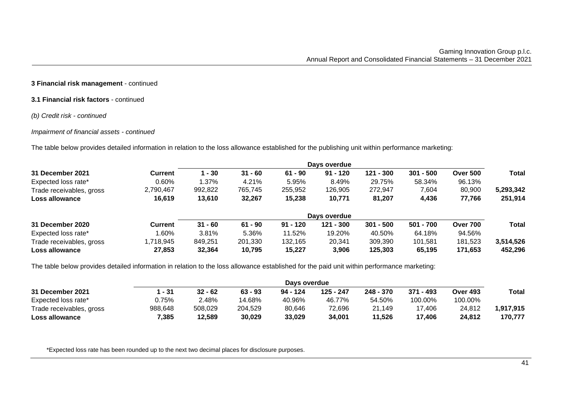#### **3.1 Financial risk factors** - continued

# *(b) Credit risk - continued*

#### *Impairment of financial assets - continued*

The table below provides detailed information in relation to the loss allowance established for the publishing unit within performance marketing:

|                          |           | Days overdue |           |            |              |             |             |                 |           |
|--------------------------|-----------|--------------|-----------|------------|--------------|-------------|-------------|-----------------|-----------|
| 31 December 2021         | Current   | $1 - 30$     | $31 - 60$ | 61 - 90    | $91 - 120$   | 121 - 300   | $301 - 500$ | <b>Over 500</b> | Total     |
| Expected loss rate*      | 0.60%     | 1.37%        | 4.21%     | 5.95%      | 8.49%        | 29.75%      | 58.34%      | 96.13%          |           |
| Trade receivables, gross | 2,790,467 | 992,822      | 765,745   | 255,952    | 126,905      | 272,947     | 7,604       | 80,900          | 5,293,342 |
| Loss allowance           | 16,619    | 13,610       | 32,267    | 15,238     | 10,771       | 81,207      | 4,436       | 77,766          | 251,914   |
|                          |           |              |           |            | Days overdue |             |             |                 |           |
| <b>31 December 2020</b>  | Current   | $31 - 60$    | $61 - 90$ | $91 - 120$ | $121 - 300$  | $301 - 500$ | $501 - 700$ | <b>Over 700</b> | Total     |
| Expected loss rate*      | 1.60%     | 3.81%        | 5.36%     | 11.52%     | 19.20%       | 40.50%      | 64.18%      | 94.56%          |           |
| Trade receivables, gross | ,718,945  | 849.251      | 201,330   | 132.165    | 20.341       | 309,390     | 101.581     | 181.523         | 3,514,526 |
| Loss allowance           | 27,853    | 32,364       | 10,795    | 15.227     | 3,906        | 125,303     | 65,195      | 171,653         | 452,296   |

The table below provides detailed information in relation to the loss allowance established for the paid unit within performance marketing:

|                          |         |           |           | Davs overdue |           |           |             |                 |           |
|--------------------------|---------|-----------|-----------|--------------|-----------|-----------|-------------|-----------------|-----------|
| 31 December 2021         | 1 - 31  | $32 - 62$ | $63 - 93$ | $94 - 124$   | 125 - 247 | 248 - 370 | $371 - 493$ | <b>Over 493</b> | Total     |
| Expected loss rate*      | 0.75%   | 2.48%     | 14.68%    | 40.96%       | 46.77%    | 54.50%    | 100.00%     | 100.00%         |           |
| Trade receivables, gross | 988,648 | 508.029   | 204,529   | 80.646       | 72.696    | 21.149    | 17.406      | 24.812          | 1,917,915 |
| Loss allowance           | 7,385   | 12,589    | 30,029    | 33,029       | 34,001    | 11.526    | 17,406      | 24.812          | 170,777   |

\*Expected loss rate has been rounded up to the next two decimal places for disclosure purposes.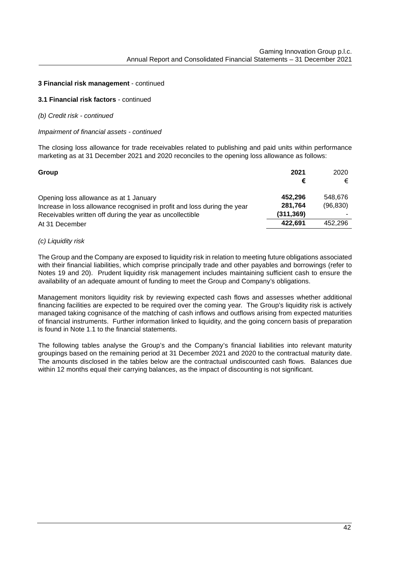#### **3.1 Financial risk factors** - continued

#### *(b) Credit risk - continued*

#### *Impairment of financial assets - continued*

The closing loss allowance for trade receivables related to publishing and paid units within performance marketing as at 31 December 2021 and 2020 reconciles to the opening loss allowance as follows:

| Group                                                                    | 2021       | 2020<br>€ |
|--------------------------------------------------------------------------|------------|-----------|
| Opening loss allowance as at 1 January                                   | 452.296    | 548.676   |
| Increase in loss allowance recognised in profit and loss during the year | 281,764    | (96, 830) |
| Receivables written off during the year as uncollectible                 | (311, 369) |           |
| At 31 December                                                           | 422.691    | 452.296   |

#### *(c) Liquidity risk*

The Group and the Company are exposed to liquidity risk in relation to meeting future obligations associated with their financial liabilities, which comprise principally trade and other payables and borrowings (refer to Notes 19 and 20). Prudent liquidity risk management includes maintaining sufficient cash to ensure the availability of an adequate amount of funding to meet the Group and Company's obligations.

Management monitors liquidity risk by reviewing expected cash flows and assesses whether additional financing facilities are expected to be required over the coming year. The Group's liquidity risk is actively managed taking cognisance of the matching of cash inflows and outflows arising from expected maturities of financial instruments. Further information linked to liquidity, and the going concern basis of preparation is found in Note 1.1 to the financial statements.

The following tables analyse the Group's and the Company's financial liabilities into relevant maturity groupings based on the remaining period at 31 December 2021 and 2020 to the contractual maturity date. The amounts disclosed in the tables below are the contractual undiscounted cash flows. Balances due within 12 months equal their carrying balances, as the impact of discounting is not significant.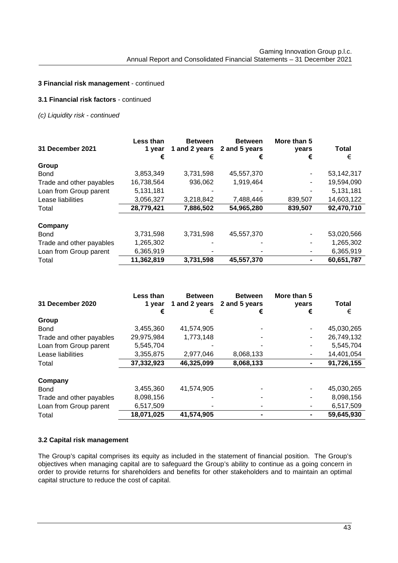# **3.1 Financial risk factors** - continued

*(c) Liquidity risk - continued*

| 31 December 2021         | Less than<br>1 year<br>€ | <b>Between</b><br>1 and 2 years<br>€ | <b>Between</b><br>2 and 5 years<br>€ | More than 5<br>years<br>€ | Total<br>€ |
|--------------------------|--------------------------|--------------------------------------|--------------------------------------|---------------------------|------------|
| Group                    |                          |                                      |                                      |                           |            |
| <b>Bond</b>              | 3,853,349                | 3,731,598                            | 45,557,370                           | ۰                         | 53,142,317 |
| Trade and other payables | 16,738,564               | 936,062                              | 1,919,464                            | $\overline{\phantom{a}}$  | 19,594,090 |
| Loan from Group parent   | 5,131,181                |                                      |                                      |                           | 5,131,181  |
| Lease liabilities        | 3,056,327                | 3,218,842                            | 7,488,446                            | 839,507                   | 14,603,122 |
| Total                    | 28,779,421               | 7,886,502                            | 54,965,280                           | 839,507                   | 92,470,710 |
| Company                  |                          |                                      |                                      |                           |            |
| <b>Bond</b>              | 3,731,598                | 3,731,598                            | 45,557,370                           |                           | 53,020,566 |
| Trade and other payables | 1,265,302                |                                      |                                      |                           | 1,265,302  |
| Loan from Group parent   | 6,365,919                |                                      |                                      | ٠                         | 6,365,919  |
| Total                    | 11,362,819               | 3,731,598                            | 45,557,370                           |                           | 60,651,787 |

|                          | Less than   | <b>Between</b>     | <b>Between</b>     | More than 5 |                   |
|--------------------------|-------------|--------------------|--------------------|-------------|-------------------|
| 31 December 2020         | 1 year<br>€ | 1 and 2 years<br>€ | 2 and 5 years<br>€ | vears<br>€  | <b>Total</b><br>€ |
| Group                    |             |                    |                    |             |                   |
| <b>Bond</b>              | 3,455,360   | 41,574,905         |                    | ۰           | 45,030,265        |
| Trade and other payables | 29,975,984  | 1,773,148          |                    | ۰           | 26,749,132        |
| Loan from Group parent   | 5,545,704   |                    |                    | ۰           | 5,545,704         |
| Lease liabilities        | 3,355,875   | 2,977,046          | 8,068,133          | ۰           | 14,401,054        |
| Total                    | 37,332,923  | 46,325,099         | 8,068,133          | ۰           | 91,726,155        |
| Company                  |             |                    |                    |             |                   |
| <b>Bond</b>              | 3,455,360   | 41,574,905         |                    |             | 45,030,265        |
| Trade and other payables | 8,098,156   |                    |                    | ۰           | 8,098,156         |
| Loan from Group parent   | 6,517,509   |                    |                    | ٠           | 6,517,509         |
| Total                    | 18,071,025  | 41,574,905         |                    |             | 59,645,930        |

#### **3.2 Capital risk management**

The Group's capital comprises its equity as included in the statement of financial position. The Group's objectives when managing capital are to safeguard the Group's ability to continue as a going concern in order to provide returns for shareholders and benefits for other stakeholders and to maintain an optimal capital structure to reduce the cost of capital.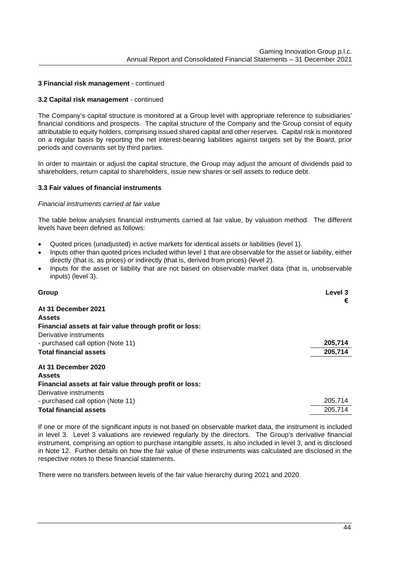#### **3.2 Capital risk management** - continued

The Company's capital structure is monitored at a Group level with appropriate reference to subsidiaries' financial conditions and prospects. The capital structure of the Company and the Group consist of equity attributable to equity holders, comprising issued shared capital and other reserves. Capital risk is monitored on a regular basis by reporting the net interest-bearing liabilities against targets set by the Board, prior periods and covenants set by third parties.

In order to maintain or adjust the capital structure, the Group may adjust the amount of dividends paid to shareholders, return capital to shareholders, issue new shares or sell assets to reduce debt.

#### **3.3 Fair values of financial instruments**

#### *Financial instruments carried at fair value*

The table below analyses financial instruments carried at fair value, by valuation method. The different levels have been defined as follows:

- Quoted prices (unadjusted) in active markets for identical assets or liabilities (level 1).
- Inputs other than quoted prices included within level 1 that are observable for the asset or liability, either directly (that is, as prices) or indirectly (that is, derived from prices) (level 2).
- Inputs for the asset or liability that are not based on observable market data (that is, unobservable inputs) (level 3).

| Group                                                  | Level 3<br>€ |
|--------------------------------------------------------|--------------|
| At 31 December 2021                                    |              |
| <b>Assets</b>                                          |              |
| Financial assets at fair value through profit or loss: |              |
| Derivative instruments                                 |              |
| - purchased call option (Note 11)                      | 205,714      |
| <b>Total financial assets</b>                          | 205,714      |
| At 31 December 2020                                    |              |
| <b>Assets</b>                                          |              |
| Financial assets at fair value through profit or loss: |              |
| Derivative instruments                                 |              |
| - purchased call option (Note 11)                      | 205,714      |
| <b>Total financial assets</b>                          | 205,714      |

If one or more of the significant inputs is not based on observable market data, the instrument is included in level 3. Level 3 valuations are reviewed regularly by the directors. The Group's derivative financial instrument, comprising an option to purchase intangible assets, is also included in level 3, and is disclosed in Note 12. Further details on how the fair value of these instruments was calculated are disclosed in the respective notes to these financial statements.

There were no transfers between levels of the fair value hierarchy during 2021 and 2020.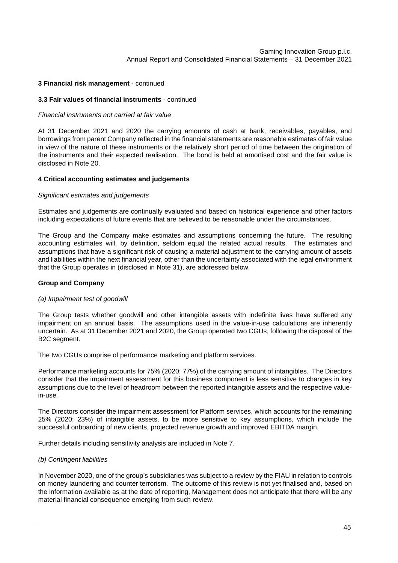#### **3.3 Fair values of financial instruments** - continued

#### *Financial instruments not carried at fair value*

At 31 December 2021 and 2020 the carrying amounts of cash at bank, receivables, payables, and borrowings from parent Company reflected in the financial statements are reasonable estimates of fair value in view of the nature of these instruments or the relatively short period of time between the origination of the instruments and their expected realisation. The bond is held at amortised cost and the fair value is disclosed in Note 20.

#### **4 Critical accounting estimates and judgements**

#### *Significant estimates and judgements*

Estimates and judgements are continually evaluated and based on historical experience and other factors including expectations of future events that are believed to be reasonable under the circumstances.

The Group and the Company make estimates and assumptions concerning the future. The resulting accounting estimates will, by definition, seldom equal the related actual results. The estimates and assumptions that have a significant risk of causing a material adjustment to the carrying amount of assets and liabilities within the next financial year, other than the uncertainty associated with the legal environment that the Group operates in (disclosed in Note 31), are addressed below.

#### **Group and Company**

#### *(a) Impairment test of goodwill*

The Group tests whether goodwill and other intangible assets with indefinite lives have suffered any impairment on an annual basis. The assumptions used in the value-in-use calculations are inherently uncertain. As at 31 December 2021 and 2020, the Group operated two CGUs, following the disposal of the B2C segment.

The two CGUs comprise of performance marketing and platform services.

Performance marketing accounts for 75% (2020: 77%) of the carrying amount of intangibles. The Directors consider that the impairment assessment for this business component is less sensitive to changes in key assumptions due to the level of headroom between the reported intangible assets and the respective valuein-use.

The Directors consider the impairment assessment for Platform services, which accounts for the remaining 25% (2020: 23%) of intangible assets, to be more sensitive to key assumptions, which include the successful onboarding of new clients, projected revenue growth and improved EBITDA margin.

Further details including sensitivity analysis are included in Note 7.

#### *(b) Contingent liabilities*

In November 2020, one of the group's subsidiaries was subject to a review by the FIAU in relation to controls on money laundering and counter terrorism. The outcome of this review is not yet finalised and, based on the information available as at the date of reporting, Management does not anticipate that there will be any material financial consequence emerging from such review.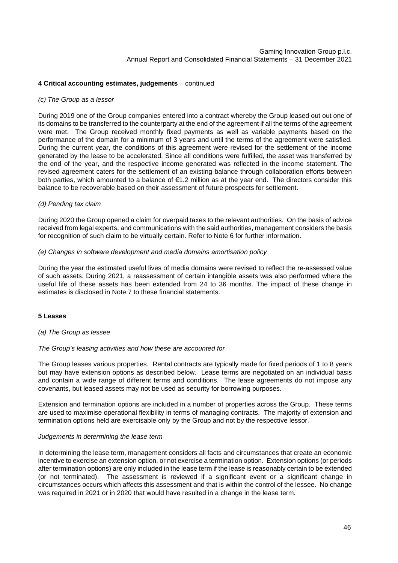# **4 Critical accounting estimates, judgements** – continued

#### *(c) The Group as a lessor*

During 2019 one of the Group companies entered into a contract whereby the Group leased out out one of its domains to be transferred to the counterparty at the end of the agreement if all the terms of the agreement were met. The Group received monthly fixed payments as well as variable payments based on the performance of the domain for a minimum of 3 years and until the terms of the agreement were satisfied. During the current year, the conditions of this agreement were revised for the settlement of the income generated by the lease to be accelerated. Since all conditions were fulfilled, the asset was transferred by the end of the year, and the respective income generated was reflected in the income statement. The revised agreement caters for the settlement of an existing balance through collaboration efforts between both parties, which amounted to a balance of €1.2 million as at the year end. The directors consider this balance to be recoverable based on their assessment of future prospects for settlement.

#### *(d) Pending tax claim*

During 2020 the Group opened a claim for overpaid taxes to the relevant authorities. On the basis of advice received from legal experts, and communications with the said authorities, management considers the basis for recognition of such claim to be virtually certain. Refer to Note 6 for further information.

#### *(e) Changes in software development and media domains amortisation policy*

During the year the estimated useful lives of media domains were revised to reflect the re-assessed value of such assets. During 2021, a reassessment of certain intangible assets was also performed where the useful life of these assets has been extended from 24 to 36 months. The impact of these change in estimates is disclosed in Note 7 to these financial statements.

#### **5 Leases**

#### *(a) The Group as lessee*

#### *The Group's leasing activities and how these are accounted for*

The Group leases various properties. Rental contracts are typically made for fixed periods of 1 to 8 years but may have extension options as described below. Lease terms are negotiated on an individual basis and contain a wide range of different terms and conditions. The lease agreements do not impose any covenants, but leased assets may not be used as security for borrowing purposes.

Extension and termination options are included in a number of properties across the Group. These terms are used to maximise operational flexibility in terms of managing contracts. The majority of extension and termination options held are exercisable only by the Group and not by the respective lessor.

#### *Judgements in determining the lease term*

In determining the lease term, management considers all facts and circumstances that create an economic incentive to exercise an extension option, or not exercise a termination option. Extension options (or periods after termination options) are only included in the lease term if the lease is reasonably certain to be extended (or not terminated). The assessment is reviewed if a significant event or a significant change in circumstances occurs which affects this assessment and that is within the control of the lessee. No change was required in 2021 or in 2020 that would have resulted in a change in the lease term.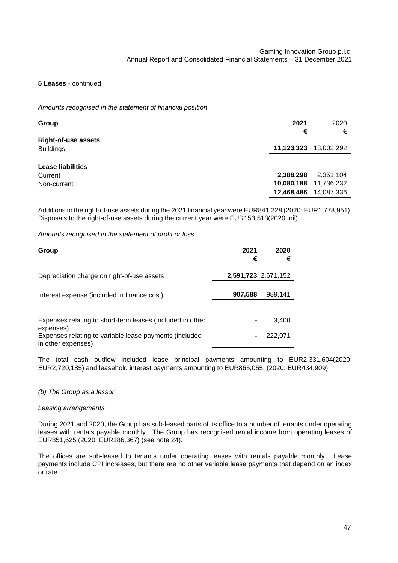# **5 Leases** - continued

*Amounts recognised in the statement of financial position*

| Group                      | 2021<br>€  | 2020<br>€  |
|----------------------------|------------|------------|
| <b>Right-of-use assets</b> |            |            |
| <b>Buildings</b>           | 11,123,323 | 13,002,292 |
| <b>Lease liabilities</b>   |            |            |
| Current                    | 2,388,298  | 2,351,104  |
| Non-current                | 10,080,188 | 11,736,232 |
|                            | 12,468,486 | 14,087,336 |

Additions to the right-of-use assets during the 2021 financial year were EUR841,228 (2020: EUR1,778,951). Disposals to the right-of-use assets during the current year were EUR153,513(2020: nil)

*Amounts recognised in the statement of profit or loss*

| Group                                                                        | 2021<br>€           | 2020<br>€ |
|------------------------------------------------------------------------------|---------------------|-----------|
| Depreciation charge on right-of-use assets                                   | 2,591,723 2,671,152 |           |
|                                                                              | 907,588             | 989,141   |
| Interest expense (included in finance cost)                                  |                     |           |
| Expenses relating to short-term leases (included in other<br>expenses)       |                     | 3.400     |
| Expenses relating to variable lease payments (included<br>in other expenses) |                     | 222.071   |

The total cash outflow included lease principal payments amounting to EUR2,331,604(2020: EUR2,720,185) and leasehold interest payments amounting to EUR865,055. (2020: EUR434,909).

#### *(b) The Group as a lessor*

#### *Leasing arrangements*

During 2021 and 2020, the Group has sub-leased parts of its office to a number of tenants under operating leases with rentals payable monthly. The Group has recognised rental income from operating leases of EUR851,625 (2020: EUR186,367) (see note 24).

The offices are sub-leased to tenants under operating leases with rentals payable monthly. Lease payments include CPI increases, but there are no other variable lease payments that depend on an index or rate.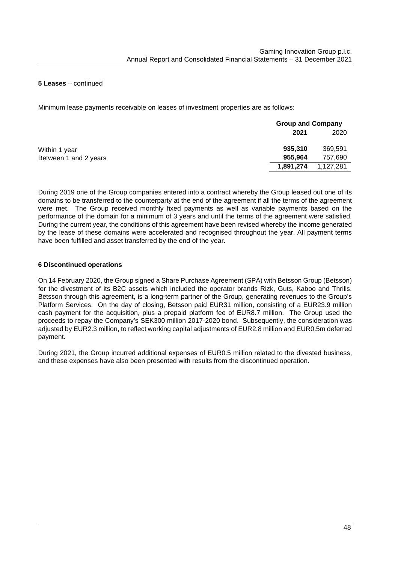# **5 Leases** – continued

Minimum lease payments receivable on leases of investment properties are as follows:

|                       |           | <b>Group and Company</b> |  |  |
|-----------------------|-----------|--------------------------|--|--|
|                       | 2021      | 2020                     |  |  |
| Within 1 year         | 935,310   | 369,591                  |  |  |
| Between 1 and 2 years | 955,964   | 757,690                  |  |  |
|                       | 1,891,274 | 1,127,281                |  |  |

During 2019 one of the Group companies entered into a contract whereby the Group leased out one of its domains to be transferred to the counterparty at the end of the agreement if all the terms of the agreement were met. The Group received monthly fixed payments as well as variable payments based on the performance of the domain for a minimum of 3 years and until the terms of the agreement were satisfied. During the current year, the conditions of this agreement have been revised whereby the income generated by the lease of these domains were accelerated and recognised throughout the year. All payment terms have been fulfilled and asset transferred by the end of the year.

# **6 Discontinued operations**

On 14 February 2020, the Group signed a Share Purchase Agreement (SPA) with Betsson Group (Betsson) for the divestment of its B2C assets which included the operator brands Rizk, Guts, Kaboo and Thrills. Betsson through this agreement, is a long-term partner of the Group, generating revenues to the Group's Platform Services. On the day of closing, Betsson paid EUR31 million, consisting of a EUR23.9 million cash payment for the acquisition, plus a prepaid platform fee of EUR8.7 million. The Group used the proceeds to repay the Company's SEK300 million 2017-2020 bond. Subsequently, the consideration was adjusted by EUR2.3 million, to reflect working capital adjustments of EUR2.8 million and EUR0.5m deferred payment.

During 2021, the Group incurred additional expenses of EUR0.5 million related to the divested business, and these expenses have also been presented with results from the discontinued operation.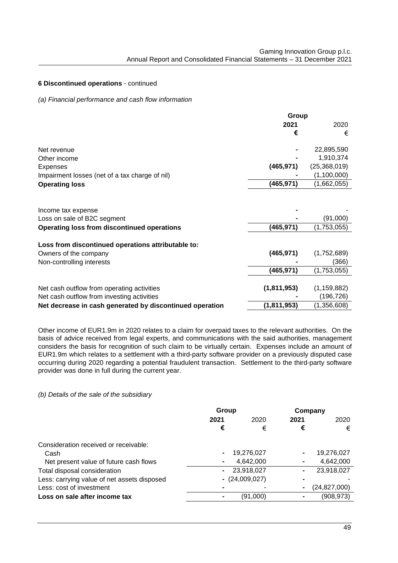#### **6 Discontinued operations** - continued

#### *(a) Financial performance and cash flow information*

|                                                          | Group         |                |  |
|----------------------------------------------------------|---------------|----------------|--|
|                                                          | 2021          | 2020           |  |
|                                                          | €             | €              |  |
| Net revenue                                              |               | 22,895,590     |  |
| Other income                                             |               | 1,910,374      |  |
| <b>Expenses</b>                                          | (465, 971)    | (25, 368, 019) |  |
| Impairment losses (net of a tax charge of nil)           |               | (1, 100, 000)  |  |
| <b>Operating loss</b>                                    | (465,971)     | (1,662,055)    |  |
|                                                          |               |                |  |
| Income tax expense                                       |               |                |  |
| Loss on sale of B2C segment                              |               | (91,000)       |  |
| <b>Operating loss from discontinued operations</b>       | (465,971)     | (1,753,055)    |  |
| Loss from discontinued operations attributable to:       |               |                |  |
| Owners of the company                                    | (465, 971)    | (1,752,689)    |  |
| Non-controlling interests                                |               | (366)          |  |
|                                                          | (465, 971)    | (1,753,055)    |  |
|                                                          |               |                |  |
| Net cash outflow from operating activities               | (1, 811, 953) | (1, 159, 882)  |  |
| Net cash outflow from investing activities               |               | (196, 726)     |  |
| Net decrease in cash generated by discontinued operation | (1, 811, 953) | (1,356,608)    |  |

Other income of EUR1.9m in 2020 relates to a claim for overpaid taxes to the relevant authorities. On the basis of advice received from legal experts, and communications with the said authorities, management considers the basis for recognition of such claim to be virtually certain. Expenses include an amount of EUR1.9m which relates to a settlement with a third-party software provider on a previously disputed case occurring during 2020 regarding a potential fraudulent transaction. Settlement to the third-party software provider was done in full during the current year.

#### *(b) Details of the sale of the subsidiary*

|      | Company                                                              |                |
|------|----------------------------------------------------------------------|----------------|
| 2020 | 2021                                                                 | 2020           |
| €    | €                                                                    | €              |
|      |                                                                      |                |
|      |                                                                      | 19,276,027     |
|      |                                                                      | 4,642,000      |
|      |                                                                      | 23,918,027     |
|      |                                                                      |                |
|      |                                                                      | (24, 827, 000) |
|      |                                                                      | (908,973)      |
|      | 19,276,027<br>4,642,000<br>23,918,027<br>$-(24,009,027)$<br>(91,000) |                |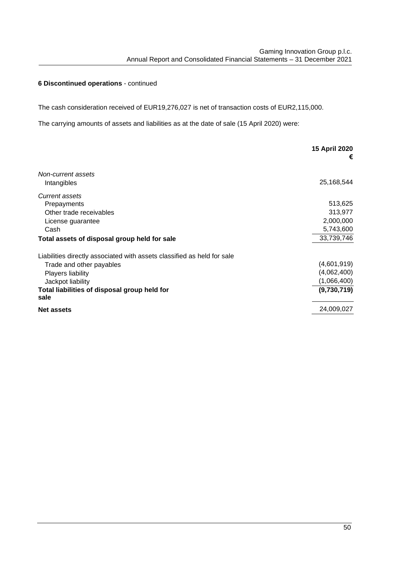# **6 Discontinued operations** - continued

The cash consideration received of EUR19,276,027 is net of transaction costs of EUR2,115,000.

The carrying amounts of assets and liabilities as at the date of sale (15 April 2020) were:

|                                                                         | 15 April 2020<br>€ |
|-------------------------------------------------------------------------|--------------------|
| Non-current assets                                                      |                    |
| Intangibles                                                             | 25,168,544         |
| <b>Current assets</b>                                                   |                    |
| Prepayments                                                             | 513,625            |
| Other trade receivables                                                 | 313,977            |
| License guarantee                                                       | 2,000,000          |
| Cash                                                                    | 5,743,600          |
| Total assets of disposal group held for sale                            | 33,739,746         |
| Liabilities directly associated with assets classified as held for sale |                    |
| Trade and other payables                                                | (4,601,919)        |
| Players liability                                                       | (4,062,400)        |
| Jackpot liability                                                       | (1,066,400)        |
| Total liabilities of disposal group held for<br>sale                    | (9,730,719)        |
| <b>Net assets</b>                                                       | 24,009,027         |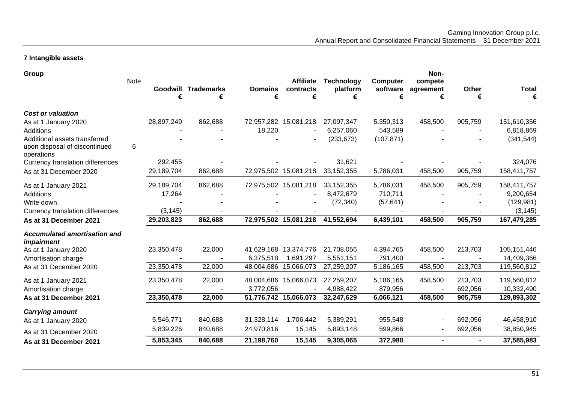# **7 Intangible assets**

| Group                                                    |             |            |                     |                     |                       |                   |                 | Non-           |                |                   |
|----------------------------------------------------------|-------------|------------|---------------------|---------------------|-----------------------|-------------------|-----------------|----------------|----------------|-------------------|
|                                                          | <b>Note</b> |            | Goodwill Trademarks |                     | <b>Affiliate</b>      | <b>Technology</b> | <b>Computer</b> | compete        |                |                   |
|                                                          |             | €          | €                   | <b>Domains</b><br>€ | contracts<br>€        | platform<br>€     | software<br>€   | agreement<br>€ | Other<br>€     | <b>Total</b><br>€ |
|                                                          |             |            |                     |                     |                       |                   |                 |                |                |                   |
| <b>Cost or valuation</b>                                 |             |            |                     |                     |                       |                   |                 |                |                |                   |
| As at 1 January 2020                                     |             | 28,897,249 | 862,688             | 72,957,282          | 15,081,218            | 27,097,347        | 5,350,313       | 458,500        | 905,759        | 151,610,356       |
| Additions                                                |             |            |                     | 18,220              |                       | 6,257,060         | 543,589         |                | $\blacksquare$ | 6,818,869         |
| Additional assets transferred                            |             |            |                     |                     |                       | (233, 673)        | (107, 871)      |                |                | (341, 544)        |
| upon disposal of discontinued<br>operations              | 6           |            |                     |                     |                       |                   |                 |                |                |                   |
| <b>Currency translation differences</b>                  |             | 292,455    |                     |                     |                       | 31,621            |                 |                |                | 324,076           |
| As at 31 December 2020                                   |             | 29,189,704 | 862,688             |                     | 72,975,502 15,081,218 | 33,152,355        | 5,786,031       | 458,500        | 905,759        | 158,411,757       |
| As at 1 January 2021                                     |             | 29,189,704 | 862,688             |                     | 72,975,502 15,081,218 | 33,152,355        | 5,786,031       | 458,500        | 905,759        | 158,411,757       |
| Additions                                                |             | 17,264     |                     |                     |                       | 8,472,679         | 710,711         |                |                | 9,200,654         |
| Write down                                               |             |            |                     |                     |                       | (72, 340)         | (57, 641)       |                |                | (129, 981)        |
| Currency translation differences                         |             | (3, 145)   |                     |                     |                       |                   |                 |                |                | (3, 145)          |
| As at 31 December 2021                                   |             | 29,203,823 | 862,688             |                     | 72,975,502 15,081,218 | 41,552,694        | 6,439,101       | 458,500        | 905,759        | 167,479,285       |
| <b>Accumulated amortisation and</b><br><i>impairment</i> |             |            |                     |                     |                       |                   |                 |                |                |                   |
| As at 1 January 2020                                     |             | 23,350,478 | 22,000              | 41,629,168          | 13,374,776            | 21,708,056        | 4,394,765       | 458,500        | 213,703        | 105, 151, 446     |
| Amortisation charge                                      |             |            |                     | 6,375,518           | 1,691,297             | 5,551,151         | 791,400         |                |                | 14,409,366        |
| As at 31 December 2020                                   |             | 23,350,478 | 22,000              | 48,004,686          | 15,066,073            | 27,259,207        | 5,186,165       | 458,500        | 213,703        | 119,560,812       |
| As at 1 January 2021                                     |             | 23,350,478 | 22,000              | 48,004,686          | 15,066,073            | 27,259,207        | 5,186,165       | 458,500        | 213,703        | 119,560,812       |
| Amortisation charge                                      |             |            |                     | 3,772,056           |                       | 4,988,422         | 879,956         |                | 692,056        | 10,332,490        |
| As at 31 December 2021                                   |             | 23,350,478 | 22,000              |                     | 51,776,742 15,066,073 | 32,247,629        | 6,066,121       | 458,500        | 905,759        | 129,893,302       |
| <b>Carrying amount</b>                                   |             |            |                     |                     |                       |                   |                 |                |                |                   |
| As at 1 January 2020                                     |             | 5,546,771  | 840,688             | 31,328,114          | 1,706,442             | 5,389,291         | 955,548         |                | 692,056        | 46,458,910        |
| As at 31 December 2020                                   |             | 5,839,226  | 840,688             | 24,970,816          | 15,145                | 5,893,148         | 599,866         |                | 692,056        | 38,850,945        |
| As at 31 December 2021                                   |             | 5,853,345  | 840,688             | 21,198,760          | 15,145                | 9,305,065         | 372,980         |                | $\blacksquare$ | 37,585,983        |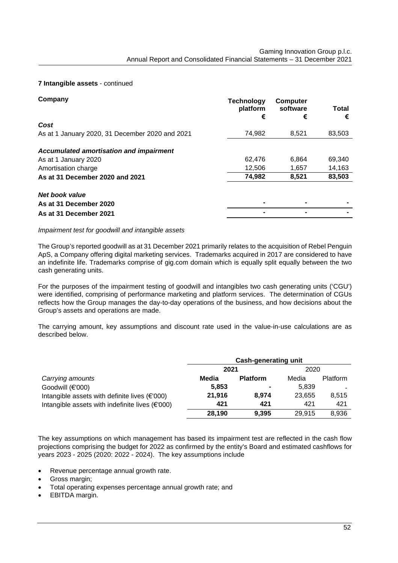#### **7 Intangible assets** - continued

| Company                                         | <b>Technology</b><br>platform<br>€ | <b>Computer</b><br>software<br>€ | <b>Total</b><br>€ |
|-------------------------------------------------|------------------------------------|----------------------------------|-------------------|
| Cost                                            |                                    |                                  |                   |
| As at 1 January 2020, 31 December 2020 and 2021 | 74,982                             | 8,521                            | 83,503            |
| Accumulated amortisation and impairment         |                                    |                                  |                   |
| As at 1 January 2020                            | 62.476                             | 6,864                            | 69,340            |
| Amortisation charge                             | 12,506                             | 1,657                            | 14,163            |
| As at 31 December 2020 and 2021                 | 74,982                             | 8,521                            | 83,503            |
| <b>Net book value</b>                           |                                    |                                  |                   |
| As at 31 December 2020                          |                                    |                                  |                   |
| As at 31 December 2021                          |                                    |                                  |                   |

#### *Impairment test for goodwill and intangible assets*

The Group's reported goodwill as at 31 December 2021 primarily relates to the acquisition of Rebel Penguin ApS, a Company offering digital marketing services. Trademarks acquired in 2017 are considered to have an indefinite life. Trademarks comprise of gig.com domain which is equally split equally between the two cash generating units.

For the purposes of the impairment testing of goodwill and intangibles two cash generating units ('CGU') were identified, comprising of performance marketing and platform services. The determination of CGUs reflects how the Group manages the day-to-day operations of the business, and how decisions about the Group's assets and operations are made.

The carrying amount, key assumptions and discount rate used in the value-in-use calculations are as described below.

|                                                          | Cash-generating unit |                          |        |          |  |
|----------------------------------------------------------|----------------------|--------------------------|--------|----------|--|
|                                                          | 2021                 |                          | 2020   |          |  |
| Carrying amounts                                         | Media                | <b>Platform</b><br>Media |        | Platform |  |
| Goodwill (€'000)                                         | 5,853                |                          | 5.839  |          |  |
| Intangible assets with definite lives $(\epsilon$ '000)  | 21,916               | 8.974                    | 23.655 | 8,515    |  |
| Intangible assets with indefinite lives $(\epsilon$ 000) | 421                  | 421                      | 421    | 421      |  |
|                                                          | 28,190               | 9,395                    | 29.915 | 8,936    |  |

The key assumptions on which management has based its impairment test are reflected in the cash flow projections comprising the budget for 2022 as confirmed by the entity's Board and estimated cashflows for years 2023 - 2025 (2020: 2022 - 2024). The key assumptions include

- Revenue percentage annual growth rate.
- Gross margin;
- Total operating expenses percentage annual growth rate; and
- EBITDA margin.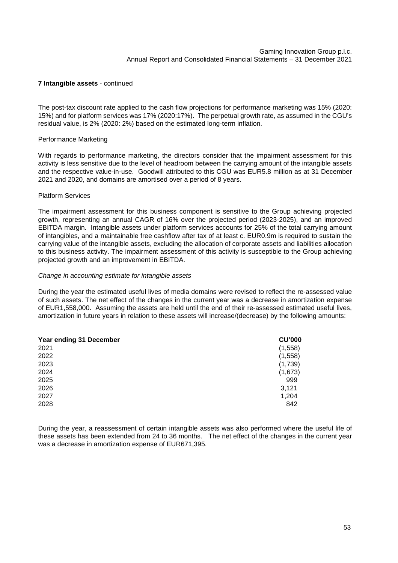# **7 Intangible assets** - continued

The post-tax discount rate applied to the cash flow projections for performance marketing was 15% (2020: 15%) and for platform services was 17% (2020:17%). The perpetual growth rate, as assumed in the CGU's residual value, is 2% (2020: 2%) based on the estimated long-term inflation.

#### Performance Marketing

With regards to performance marketing, the directors consider that the impairment assessment for this activity is less sensitive due to the level of headroom between the carrying amount of the intangible assets and the respective value-in-use. Goodwill attributed to this CGU was EUR5.8 million as at 31 December 2021 and 2020, and domains are amortised over a period of 8 years.

#### Platform Services

The impairment assessment for this business component is sensitive to the Group achieving projected growth, representing an annual CAGR of 16% over the projected period (2023-2025), and an improved EBITDA margin. Intangible assets under platform services accounts for 25% of the total carrying amount of intangibles, and a maintainable free cashflow after tax of at least c. EUR0.9m is required to sustain the carrying value of the intangible assets, excluding the allocation of corporate assets and liabilities allocation to this business activity. The impairment assessment of this activity is susceptible to the Group achieving projected growth and an improvement in EBITDA.

#### *Change in accounting estimate for intangible assets*

During the year the estimated useful lives of media domains were revised to reflect the re-assessed value of such assets. The net effect of the changes in the current year was a decrease in amortization expense of EUR1,558,000. Assuming the assets are held until the end of their re-assessed estimated useful lives, amortization in future years in relation to these assets will increase/(decrease) by the following amounts:

| Year ending 31 December | <b>CU'000</b> |
|-------------------------|---------------|
| 2021                    | (1,558)       |
| 2022                    | (1,558)       |
| 2023                    | (1,739)       |
| 2024                    | (1,673)       |
| 2025                    | 999           |
| 2026                    | 3,121         |
| 2027                    | 1,204         |
| 2028                    | 842           |

During the year, a reassessment of certain intangible assets was also performed where the useful life of these assets has been extended from 24 to 36 months. The net effect of the changes in the current year was a decrease in amortization expense of EUR671,395.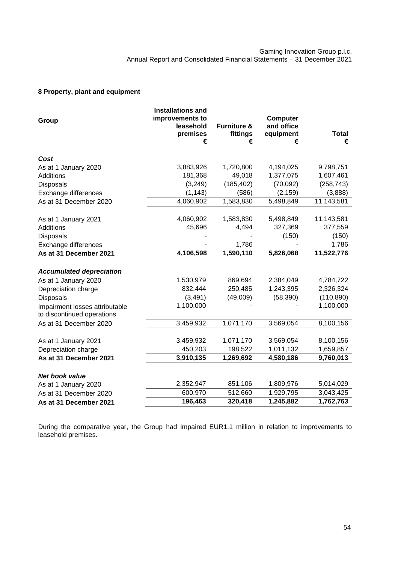# **8 Property, plant and equipment**

| Group                                                        | <b>Installations and</b><br>improvements to<br>leasehold<br>premises<br>€ | <b>Furniture &amp;</b><br>fittings<br>€ | <b>Computer</b><br>and office<br>equipment<br>€ | <b>Total</b><br>€ |
|--------------------------------------------------------------|---------------------------------------------------------------------------|-----------------------------------------|-------------------------------------------------|-------------------|
| Cost                                                         |                                                                           |                                         |                                                 |                   |
| As at 1 January 2020                                         | 3,883,926                                                                 | 1,720,800                               | 4,194,025                                       | 9,798,751         |
| Additions                                                    | 181,368                                                                   | 49,018                                  | 1,377,075                                       | 1,607,461         |
| <b>Disposals</b>                                             | (3, 249)                                                                  | (185, 402)                              | (70,092)                                        | (258, 743)        |
| Exchange differences                                         | (1, 143)                                                                  | (586)                                   | (2, 159)                                        | (3,888)           |
| As at 31 December 2020                                       | 4,060,902                                                                 | 1,583,830                               | 5,498,849                                       | 11,143,581        |
| As at 1 January 2021                                         | 4,060,902                                                                 | 1,583,830                               | 5,498,849                                       | 11,143,581        |
| Additions                                                    | 45,696                                                                    | 4,494                                   | 327,369                                         | 377,559           |
| Disposals                                                    |                                                                           |                                         | (150)                                           | (150)             |
| Exchange differences                                         |                                                                           | 1,786                                   |                                                 | 1,786             |
| As at 31 December 2021                                       | 4,106,598                                                                 | 1,590,110                               | 5,826,068                                       | 11,522,776        |
| <b>Accumulated depreciation</b>                              |                                                                           |                                         |                                                 |                   |
| As at 1 January 2020                                         | 1,530,979                                                                 | 869,694                                 | 2,384,049                                       | 4,784,722         |
| Depreciation charge                                          | 832,444                                                                   | 250,485                                 | 1,243,395                                       | 2,326,324         |
| Disposals                                                    | (3, 491)                                                                  | (49,009)                                | (58, 390)                                       | (110, 890)        |
| Impairment losses attributable<br>to discontinued operations | 1,100,000                                                                 |                                         |                                                 | 1,100,000         |
| As at 31 December 2020                                       | 3,459,932                                                                 | 1,071,170                               | 3,569,054                                       | 8,100,156         |
| As at 1 January 2021                                         | 3,459,932                                                                 | 1,071,170                               | 3,569,054                                       | 8,100,156         |
| Depreciation charge                                          | 450,203                                                                   | 198,522                                 | 1,011,132                                       | 1,659,857         |
| As at 31 December 2021                                       | 3,910,135                                                                 | 1,269,692                               | 4,580,186                                       | 9,760,013         |
| Net book value                                               |                                                                           |                                         |                                                 |                   |
| As at 1 January 2020                                         | 2,352,947                                                                 | 851,106                                 | 1,809,976                                       | 5,014,029         |
| As at 31 December 2020                                       | 600,970                                                                   | 512,660                                 | 1,929,795                                       | 3,043,425         |
| As at 31 December 2021                                       | 196,463                                                                   | 320,418                                 | 1,245,882                                       | 1,762,763         |

During the comparative year, the Group had impaired EUR1.1 million in relation to improvements to leasehold premises.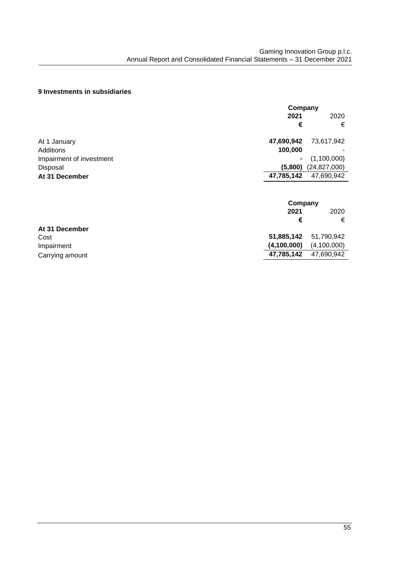# **9 Investments in subsidiaries**

|                          | Company         |                |  |
|--------------------------|-----------------|----------------|--|
|                          | 2021            | 2020           |  |
|                          | €               | €              |  |
| At 1 January             | 47,690,942      | 73,617,942     |  |
| Additions                | 100,000         |                |  |
| Impairment of investment | $\blacksquare$  | (1,100,000)    |  |
| Disposal                 | (5,800)         | (24, 827, 000) |  |
| At 31 December           | 47,785,142      | 47,690,942     |  |
|                          | Company<br>2021 | 2020           |  |
|                          | €               | €              |  |
| At 31 December           |                 |                |  |
| Cost                     | 51,885,142      | 51,790,942     |  |
| Impairment               | (4,100,000)     | (4,100,000)    |  |
| Carrying amount          | 47,785,142      | 47,690,942     |  |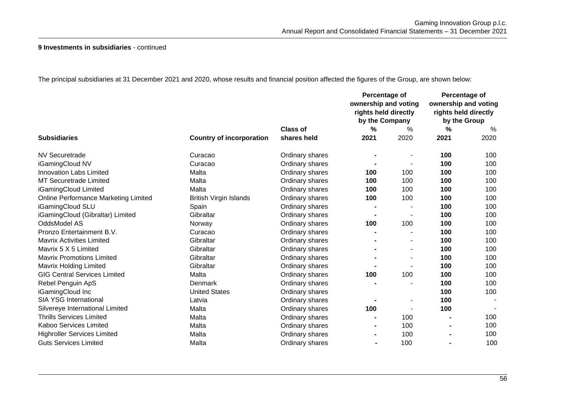## **9 Investments in subsidiaries** - continued

The principal subsidiaries at 31 December 2021 and 2020, whose results and financial position affected the figures of the Group, are shown below:

|                                             |                                 |                 | Percentage of<br>ownership and voting<br>rights held directly |                          | Percentage of<br>ownership and voting<br>rights held directly |      |
|---------------------------------------------|---------------------------------|-----------------|---------------------------------------------------------------|--------------------------|---------------------------------------------------------------|------|
|                                             |                                 |                 | by the Company                                                |                          | by the Group                                                  |      |
|                                             |                                 | <b>Class of</b> | %                                                             | ℅                        | $\%$                                                          | %    |
| <b>Subsidiaries</b>                         | <b>Country of incorporation</b> | shares held     | 2021                                                          | 2020                     | 2021                                                          | 2020 |
| <b>NV Securetrade</b>                       | Curacao                         | Ordinary shares |                                                               | ٠                        | 100                                                           | 100  |
| iGamingCloud NV                             | Curacao                         | Ordinary shares |                                                               | $\overline{\phantom{0}}$ | 100                                                           | 100  |
| <b>Innovation Labs Limited</b>              | Malta                           | Ordinary shares | 100                                                           | 100                      | 100                                                           | 100  |
| <b>MT Securetrade Limited</b>               | Malta                           | Ordinary shares | 100                                                           | 100                      | 100                                                           | 100  |
| iGamingCloud Limited                        | Malta                           | Ordinary shares | 100                                                           | 100                      | 100                                                           | 100  |
| <b>Online Performance Marketing Limited</b> | <b>British Virgin Islands</b>   | Ordinary shares | 100                                                           | 100                      | 100                                                           | 100  |
| iGamingCloud SLU                            | Spain                           | Ordinary shares |                                                               |                          | 100                                                           | 100  |
| iGamingCloud (Gibraltar) Limited            | Gibraltar                       | Ordinary shares |                                                               | $\overline{\phantom{a}}$ | 100                                                           | 100  |
| OddsModel AS                                | Norway                          | Ordinary shares | 100                                                           | 100                      | 100                                                           | 100  |
| Pronzo Entertainment B.V.                   | Curacao                         | Ordinary shares |                                                               | $\blacksquare$           | 100                                                           | 100  |
| <b>Mayrix Activities Limited</b>            | Gibraltar                       | Ordinary shares |                                                               | $\blacksquare$           | 100                                                           | 100  |
| Mavrix 5 X 5 Limited                        | Gibraltar                       | Ordinary shares |                                                               | $\blacksquare$           | 100                                                           | 100  |
| <b>Mavrix Promotions Limited</b>            | Gibraltar                       | Ordinary shares |                                                               | $\blacksquare$           | 100                                                           | 100  |
| <b>Mavrix Holding Limited</b>               | Gibraltar                       | Ordinary shares |                                                               | $\blacksquare$           | 100                                                           | 100  |
| <b>GIG Central Services Limited</b>         | Malta                           | Ordinary shares | 100                                                           | 100                      | 100                                                           | 100  |
| Rebel Penguin ApS                           | Denmark                         | Ordinary shares |                                                               |                          | 100                                                           | 100  |
| iGamingCloud Inc                            | <b>United States</b>            | Ordinary shares |                                                               |                          | 100                                                           | 100  |
| SIA YSG International                       | Latvia                          | Ordinary shares |                                                               | $\overline{\phantom{a}}$ | 100                                                           |      |
| Silvereye International Limited             | Malta                           | Ordinary shares | 100                                                           | $\overline{\phantom{a}}$ | 100                                                           |      |
| <b>Thrills Services Limited</b>             | Malta                           | Ordinary shares |                                                               | 100                      |                                                               | 100  |
| Kaboo Services Limited                      | Malta                           | Ordinary shares |                                                               | 100                      |                                                               | 100  |
| <b>Highroller Services Limited</b>          | Malta                           | Ordinary shares |                                                               | 100                      |                                                               | 100  |
| <b>Guts Services Limited</b>                | Malta                           | Ordinary shares |                                                               | 100                      |                                                               | 100  |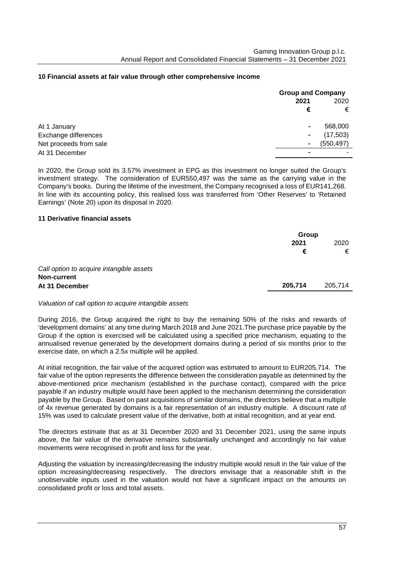#### **10 Financial assets at fair value through other comprehensive income**

|                        |                | <b>Group and Company</b> |  |  |
|------------------------|----------------|--------------------------|--|--|
|                        | 2021           | 2020                     |  |  |
|                        | €              | €                        |  |  |
| At 1 January           | $\blacksquare$ | 568,000                  |  |  |
| Exchange differences   | $\blacksquare$ | (17, 503)                |  |  |
| Net proceeds from sale | $\blacksquare$ | (550, 497)               |  |  |
| At 31 December         | $\blacksquare$ |                          |  |  |

In 2020, the Group sold its 3.57% investment in EPG as this investment no longer suited the Group's investment strategy. The consideration of EUR550,497 was the same as the carrying value in the Company's books. During the lifetime of the investment, the Company recognised a loss of EUR141,268. In line with its accounting policy, this realised loss was transferred from 'Other Reserves' to 'Retained Earnings' (Note 20) upon its disposal in 2020.

#### **11 Derivative financial assets**

|                                          |         | Group   |  |  |
|------------------------------------------|---------|---------|--|--|
|                                          | 2021    | 2020    |  |  |
|                                          | €       | €       |  |  |
| Call option to acquire intangible assets |         |         |  |  |
| Non-current                              |         |         |  |  |
| At 31 December                           | 205,714 | 205,714 |  |  |

#### *Valuation of call option to acquire intangible assets*

During 2016, the Group acquired the right to buy the remaining 50% of the risks and rewards of 'development domains' at any time during March 2018 and June 2021.The purchase price payable by the Group if the option is exercised will be calculated using a specified price mechanism, equating to the annualised revenue generated by the development domains during a period of six months prior to the exercise date, on which a 2.5x multiple will be applied.

At initial recognition, the fair value of the acquired option was estimated to amount to EUR205,714. The fair value of the option represents the difference between the consideration payable as determined by the above-mentioned price mechanism (established in the purchase contact), compared with the price payable if an industry multiple would have been applied to the mechanism determining the consideration payable by the Group. Based on past acquisitions of similar domains, the directors believe that a multiple of 4x revenue generated by domains is a fair representation of an industry multiple. A discount rate of 15% was used to calculate present value of the derivative, both at initial recognition, and at year end.

The directors estimate that as at 31 December 2020 and 31 December 2021, using the same inputs above, the fair value of the derivative remains substantially unchanged and accordingly no fair value movements were recognised in profit and loss for the year.

Adjusting the valuation by increasing/decreasing the industry multiple would result in the fair value of the option increasing/decreasing respectively. The directors envisage that a reasonable shift in the unobservable inputs used in the valuation would not have a significant impact on the amounts on consolidated profit or loss and total assets.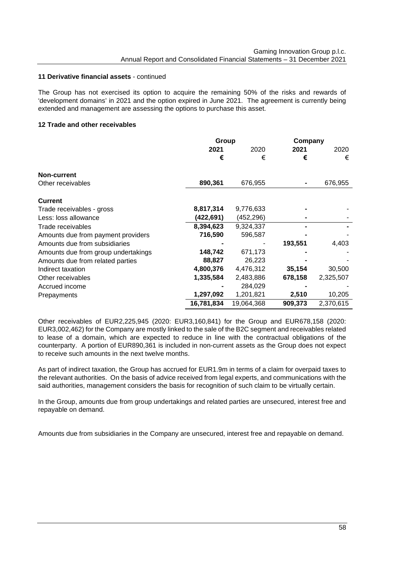#### **11 Derivative financial assets** - continued

The Group has not exercised its option to acquire the remaining 50% of the risks and rewards of 'development domains' in 2021 and the option expired in June 2021. The agreement is currently being extended and management are assessing the options to purchase this asset.

# **12 Trade and other receivables**

|                                     | Group      |            | Company |           |
|-------------------------------------|------------|------------|---------|-----------|
|                                     | 2021       | 2020       | 2021    | 2020      |
|                                     | €          | €          | €       | €         |
| <b>Non-current</b>                  |            |            |         |           |
| Other receivables                   | 890,361    | 676,955    |         | 676,955   |
| <b>Current</b>                      |            |            |         |           |
| Trade receivables - gross           | 8,817,314  | 9,776,633  |         |           |
| Less: loss allowance                | (422,691)  | (452,296)  |         |           |
| Trade receivables                   | 8,394,623  | 9,324,337  |         |           |
| Amounts due from payment providers  | 716,590    | 596,587    |         |           |
| Amounts due from subsidiaries       |            |            | 193,551 | 4,403     |
| Amounts due from group undertakings | 148,742    | 671,173    |         |           |
| Amounts due from related parties    | 88,827     | 26,223     |         |           |
| Indirect taxation                   | 4,800,376  | 4,476,312  | 35,154  | 30,500    |
| Other receivables                   | 1,335,584  | 2,483,886  | 678,158 | 2,325,507 |
| Accrued income                      |            | 284,029    |         |           |
| Prepayments                         | 1,297,092  | 1,201,821  | 2,510   | 10,205    |
|                                     | 16,781,834 | 19,064,368 | 909,373 | 2,370,615 |

Other receivables of EUR2,225,945 (2020: EUR3,160,841) for the Group and EUR678,158 (2020: EUR3,002,462) for the Company are mostly linked to the sale of the B2C segment and receivables related to lease of a domain, which are expected to reduce in line with the contractual obligations of the counterparty. A portion of EUR890,361 is included in non-current assets as the Group does not expect to receive such amounts in the next twelve months.

As part of indirect taxation, the Group has accrued for EUR1.9m in terms of a claim for overpaid taxes to the relevant authorities. On the basis of advice received from legal experts, and communications with the said authorities, management considers the basis for recognition of such claim to be virtually certain.

In the Group, amounts due from group undertakings and related parties are unsecured, interest free and repayable on demand.

Amounts due from subsidiaries in the Company are unsecured, interest free and repayable on demand.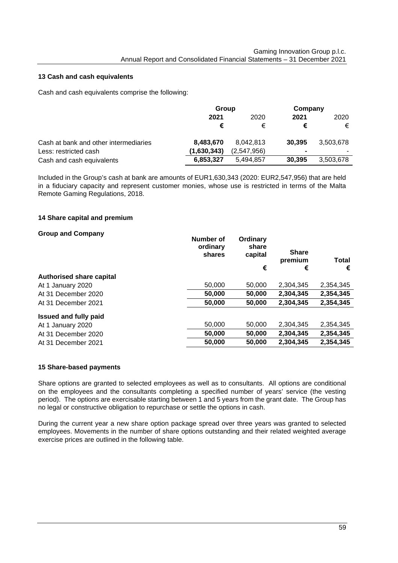# **13 Cash and cash equivalents**

Cash and cash equivalents comprise the following:

|                                       | Group       |             | Company        |           |
|---------------------------------------|-------------|-------------|----------------|-----------|
|                                       | 2021        | 2020        | 2021           | 2020      |
|                                       |             | €           | €              | €         |
| Cash at bank and other intermediaries | 8,483,670   | 8.042.813   | 30.395         | 3.503.678 |
| Less: restricted cash                 | (1,630,343) | (2,547,956) | $\blacksquare$ |           |
| Cash and cash equivalents             | 6,853,327   | 5,494,857   | 30,395         | 3,503,678 |

Included in the Group's cash at bank are amounts of EUR1,630,343 (2020: EUR2,547,956) that are held in a fiduciary capacity and represent customer monies, whose use is restricted in terms of the Malta Remote Gaming Regulations, 2018.

#### **14 Share capital and premium**

#### **Group and Company**

|                                 | Number of<br>ordinary<br>shares | Ordinary<br>share<br>capital<br>€ | <b>Share</b><br>premium<br>€ | Total<br>€ |
|---------------------------------|---------------------------------|-----------------------------------|------------------------------|------------|
| <b>Authorised share capital</b> |                                 |                                   |                              |            |
| At 1 January 2020               | 50,000                          | 50,000                            | 2.304.345                    | 2.354.345  |
| At 31 December 2020             | 50,000                          | 50,000                            | 2,304,345                    | 2,354,345  |
| At 31 December 2021             | 50,000                          | 50,000                            | 2,304,345                    | 2,354,345  |
| <b>Issued and fully paid</b>    |                                 |                                   |                              |            |
| At 1 January 2020               | 50,000                          | 50,000                            | 2.304.345                    | 2.354.345  |
| At 31 December 2020             | 50,000                          | 50,000                            | 2,304,345                    | 2,354,345  |
| At 31 December 2021             | 50,000                          | 50,000                            | 2,304,345                    | 2,354,345  |

#### **15 Share-based payments**

Share options are granted to selected employees as well as to consultants. All options are conditional on the employees and the consultants completing a specified number of years' service (the vesting period). The options are exercisable starting between 1 and 5 years from the grant date. The Group has no legal or constructive obligation to repurchase or settle the options in cash.

During the current year a new share option package spread over three years was granted to selected employees. Movements in the number of share options outstanding and their related weighted average exercise prices are outlined in the following table.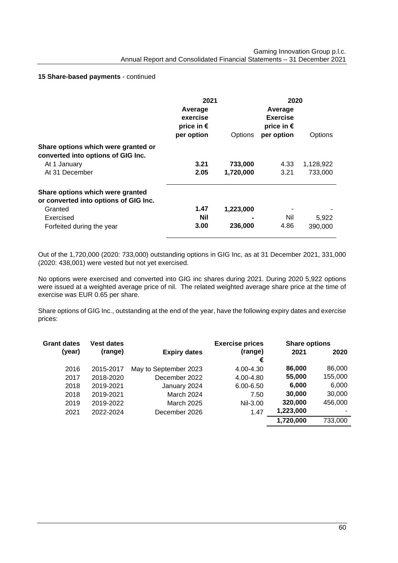#### **15 Share-based payments** - continued

|                                                                           | 2021                                                     |           | 2020                                                            |           |
|---------------------------------------------------------------------------|----------------------------------------------------------|-----------|-----------------------------------------------------------------|-----------|
|                                                                           | Average<br>exercise<br>price in $\epsilon$<br>per option | Options   | Average<br><b>Exercise</b><br>price in $\epsilon$<br>per option | Options   |
| Share options which were granted or<br>converted into options of GIG Inc. |                                                          |           |                                                                 |           |
| At 1 January                                                              | 3.21                                                     | 733,000   | 4.33                                                            | 1,128,922 |
| At 31 December                                                            | 2.05                                                     | 1,720,000 | 3.21                                                            | 733,000   |
| Share options which were granted<br>or converted into options of GIG Inc. |                                                          |           |                                                                 |           |
| Granted                                                                   | 1.47                                                     | 1,223,000 |                                                                 |           |
| Exercised                                                                 | Nil                                                      |           | Nil                                                             | 5,922     |
| Forfeited during the year                                                 | 3.00                                                     | 236,000   | 4.86                                                            | 390,000   |

Out of the 1,720,000 (2020: 733,000) outstanding options in GIG Inc, as at 31 December 2021, 331,000 (2020: 438,001) were vested but not yet exercised.

No options were exercised and converted into GIG inc shares during 2021. During 2020 5,922 options were issued at a weighted average price of nil. The related weighted average share price at the time of exercise was EUR 0.65 per share.

Share options of GIG Inc., outstanding at the end of the year, have the following expiry dates and exercise prices:

| <b>Grant dates</b> | <b>Vest dates</b> |                       | <b>Exercise prices</b> | <b>Share options</b> |         |
|--------------------|-------------------|-----------------------|------------------------|----------------------|---------|
| (year)             | (range)           | <b>Expiry dates</b>   | (range)<br>€           | 2021                 | 2020    |
| 2016               | 2015-2017         | May to September 2023 | 4.00-4.30              | 86,000               | 86,000  |
| 2017               | 2018-2020         | December 2022         | 4.00-4.80              | 55,000               | 155,000 |
| 2018               | 2019-2021         | January 2024          | $6.00 - 6.50$          | 6,000                | 6,000   |
| 2018               | 2019-2021         | March 2024            | 7.50                   | 30,000               | 30,000  |
| 2019               | 2019-2022         | March 2025            | Nil-3.00               | 320,000              | 456,000 |
| 2021               | 2022-2024         | December 2026         | 1.47                   | 1,223,000            | ۰       |
|                    |                   |                       |                        | 1,720,000            | 733,000 |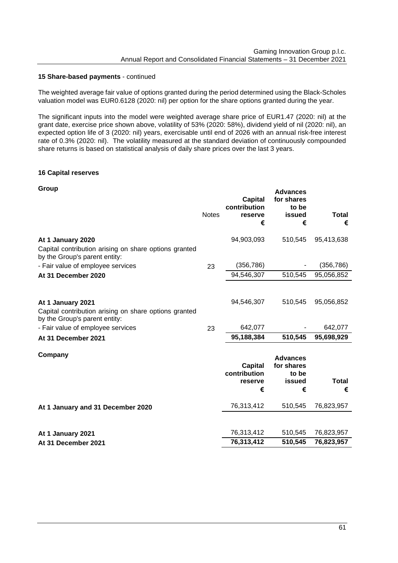#### **15 Share-based payments** - continued

The weighted average fair value of options granted during the period determined using the Black-Scholes valuation model was EUR0.6128 (2020: nil) per option for the share options granted during the year.

The significant inputs into the model were weighted average share price of EUR1.47 (2020: nil) at the grant date, exercise price shown above, volatility of 53% (2020: 58%), dividend yield of nil (2020: nil), an expected option life of 3 (2020: nil) years, exercisable until end of 2026 with an annual risk-free interest rate of 0.3% (2020: nil). The volatility measured at the standard deviation of continuously compounded share returns is based on statistical analysis of daily share prices over the last 3 years.

### **16 Capital reserves**

# **Group**

| oroup                                                                                                                                                                   | <b>Notes</b> | <b>Capital</b><br>contribution<br>reserve<br>€ | <b>Advances</b><br>for shares<br>to be<br>issued<br>€ | <b>Total</b><br>€                   |
|-------------------------------------------------------------------------------------------------------------------------------------------------------------------------|--------------|------------------------------------------------|-------------------------------------------------------|-------------------------------------|
| At 1 January 2020<br>Capital contribution arising on share options granted<br>by the Group's parent entity:                                                             |              | 94,903,093                                     | 510,545                                               | 95,413,638                          |
| - Fair value of employee services                                                                                                                                       | 23           | (356, 786)                                     |                                                       | (356, 786)                          |
| At 31 December 2020                                                                                                                                                     |              | 94,546,307                                     | 510,545                                               | 95,056,852                          |
| At 1 January 2021<br>Capital contribution arising on share options granted<br>by the Group's parent entity:<br>- Fair value of employee services<br>At 31 December 2021 | 23           | 94,546,307<br>642,077<br>95,188,384            | 510,545<br>510,545                                    | 95,056,852<br>642,077<br>95,698,929 |
| Company                                                                                                                                                                 |              | <b>Capital</b><br>contribution<br>reserve<br>€ | <b>Advances</b><br>for shares<br>to be<br>issued<br>€ | <b>Total</b><br>€                   |
| At 1 January and 31 December 2020                                                                                                                                       |              | 76,313,412                                     | 510,545                                               | 76,823,957                          |
| At 1 January 2021                                                                                                                                                       |              | 76,313,412                                     | 510,545                                               | 76,823,957                          |
| At 31 December 2021                                                                                                                                                     |              | 76,313,412                                     | 510,545                                               | 76,823,957                          |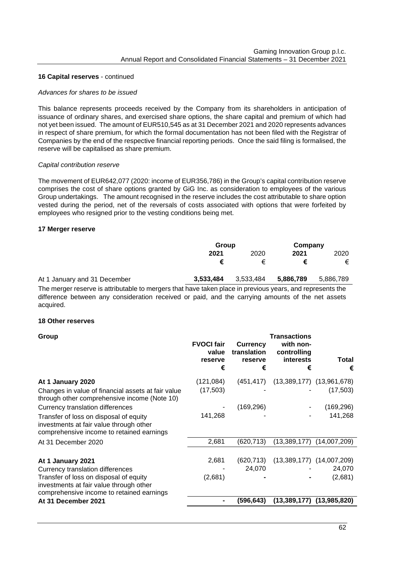#### **16 Capital reserves** - continued

#### *Advances for shares to be issued*

This balance represents proceeds received by the Company from its shareholders in anticipation of issuance of ordinary shares, and exercised share options, the share capital and premium of which had not yet been issued. The amount of EUR510,545 as at 31 December 2021 and 2020 represents advances in respect of share premium, for which the formal documentation has not been filed with the Registrar of Companies by the end of the respective financial reporting periods. Once the said filing is formalised, the reserve will be capitalised as share premium.

#### *Capital contribution reserve*

The movement of EUR642,077 (2020: income of EUR356,786) in the Group's capital contribution reserve comprises the cost of share options granted by GiG Inc. as consideration to employees of the various Group undertakings. The amount recognised in the reserve includes the cost attributable to share option vested during the period, net of the reversals of costs associated with options that were forfeited by employees who resigned prior to the vesting conditions being met.

#### **17 Merger reserve**

|                              |           | Group     |           | Company                     |
|------------------------------|-----------|-----------|-----------|-----------------------------|
|                              | 2021      | 2020      | 2021      | 2020                        |
|                              | €         | €         |           | €                           |
| At 1 January and 31 December | 3,533,484 | 3,533,484 | 5,886,789 | 5,886,789                   |
| $-1$<br>. .                  | .<br>. .  |           |           | $\sim$ $\sim$ $\sim$ $\sim$ |

The merger reserve is attributable to mergers that have taken place in previous years, and represents the difference between any consideration received or paid, and the carrying amounts of the net assets acquired.

#### **18 Other reserves**

| Group                                                                                                                                                                                   | <b>FVOCI</b> fair<br>value<br>reserve<br>€ | Currency<br>translation<br>reserve<br>€ | Transactions<br>with non-<br>controlling<br><i>interests</i><br>€ | Total<br>€                                         |
|-----------------------------------------------------------------------------------------------------------------------------------------------------------------------------------------|--------------------------------------------|-----------------------------------------|-------------------------------------------------------------------|----------------------------------------------------|
| At 1 January 2020<br>Changes in value of financial assets at fair value<br>through other comprehensive income (Note 10)                                                                 | (121,084)<br>(17, 503)                     | (451, 417)                              |                                                                   | $(13,389,177)$ $(13,961,678)$<br>(17, 503)         |
| Currency translation differences<br>Transfer of loss on disposal of equity<br>investments at fair value through other<br>comprehensive income to retained earnings                      | 141,268                                    | (169, 296)                              |                                                                   | (169,296)<br>141,268                               |
| At 31 December 2020                                                                                                                                                                     | 2,681                                      | (620, 713)                              | (13,389,177)                                                      | (14,007,209)                                       |
| At 1 January 2021<br>Currency translation differences<br>Transfer of loss on disposal of equity<br>investments at fair value through other<br>comprehensive income to retained earnings | 2,681<br>(2,681)                           | (620, 713)<br>24,070                    |                                                                   | $(13,389,177)$ $(14,007,209)$<br>24,070<br>(2,681) |
| At 31 December 2021                                                                                                                                                                     |                                            | (596,643)                               | (13, 389, 177)                                                    | (13,985,820)                                       |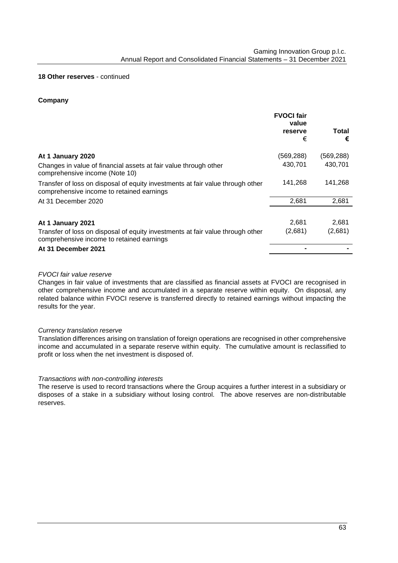#### **18 Other reserves** - continued

# **Company**

|                                                                                                                             | <b>FVOCI</b> fair<br>value<br>reserve<br>€ | Total<br>€ |
|-----------------------------------------------------------------------------------------------------------------------------|--------------------------------------------|------------|
| At 1 January 2020                                                                                                           | (569, 288)                                 | (569, 288) |
| Changes in value of financial assets at fair value through other<br>comprehensive income (Note 10)                          | 430,701                                    | 430,701    |
| Transfer of loss on disposal of equity investments at fair value through other<br>comprehensive income to retained earnings | 141,268                                    | 141,268    |
| At 31 December 2020                                                                                                         | 2,681                                      | 2,681      |
|                                                                                                                             |                                            |            |
| At 1 January 2021                                                                                                           | 2,681                                      | 2,681      |
| Transfer of loss on disposal of equity investments at fair value through other<br>comprehensive income to retained earnings | (2,681)                                    | (2,681)    |
| At 31 December 2021                                                                                                         |                                            |            |
|                                                                                                                             |                                            |            |

#### *FVOCI fair value reserve*

Changes in fair value of investments that are classified as financial assets at FVOCI are recognised in other comprehensive income and accumulated in a separate reserve within equity. On disposal, any related balance within FVOCI reserve is transferred directly to retained earnings without impacting the results for the year.

#### *Currency translation reserve*

Translation differences arising on translation of foreign operations are recognised in other comprehensive income and accumulated in a separate reserve within equity. The cumulative amount is reclassified to profit or loss when the net investment is disposed of.

#### *Transactions with non-controlling interests*

The reserve is used to record transactions where the Group acquires a further interest in a subsidiary or disposes of a stake in a subsidiary without losing control. The above reserves are non-distributable reserves.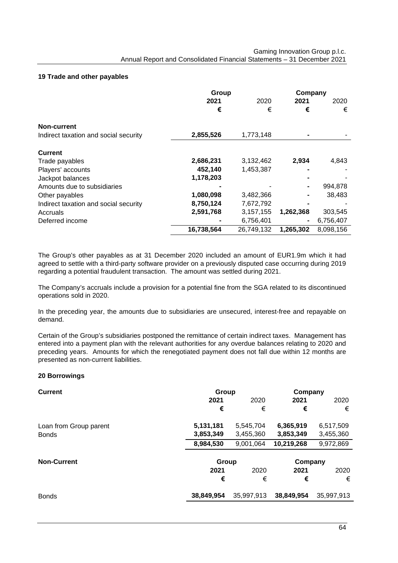# **19 Trade and other payables**

|                                       | Group      |            | Company        |           |  |
|---------------------------------------|------------|------------|----------------|-----------|--|
|                                       | 2021       | 2020       | 2021           | 2020      |  |
|                                       | €          | €          | €              | €         |  |
| Non-current                           |            |            |                |           |  |
| Indirect taxation and social security | 2,855,526  | 1,773,148  |                |           |  |
| <b>Current</b>                        |            |            |                |           |  |
| Trade payables                        | 2,686,231  | 3,132,462  | 2,934          | 4,843     |  |
| Players' accounts                     | 452,140    | 1,453,387  |                |           |  |
| Jackpot balances                      | 1,178,203  |            |                |           |  |
| Amounts due to subsidiaries           |            |            |                | 994,878   |  |
| Other payables                        | 1,080,098  | 3,482,366  |                | 38,483    |  |
| Indirect taxation and social security | 8,750,124  | 7,672,792  |                |           |  |
| Accruals                              | 2,591,768  | 3,157,155  | 1,262,368      | 303,545   |  |
| Deferred income                       |            | 6,756,401  | $\blacksquare$ | 6,756,407 |  |
|                                       | 16,738,564 | 26,749,132 | 1,265,302      | 8,098,156 |  |

The Group's other payables as at 31 December 2020 included an amount of EUR1.9m which it had agreed to settle with a third-party software provider on a previously disputed case occurring during 2019 regarding a potential fraudulent transaction. The amount was settled during 2021.

The Company's accruals include a provision for a potential fine from the SGA related to its discontinued operations sold in 2020.

In the preceding year, the amounts due to subsidiaries are unsecured, interest-free and repayable on demand.

Certain of the Group's subsidiaries postponed the remittance of certain indirect taxes. Management has entered into a payment plan with the relevant authorities for any overdue balances relating to 2020 and preceding years. Amounts for which the renegotiated payment does not fall due within 12 months are presented as non-current liabilities.

#### **20 Borrowings**

| 2020       |
|------------|
|            |
| €          |
| 6,517,509  |
| 3,455,360  |
| 9,972,869  |
|            |
| 2020       |
| €          |
| 35,997,913 |
|            |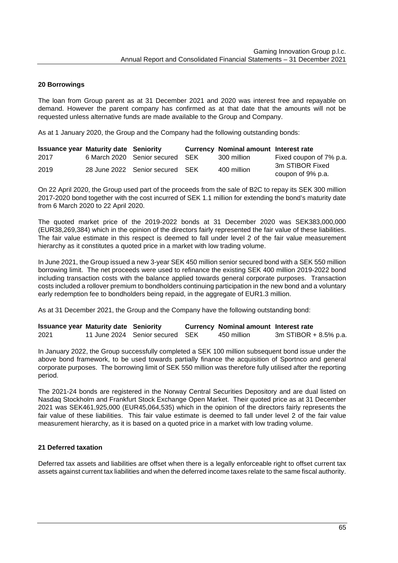# **20 Borrowings**

The loan from Group parent as at 31 December 2021 and 2020 was interest free and repayable on demand. However the parent company has confirmed as at that date that the amounts will not be requested unless alternative funds are made available to the Group and Company.

As at 1 January 2020, the Group and the Company had the following outstanding bonds:

|      | <b>Issuance year Maturity date Seniority</b> |                                 | Currency Nominal amount Interest rate |                                      |
|------|----------------------------------------------|---------------------------------|---------------------------------------|--------------------------------------|
| 2017 |                                              | 6 March 2020 Senior secured SEK | 300 million                           | Fixed coupon of 7% p.a.              |
| 2019 |                                              | 28 June 2022 Senior secured SEK | 400 million                           | 3m STIBOR Fixed<br>coupon of 9% p.a. |

On 22 April 2020, the Group used part of the proceeds from the sale of B2C to repay its SEK 300 million 2017-2020 bond together with the cost incurred of SEK 1.1 million for extending the bond's maturity date from 6 March 2020 to 22 April 2020.

The quoted market price of the 2019-2022 bonds at 31 December 2020 was SEK383,000,000 (EUR38,269,384) which in the opinion of the directors fairly represented the fair value of these liabilities. The fair value estimate in this respect is deemed to fall under level 2 of the fair value measurement hierarchy as it constitutes a quoted price in a market with low trading volume.

In June 2021, the Group issued a new 3-year SEK 450 million senior secured bond with a SEK 550 million borrowing limit. The net proceeds were used to refinance the existing SEK 400 million 2019-2022 bond including transaction costs with the balance applied towards general corporate purposes. Transaction costs included a rollover premium to bondholders continuing participation in the new bond and a voluntary early redemption fee to bondholders being repaid, in the aggregate of EUR1.3 million.

As at 31 December 2021, the Group and the Company have the following outstanding bond:

| <b>Issuance year Maturity date Seniority</b> |                                 | <b>Currency Nominal amount Interest rate</b> |                       |
|----------------------------------------------|---------------------------------|----------------------------------------------|-----------------------|
| 2021                                         | 11 June 2024 Senior secured SEK | 450 million                                  | 3m STIBOR + 8.5% p.a. |

In January 2022, the Group successfully completed a SEK 100 million subsequent bond issue under the above bond framework, to be used towards partially finance the acquisition of Sportnco and general corporate purposes. The borrowing limit of SEK 550 million was therefore fully utilised after the reporting period.

The 2021-24 bonds are registered in the Norway Central Securities Depository and are dual listed on Nasdaq Stockholm and Frankfurt Stock Exchange Open Market. Their quoted price as at 31 December 2021 was SEK461,925,000 (EUR45,064,535) which in the opinion of the directors fairly represents the fair value of these liabilities. This fair value estimate is deemed to fall under level 2 of the fair value measurement hierarchy, as it is based on a quoted price in a market with low trading volume.

#### **21 Deferred taxation**

Deferred tax assets and liabilities are offset when there is a legally enforceable right to offset current tax assets against current tax liabilities and when the deferred income taxes relate to the same fiscal authority.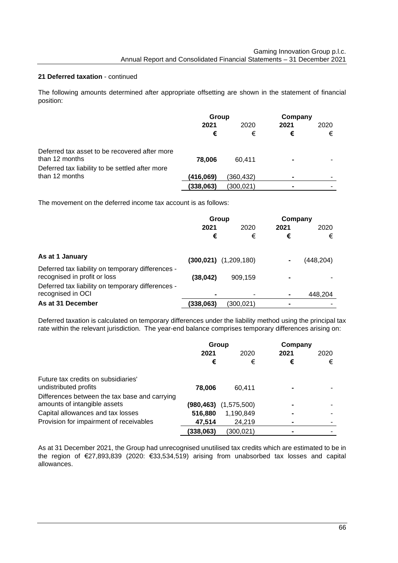#### **21 Deferred taxation** - continued

The following amounts determined after appropriate offsetting are shown in the statement of financial position:

|                                                                 | Group     |           | Company |      |  |
|-----------------------------------------------------------------|-----------|-----------|---------|------|--|
|                                                                 | 2021      | 2020      | 2021    | 2020 |  |
|                                                                 | €         | €         | €       | €    |  |
| Deferred tax asset to be recovered after more<br>than 12 months |           |           |         |      |  |
| Deferred tax liability to be settled after more                 | 78,006    | 60.411    |         |      |  |
| than 12 months                                                  | (416,069) | (360.432) |         |      |  |
|                                                                 | (338,063) | (300,021) |         |      |  |

The movement on the deferred income tax account is as follows:

|                                                                                   | Group     |                              |      | Company    |      |
|-----------------------------------------------------------------------------------|-----------|------------------------------|------|------------|------|
|                                                                                   | 2021      | 2020                         | 2021 |            | 2020 |
|                                                                                   | €         | €                            | €    | €          |      |
| As at 1 January                                                                   |           | $(300, 021)$ $(1, 209, 180)$ |      | (448, 204) |      |
| Deferred tax liability on temporary differences -<br>recognised in profit or loss | (38,042)  | 909.159                      |      |            |      |
| Deferred tax liability on temporary differences -<br>recognised in OCI            | ٠         |                              |      | 448.204    |      |
| As at 31 December                                                                 | (338,063) | (300.021)                    |      |            |      |

Deferred taxation is calculated on temporary differences under the liability method using the principal tax rate within the relevant jurisdiction. The year-end balance comprises temporary differences arising on:

|                                                              | Group     |             | Company |      |
|--------------------------------------------------------------|-----------|-------------|---------|------|
|                                                              | 2021      | 2020        | 2021    | 2020 |
|                                                              | €         | €           | €       | €    |
| Future tax credits on subsidiaries'<br>undistributed profits | 78,006    | 60.411      |         |      |
| Differences between the tax base and carrying                |           |             |         |      |
| amounts of intangible assets                                 | (980,463) | (1,575,500) |         |      |
| Capital allowances and tax losses                            | 516,880   | 1,190,849   |         |      |
| Provision for impairment of receivables                      | 47,514    | 24,219      |         |      |
|                                                              | (338,063) | (300.021)   |         |      |

As at 31 December 2021, the Group had unrecognised unutilised tax credits which are estimated to be in the region of €27,893,839 (2020: €33,534,519) arising from unabsorbed tax losses and capital allowances.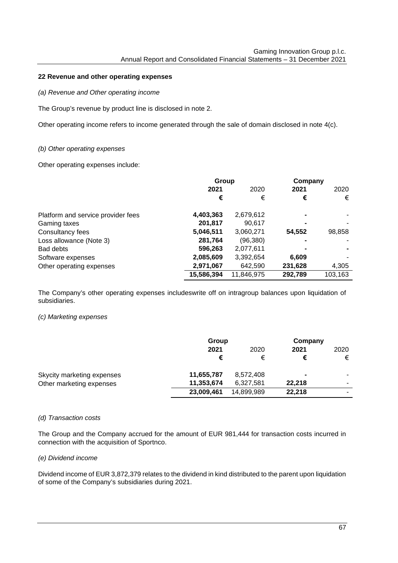### **22 Revenue and other operating expenses**

*(a) Revenue and Other operating income*

The Group's revenue by product line is disclosed in note 2.

Other operating income refers to income generated through the sale of domain disclosed in note 4(c).

#### *(b) Other operating expenses*

Other operating expenses include:

|                                    | Group        |            | Company |         |
|------------------------------------|--------------|------------|---------|---------|
|                                    | 2021<br>2020 |            | 2021    | 2020    |
|                                    | €            | €          | €       | €       |
| Platform and service provider fees | 4,403,363    | 2,679,612  |         |         |
| Gaming taxes                       | 201,817      | 90,617     |         |         |
| Consultancy fees                   | 5,046,511    | 3,060,271  | 54,552  | 98,858  |
| Loss allowance (Note 3)            | 281,764      | (96, 380)  |         |         |
| Bad debts                          | 596,263      | 2,077,611  |         |         |
| Software expenses                  | 2,085,609    | 3,392,654  | 6,609   |         |
| Other operating expenses           | 2,971,067    | 642,590    | 231,628 | 4,305   |
|                                    | 15,586,394   | 11,846,975 | 292,789 | 103,163 |

The Company's other operating expenses includeswrite off on intragroup balances upon liquidation of subsidiaries.

#### *(c) Marketing expenses*

|                            | Group<br>2021<br>2020 |            | Company        |                          |
|----------------------------|-----------------------|------------|----------------|--------------------------|
|                            |                       |            | 2021           | 2020                     |
|                            | €                     | €          | €              | €                        |
| Skycity marketing expenses | 11,655,787            | 8,572,408  | $\blacksquare$ |                          |
| Other marketing expenses   | 11,353,674            | 6,327,581  | 22.218         | $\overline{\phantom{a}}$ |
|                            | 23,009,461            | 14,899,989 | 22,218         |                          |

#### *(d) Transaction costs*

The Group and the Company accrued for the amount of EUR 981,444 for transaction costs incurred in connection with the acquisition of Sportnco.

#### *(e) Dividend income*

Dividend income of EUR 3,872,379 relates to the dividend in kind distributed to the parent upon liquidation of some of the Company's subsidiaries during 2021.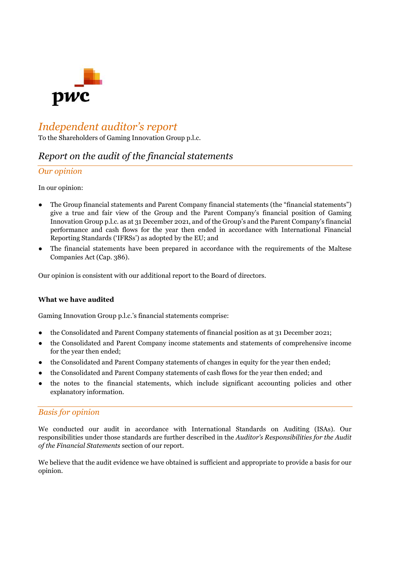

# *Independent auditor's report*

To the Shareholders of Gaming Innovation Group p.l.c.

# *Report on the audit of the financial statements*

# *Our opinion*

In our opinion:

- The Group financial statements and Parent Company financial statements (the "financial statements") give a true and fair view of the Group and the Parent Company's financial position of Gaming Innovation Group p.l.c. as at 31 December 2021, and of the Group's and the Parent Company's financial performance and cash flows for the year then ended in accordance with International Financial Reporting Standards ('IFRSs') as adopted by the EU; and
- The financial statements have been prepared in accordance with the requirements of the Maltese Companies Act (Cap. 386).

Our opinion is consistent with our additional report to the Board of directors.

#### **What we have audited**

Gaming Innovation Group p.l.c.'s financial statements comprise:

- the Consolidated and Parent Company statements of financial position as at 31 December 2021;
- the Consolidated and Parent Company income statements and statements of comprehensive income for the year then ended;
- the Consolidated and Parent Company statements of changes in equity for the year then ended;
- the Consolidated and Parent Company statements of cash flows for the year then ended; and
- the notes to the financial statements, which include significant accounting policies and other explanatory information.

# *Basis for opinion*

We conducted our audit in accordance with International Standards on Auditing (ISAs). Our responsibilities under those standards are further described in the *Auditor's Responsibilities for the Audit of the Financial Statements* section of our report.

We believe that the audit evidence we have obtained is sufficient and appropriate to provide a basis for our opinion.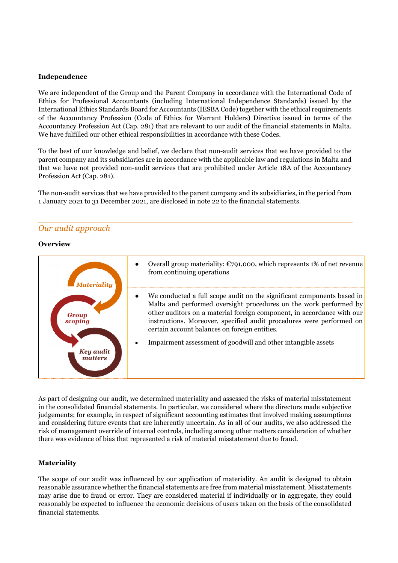#### **Independence**

We are independent of the Group and the Parent Company in accordance with the International Code of Ethics for Professional Accountants (including International Independence Standards) issued by the International Ethics Standards Board for Accountants (IESBA Code) together with the ethical requirements of the Accountancy Profession (Code of Ethics for Warrant Holders) Directive issued in terms of the Accountancy Profession Act (Cap. 281) that are relevant to our audit of the financial statements in Malta. We have fulfilled our other ethical responsibilities in accordance with these Codes.

To the best of our knowledge and belief, we declare that non-audit services that we have provided to the parent company and its subsidiaries are in accordance with the applicable law and regulations in Malta and that we have not provided non-audit services that are prohibited under Article 18A of the Accountancy Profession Act (Cap. 281).

The non-audit services that we have provided to the parent company and its subsidiaries, in the period from 1 January 2021 to 31 December 2021, are disclosed in note 22 to the financial statements.

# *Our audit approach*

#### **Overview**



As part of designing our audit, we determined materiality and assessed the risks of material misstatement in the consolidated financial statements. In particular, we considered where the directors made subjective judgements; for example, in respect of significant accounting estimates that involved making assumptions and considering future events that are inherently uncertain. As in all of our audits, we also addressed the risk of management override of internal controls, including among other matters consideration of whether there was evidence of bias that represented a risk of material misstatement due to fraud.

#### **Materiality**

The scope of our audit was influenced by our application of materiality. An audit is designed to obtain reasonable assurance whether the financial statements are free from material misstatement. Misstatements may arise due to fraud or error. They are considered material if individually or in aggregate, they could reasonably be expected to influence the economic decisions of users taken on the basis of the consolidated financial statements.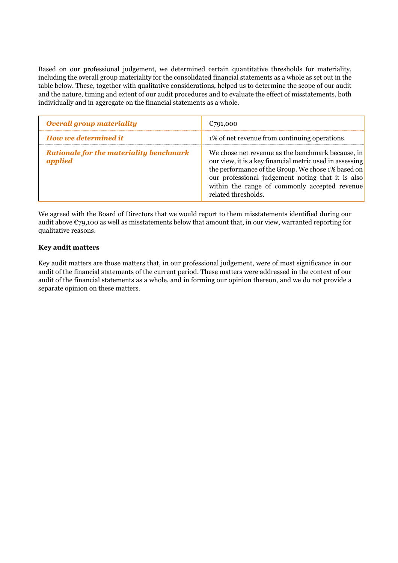Based on our professional judgement, we determined certain quantitative thresholds for materiality, including the overall group materiality for the consolidated financial statements as a whole as set out in the table below. These, together with qualitative considerations, helped us to determine the scope of our audit and the nature, timing and extent of our audit procedures and to evaluate the effect of misstatements, both individually and in aggregate on the financial statements as a whole.

| <b>Overall group materiality</b>                          | €791,000                                                                                                                                                                                                                                                                                         |
|-----------------------------------------------------------|--------------------------------------------------------------------------------------------------------------------------------------------------------------------------------------------------------------------------------------------------------------------------------------------------|
| How we determined it                                      | 1% of net revenue from continuing operations                                                                                                                                                                                                                                                     |
| <b>Rationale for the materiality benchmark</b><br>applied | We chose net revenue as the benchmark because, in<br>our view, it is a key financial metric used in assessing<br>the performance of the Group. We chose 1% based on<br>our professional judgement noting that it is also<br>within the range of commonly accepted revenue<br>related thresholds. |

We agreed with the Board of Directors that we would report to them misstatements identified during our audit above  $\epsilon$ 79,100 as well as misstatements below that amount that, in our view, warranted reporting for qualitative reasons.

#### **Key audit matters**

Key audit matters are those matters that, in our professional judgement, were of most significance in our audit of the financial statements of the current period. These matters were addressed in the context of our audit of the financial statements as a whole, and in forming our opinion thereon, and we do not provide a separate opinion on these matters.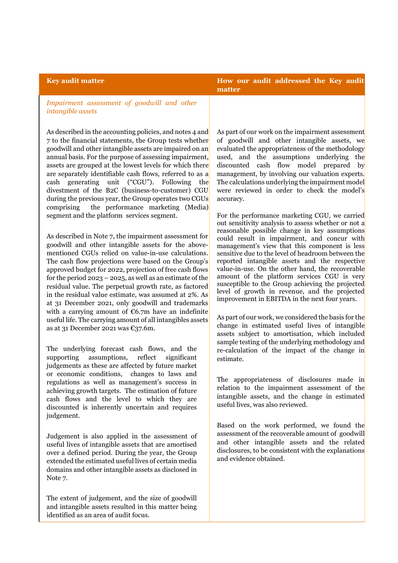#### *Impairment assessment of goodwill and other intangible assets*

As described in the accounting policies, and notes 4 and 7 to the financial statements, the Group tests whether goodwill and other intangible assets are impaired on an annual basis. For the purpose of assessing impairment, assets are grouped at the lowest levels for which there are separately identifiable cash flows, referred to as a cash generating unit ("CGU"). Following the divestment of the B2C (business-to-customer) CGU during the previous year, the Group operates two CGUs comprising the performance marketing (Media) segment and the platform services segment.

As described in Note 7, the impairment assessment for goodwill and other intangible assets for the abovementioned CGUs relied on value-in-use calculations. The cash flow projections were based on the Group's approved budget for 2022, projection of free cash flows for the period 2023 – 2025, as well as an estimate of the residual value. The perpetual growth rate, as factored in the residual value estimate, was assumed at 2%. As at 31 December 2021, only goodwill and trademarks with a carrying amount of  $\epsilon$ 6.7m have an indefinite useful life. The carrying amount of all intangibles assets as at 31 December 2021 was €37.6m.

The underlying forecast cash flows, and the supporting assumptions, reflect significant judgements as these are affected by future market or economic conditions, changes to laws and regulations as well as management's success in achieving growth targets. The estimation of future cash flows and the level to which they are discounted is inherently uncertain and requires judgement.

Judgement is also applied in the assessment of useful lives of intangible assets that are amortised over a defined period. During the year, the Group extended the estimated useful lives of certain media domains and other intangible assets as disclosed in Note 7.

The extent of judgement, and the size of goodwill and intangible assets resulted in this matter being identified as an area of audit focus.

**Key audit matter How our audit addressed the Key audit matter**

> As part of our work on the impairment assessment of goodwill and other intangible assets, we evaluated the appropriateness of the methodology used, and the assumptions underlying the discounted cash flow model prepared by management, by involving our valuation experts. The calculations underlying the impairment model were reviewed in order to check the model's accuracy.

> For the performance marketing CGU, we carried out sensitivity analysis to assess whether or not a reasonable possible change in key assumptions could result in impairment, and concur with management's view that this component is less sensitive due to the level of headroom between the reported intangible assets and the respective value-in-use. On the other hand, the recoverable amount of the platform services CGU is very susceptible to the Group achieving the projected level of growth in revenue, and the projected improvement in EBITDA in the next four years.

> As part of our work, we considered the basis for the change in estimated useful lives of intangible assets subject to amortisation, which included sample testing of the underlying methodology and re-calculation of the impact of the change in estimate.

> The appropriateness of disclosures made in relation to the impairment assessment of the intangible assets, and the change in estimated useful lives, was also reviewed.

> Based on the work performed, we found the assessment of the recoverable amount of goodwill and other intangible assets and the related disclosures, to be consistent with the explanations and evidence obtained.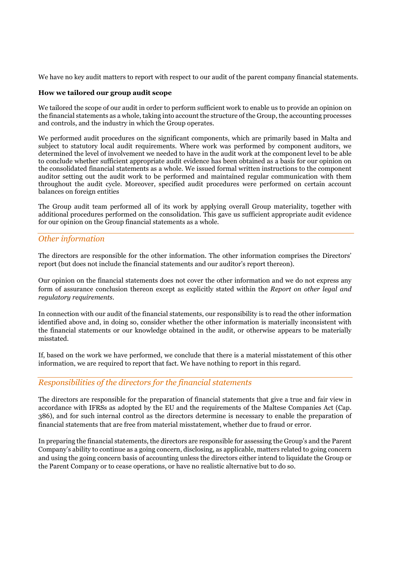We have no key audit matters to report with respect to our audit of the parent company financial statements.

#### **How we tailored our group audit scope**

We tailored the scope of our audit in order to perform sufficient work to enable us to provide an opinion on the financial statements as a whole, taking into account the structure of the Group, the accounting processes and controls, and the industry in which the Group operates.

We performed audit procedures on the significant components, which are primarily based in Malta and subject to statutory local audit requirements. Where work was performed by component auditors, we determined the level of involvement we needed to have in the audit work at the component level to be able to conclude whether sufficient appropriate audit evidence has been obtained as a basis for our opinion on the consolidated financial statements as a whole. We issued formal written instructions to the component auditor setting out the audit work to be performed and maintained regular communication with them throughout the audit cycle. Moreover, specified audit procedures were performed on certain account balances on foreign entities

The Group audit team performed all of its work by applying overall Group materiality, together with additional procedures performed on the consolidation. This gave us sufficient appropriate audit evidence for our opinion on the Group financial statements as a whole.

#### *Other information*

The directors are responsible for the other information. The other information comprises the Directors' report (but does not include the financial statements and our auditor's report thereon).

Our opinion on the financial statements does not cover the other information and we do not express any form of assurance conclusion thereon except as explicitly stated within the *Report on other legal and regulatory requirements*.

In connection with our audit of the financial statements, our responsibility is to read the other information identified above and, in doing so, consider whether the other information is materially inconsistent with the financial statements or our knowledge obtained in the audit, or otherwise appears to be materially misstated.

If, based on the work we have performed, we conclude that there is a material misstatement of this other information, we are required to report that fact. We have nothing to report in this regard.

### *Responsibilities of the directors for the financial statements*

The directors are responsible for the preparation of financial statements that give a true and fair view in accordance with IFRSs as adopted by the EU and the requirements of the Maltese Companies Act (Cap. 386), and for such internal control as the directors determine is necessary to enable the preparation of financial statements that are free from material misstatement, whether due to fraud or error.

In preparing the financial statements, the directors are responsible for assessing the Group's and the Parent Company's ability to continue as a going concern, disclosing, as applicable, matters related to going concern and using the going concern basis of accounting unless the directors either intend to liquidate the Group or the Parent Company or to cease operations, or have no realistic alternative but to do so.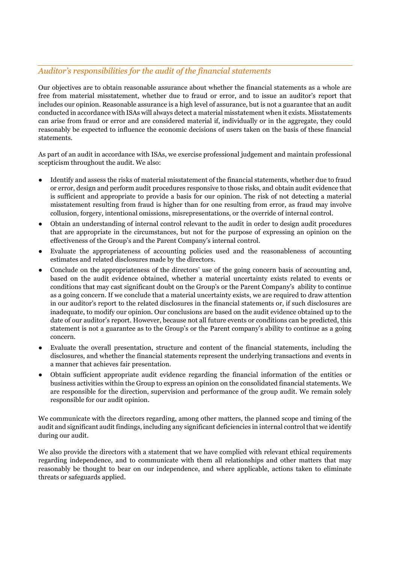## *Auditor's responsibilities for the audit of the financial statements*

Our objectives are to obtain reasonable assurance about whether the financial statements as a whole are free from material misstatement, whether due to fraud or error, and to issue an auditor's report that includes our opinion. Reasonable assurance is a high level of assurance, but is not a guarantee that an audit conducted in accordance with ISAs will always detect a material misstatement when it exists. Misstatements can arise from fraud or error and are considered material if, individually or in the aggregate, they could reasonably be expected to influence the economic decisions of users taken on the basis of these financial statements.

As part of an audit in accordance with ISAs, we exercise professional judgement and maintain professional scepticism throughout the audit. We also:

- Identify and assess the risks of material misstatement of the financial statements, whether due to fraud or error, design and perform audit procedures responsive to those risks, and obtain audit evidence that is sufficient and appropriate to provide a basis for our opinion. The risk of not detecting a material misstatement resulting from fraud is higher than for one resulting from error, as fraud may involve collusion, forgery, intentional omissions, misrepresentations, or the override of internal control.
- Obtain an understanding of internal control relevant to the audit in order to design audit procedures that are appropriate in the circumstances, but not for the purpose of expressing an opinion on the effectiveness of the Group's and the Parent Company's internal control.
- Evaluate the appropriateness of accounting policies used and the reasonableness of accounting estimates and related disclosures made by the directors.
- Conclude on the appropriateness of the directors' use of the going concern basis of accounting and, based on the audit evidence obtained, whether a material uncertainty exists related to events or conditions that may cast significant doubt on the Group's or the Parent Company's ability to continue as a going concern. If we conclude that a material uncertainty exists, we are required to draw attention in our auditor's report to the related disclosures in the financial statements or, if such disclosures are inadequate, to modify our opinion. Our conclusions are based on the audit evidence obtained up to the date of our auditor's report. However, because not all future events or conditions can be predicted, this statement is not a guarantee as to the Group's or the Parent company's ability to continue as a going concern.
- Evaluate the overall presentation, structure and content of the financial statements, including the disclosures, and whether the financial statements represent the underlying transactions and events in a manner that achieves fair presentation.
- Obtain sufficient appropriate audit evidence regarding the financial information of the entities or business activities within the Group to express an opinion on the consolidated financial statements. We are responsible for the direction, supervision and performance of the group audit. We remain solely responsible for our audit opinion.

We communicate with the directors regarding, among other matters, the planned scope and timing of the audit and significant audit findings, including any significant deficiencies in internal control that we identify during our audit.

We also provide the directors with a statement that we have complied with relevant ethical requirements regarding independence, and to communicate with them all relationships and other matters that may reasonably be thought to bear on our independence, and where applicable, actions taken to eliminate threats or safeguards applied.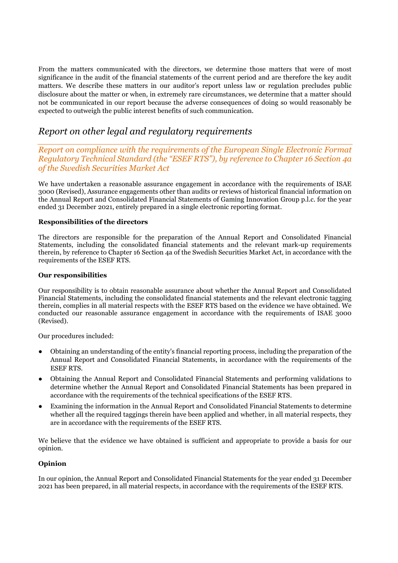From the matters communicated with the directors, we determine those matters that were of most significance in the audit of the financial statements of the current period and are therefore the key audit matters. We describe these matters in our auditor's report unless law or regulation precludes public disclosure about the matter or when, in extremely rare circumstances, we determine that a matter should not be communicated in our report because the adverse consequences of doing so would reasonably be expected to outweigh the public interest benefits of such communication.

# *Report on other legal and regulatory requirements*

### *Report on compliance with the requirements of the European Single Electronic Format Regulatory Technical Standard (the "ESEF RTS"), by reference to Chapter 16 Section 4a of the Swedish Securities Market Act*

We have undertaken a reasonable assurance engagement in accordance with the requirements of ISAE 3000 (Revised), Assurance engagements other than audits or reviews of historical financial information on the Annual Report and Consolidated Financial Statements of Gaming Innovation Group p.l.c. for the year ended 31 December 2021, entirely prepared in a single electronic reporting format.

#### **Responsibilities of the directors**

The directors are responsible for the preparation of the Annual Report and Consolidated Financial Statements, including the consolidated financial statements and the relevant mark-up requirements therein, by reference to Chapter 16 Section 4a of the Swedish Securities Market Act, in accordance with the requirements of the ESEF RTS.

#### **Our responsibilities**

Our responsibility is to obtain reasonable assurance about whether the Annual Report and Consolidated Financial Statements, including the consolidated financial statements and the relevant electronic tagging therein, complies in all material respects with the ESEF RTS based on the evidence we have obtained. We conducted our reasonable assurance engagement in accordance with the requirements of ISAE 3000 (Revised).

Our procedures included:

- Obtaining an understanding of the entity's financial reporting process, including the preparation of the Annual Report and Consolidated Financial Statements, in accordance with the requirements of the ESEF RTS.
- Obtaining the Annual Report and Consolidated Financial Statements and performing validations to determine whether the Annual Report and Consolidated Financial Statements has been prepared in accordance with the requirements of the technical specifications of the ESEF RTS.
- Examining the information in the Annual Report and Consolidated Financial Statements to determine whether all the required taggings therein have been applied and whether, in all material respects, they are in accordance with the requirements of the ESEF RTS.

We believe that the evidence we have obtained is sufficient and appropriate to provide a basis for our opinion.

#### **Opinion**

In our opinion, the Annual Report and Consolidated Financial Statements for the year ended 31 December 2021 has been prepared, in all material respects, in accordance with the requirements of the ESEF RTS.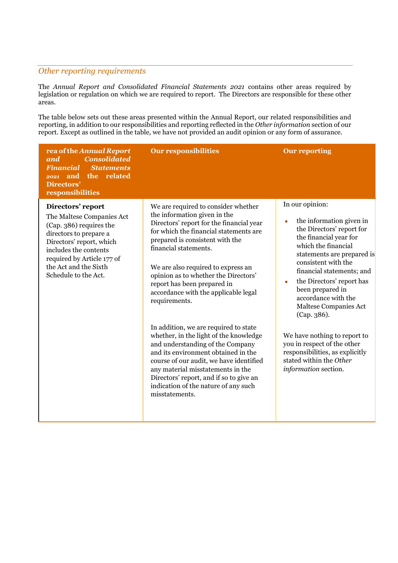### *Other reporting requirements*

The *Annual Report and Consolidated Financial Statements 2021* contains other areas required by legislation or regulation on which we are required to report. The Directors are responsible for these other areas.

The table below sets out these areas presented within the Annual Report, our related responsibilities and reporting, in addition to our responsibilities and reporting reflected in the *Other information* section of our report. Except as outlined in the table, we have not provided an audit opinion or any form of assurance.

| rea of the Annual Report<br><b>Consolidated</b><br>and<br><b>Financial</b><br><b>Statements</b><br>the related<br>2021 and<br>Directors'<br>responsibilities                                                                            | <b>Our responsibilities</b>                                                                                                                                                                                                                                                                                                                                                                                                                                                                                                                                                                                                                                                                                                                    | <b>Our reporting</b>                                                                                                                                                                                                                                                                                                                                                                                                                                                                                       |
|-----------------------------------------------------------------------------------------------------------------------------------------------------------------------------------------------------------------------------------------|------------------------------------------------------------------------------------------------------------------------------------------------------------------------------------------------------------------------------------------------------------------------------------------------------------------------------------------------------------------------------------------------------------------------------------------------------------------------------------------------------------------------------------------------------------------------------------------------------------------------------------------------------------------------------------------------------------------------------------------------|------------------------------------------------------------------------------------------------------------------------------------------------------------------------------------------------------------------------------------------------------------------------------------------------------------------------------------------------------------------------------------------------------------------------------------------------------------------------------------------------------------|
| Directors' report<br>The Maltese Companies Act<br>(Cap. 386) requires the<br>directors to prepare a<br>Directors' report, which<br>includes the contents<br>required by Article 177 of<br>the Act and the Sixth<br>Schedule to the Act. | We are required to consider whether<br>the information given in the<br>Directors' report for the financial year<br>for which the financial statements are<br>prepared is consistent with the<br>financial statements.<br>We are also required to express an<br>opinion as to whether the Directors'<br>report has been prepared in<br>accordance with the applicable legal<br>requirements.<br>In addition, we are required to state<br>whether, in the light of the knowledge<br>and understanding of the Company<br>and its environment obtained in the<br>course of our audit, we have identified<br>any material misstatements in the<br>Directors' report, and if so to give an<br>indication of the nature of any such<br>misstatements. | In our opinion:<br>the information given in<br>$\bullet$<br>the Directors' report for<br>the financial year for<br>which the financial<br>statements are prepared is<br>consistent with the<br>financial statements; and<br>the Directors' report has<br>$\bullet$<br>been prepared in<br>accordance with the<br>Maltese Companies Act<br>(Cap. 386).<br>We have nothing to report to<br>you in respect of the other<br>responsibilities, as explicitly<br>stated within the Other<br>information section. |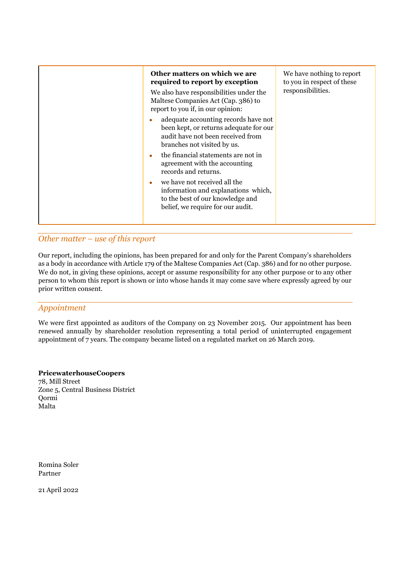| Other matters on which we are<br>required to report by exception<br>We also have responsibilities under the<br>Maltese Companies Act (Cap. 386) to<br>report to you if, in our opinion:<br>adequate accounting records have not<br>been kept, or returns adequate for our<br>audit have not been received from<br>branches not visited by us.<br>the financial statements are not in<br>agreement with the accounting<br>records and returns.<br>we have not received all the<br>information and explanations which,<br>to the best of our knowledge and<br>belief, we require for our audit. | We have nothing to report<br>to you in respect of these<br>responsibilities. |
|-----------------------------------------------------------------------------------------------------------------------------------------------------------------------------------------------------------------------------------------------------------------------------------------------------------------------------------------------------------------------------------------------------------------------------------------------------------------------------------------------------------------------------------------------------------------------------------------------|------------------------------------------------------------------------------|
|-----------------------------------------------------------------------------------------------------------------------------------------------------------------------------------------------------------------------------------------------------------------------------------------------------------------------------------------------------------------------------------------------------------------------------------------------------------------------------------------------------------------------------------------------------------------------------------------------|------------------------------------------------------------------------------|

# *Other matter – use of this report*

Our report, including the opinions, has been prepared for and only for the Parent Company's shareholders as a body in accordance with Article 179 of the Maltese Companies Act (Cap. 386) and for no other purpose. We do not, in giving these opinions, accept or assume responsibility for any other purpose or to any other person to whom this report is shown or into whose hands it may come save where expressly agreed by our prior written consent.

### *Appointment*

We were first appointed as auditors of the Company on 23 November 2015. Our appointment has been renewed annually by shareholder resolution representing a total period of uninterrupted engagement appointment of 7 years. The company became listed on a regulated market on 26 March 2019.

**PricewaterhouseCoopers** 78, Mill Street Zone 5, Central Business District Qormi Malta

Romina Soler Partner

21 April 2022